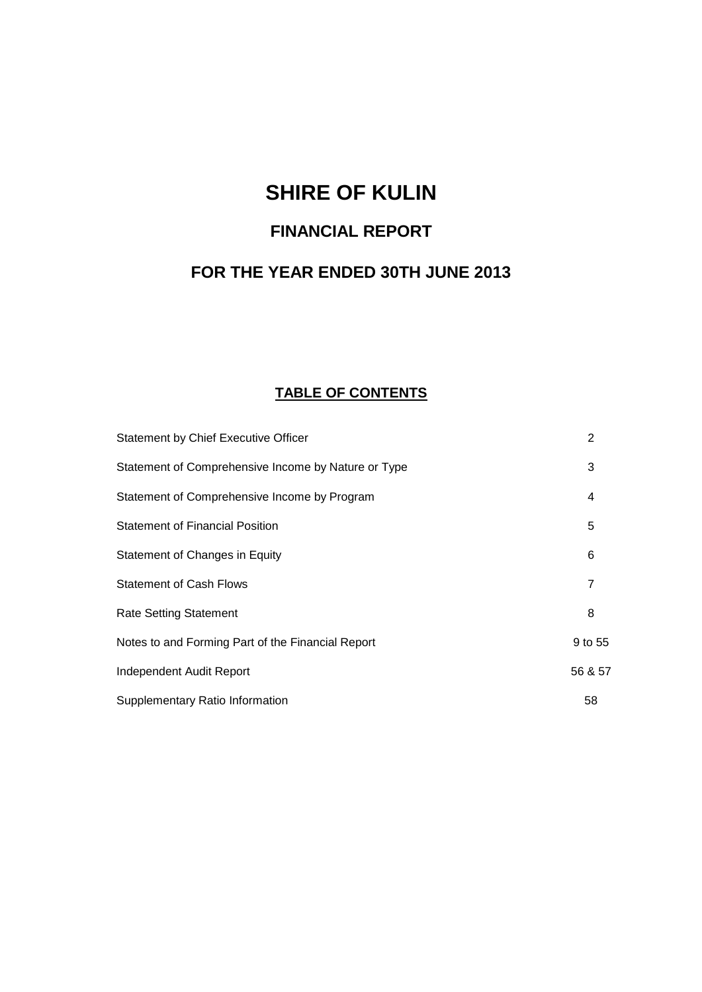# **SHIRE OF KULIN**

# **FINANCIAL REPORT**

# **FOR THE YEAR ENDED 30TH JUNE 2013**

# **TABLE OF CONTENTS**

| Statement by Chief Executive Officer                | 2              |
|-----------------------------------------------------|----------------|
| Statement of Comprehensive Income by Nature or Type | 3              |
| Statement of Comprehensive Income by Program        | 4              |
| <b>Statement of Financial Position</b>              | 5              |
| Statement of Changes in Equity                      | 6              |
| <b>Statement of Cash Flows</b>                      | $\overline{7}$ |
| <b>Rate Setting Statement</b>                       | 8              |
| Notes to and Forming Part of the Financial Report   | 9 to 55        |
| Independent Audit Report                            | 56 & 57        |
| Supplementary Ratio Information                     | 58             |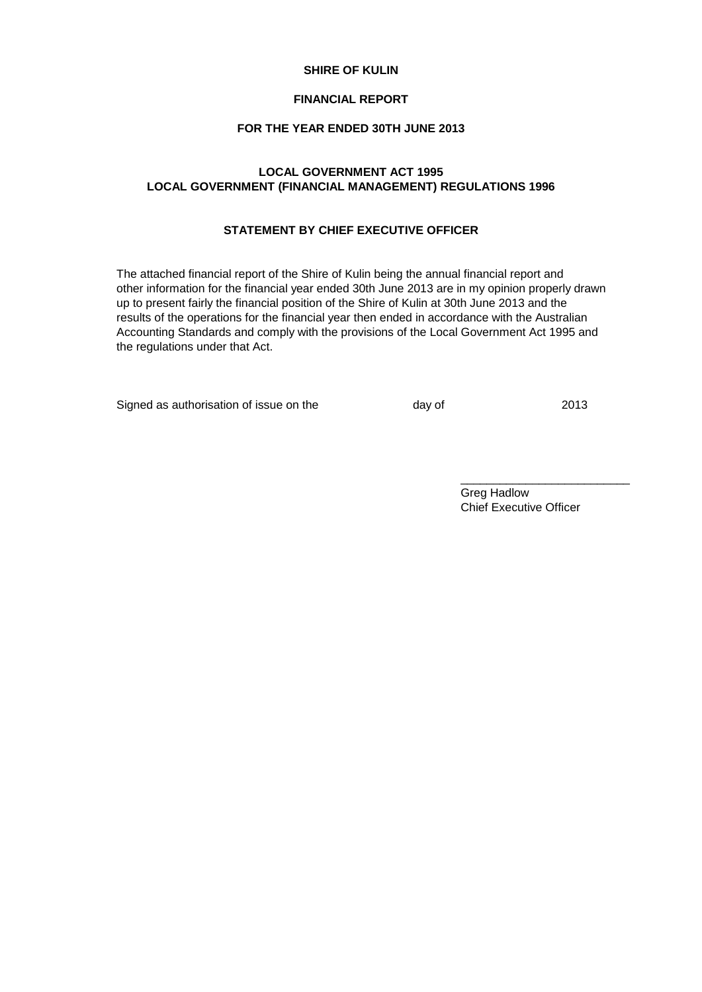#### **SHIRE OF KULIN**

#### **FINANCIAL REPORT**

# **FOR THE YEAR ENDED 30TH JUNE 2013**

# **LOCAL GOVERNMENT ACT 1995 LOCAL GOVERNMENT (FINANCIAL MANAGEMENT) REGULATIONS 1996**

# **STATEMENT BY CHIEF EXECUTIVE OFFICER**

The attached financial report of the Shire of Kulin being the annual financial report and other information for the financial year ended 30th June 2013 are in my opinion properly drawn up to present fairly the financial position of the Shire of Kulin at 30th June 2013 and the results of the operations for the financial year then ended in accordance with the Australian Accounting Standards and comply with the provisions of the Local Government Act 1995 and the regulations under that Act.

Signed as authorisation of issue on the day of day of 2013

Greg Hadlow Chief Executive Officer

\_\_\_\_\_\_\_\_\_\_\_\_\_\_\_\_\_\_\_\_\_\_\_\_\_\_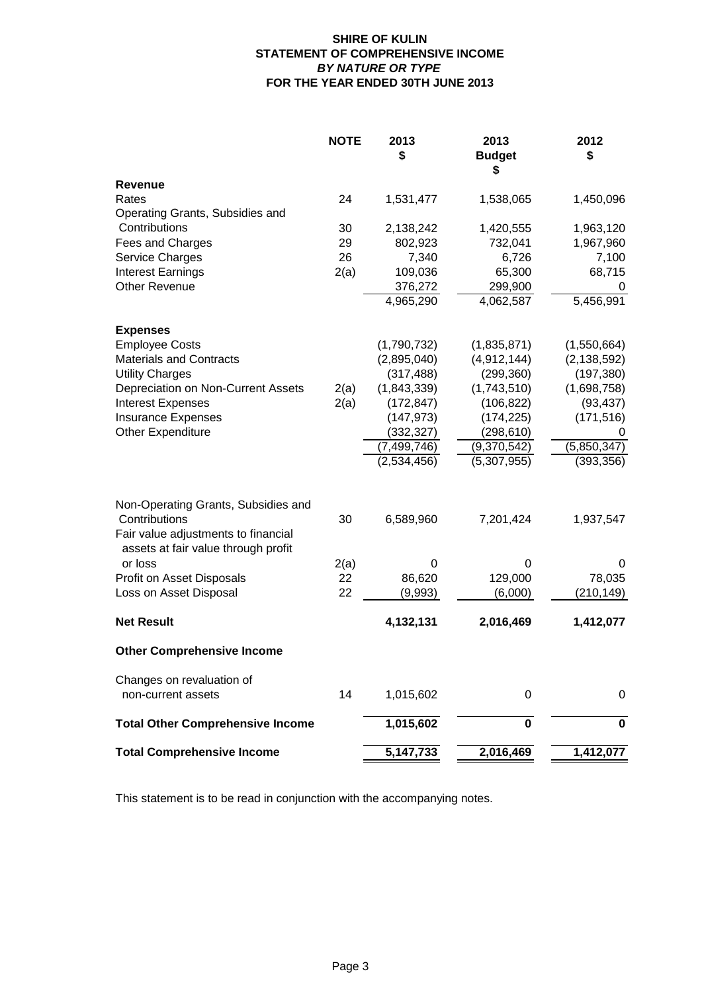# **SHIRE OF KULIN STATEMENT OF COMPREHENSIVE INCOME** *BY NATURE OR TYPE* **FOR THE YEAR ENDED 30TH JUNE 2013**

|                                                                            | <b>NOTE</b> | 2013<br>\$                 | 2013<br><b>Budget</b><br>S | 2012<br>\$             |
|----------------------------------------------------------------------------|-------------|----------------------------|----------------------------|------------------------|
| <b>Revenue</b>                                                             |             |                            |                            |                        |
| Rates                                                                      | 24          | 1,531,477                  | 1,538,065                  | 1,450,096              |
| Operating Grants, Subsidies and                                            |             |                            |                            |                        |
| Contributions                                                              | 30          | 2,138,242                  | 1,420,555                  | 1,963,120              |
| Fees and Charges                                                           | 29          | 802,923                    | 732,041                    | 1,967,960              |
| Service Charges                                                            | 26          | 7,340                      | 6,726                      | 7,100                  |
| <b>Interest Earnings</b>                                                   | 2(a)        | 109,036                    | 65,300                     | 68,715                 |
| <b>Other Revenue</b>                                                       |             | 376,272                    | 299,900                    | 0                      |
|                                                                            |             | 4,965,290                  | 4,062,587                  | 5,456,991              |
| <b>Expenses</b>                                                            |             |                            |                            |                        |
| <b>Employee Costs</b>                                                      |             | (1,790,732)                | (1,835,871)                | (1,550,664)            |
| <b>Materials and Contracts</b>                                             |             | (2,895,040)                | (4,912,144)                | (2, 138, 592)          |
| <b>Utility Charges</b>                                                     |             | (317, 488)                 | (299, 360)                 | (197, 380)             |
| Depreciation on Non-Current Assets                                         | 2(a)        | (1,843,339)                | (1,743,510)                | (1,698,758)            |
| <b>Interest Expenses</b>                                                   | 2(a)        | (172, 847)                 | (106, 822)                 | (93, 437)              |
| <b>Insurance Expenses</b>                                                  |             | (147, 973)                 | (174, 225)                 | (171, 516)             |
| Other Expenditure                                                          |             | (332, 327)                 | (298, 610)                 | 0                      |
|                                                                            |             | (7,499,746)<br>(2,534,456) | (9,370,542)                | $\sqrt{(5, 850, 347)}$ |
|                                                                            |             |                            | (5,307,955)                | (393, 356)             |
| Non-Operating Grants, Subsidies and<br>Contributions                       | 30          | 6,589,960                  | 7,201,424                  | 1,937,547              |
| Fair value adjustments to financial<br>assets at fair value through profit |             |                            |                            |                        |
| or loss                                                                    | 2(a)        | 0                          | 0                          | 0                      |
| Profit on Asset Disposals                                                  | 22          | 86,620                     | 129,000                    | 78,035                 |
| Loss on Asset Disposal                                                     | 22          | (9,993)                    | (6,000)                    | (210, 149)             |
| <b>Net Result</b>                                                          |             | 4,132,131                  | 2,016,469                  | 1,412,077              |
| <b>Other Comprehensive Income</b>                                          |             |                            |                            |                        |
| Changes on revaluation of                                                  |             |                            |                            |                        |
| non-current assets                                                         | 14          | 1,015,602                  | 0                          | 0                      |
| <b>Total Other Comprehensive Income</b>                                    |             | 1,015,602                  | 0                          | 0                      |
| <b>Total Comprehensive Income</b>                                          |             | 5, 147, 733                | 2,016,469                  | 1,412,077              |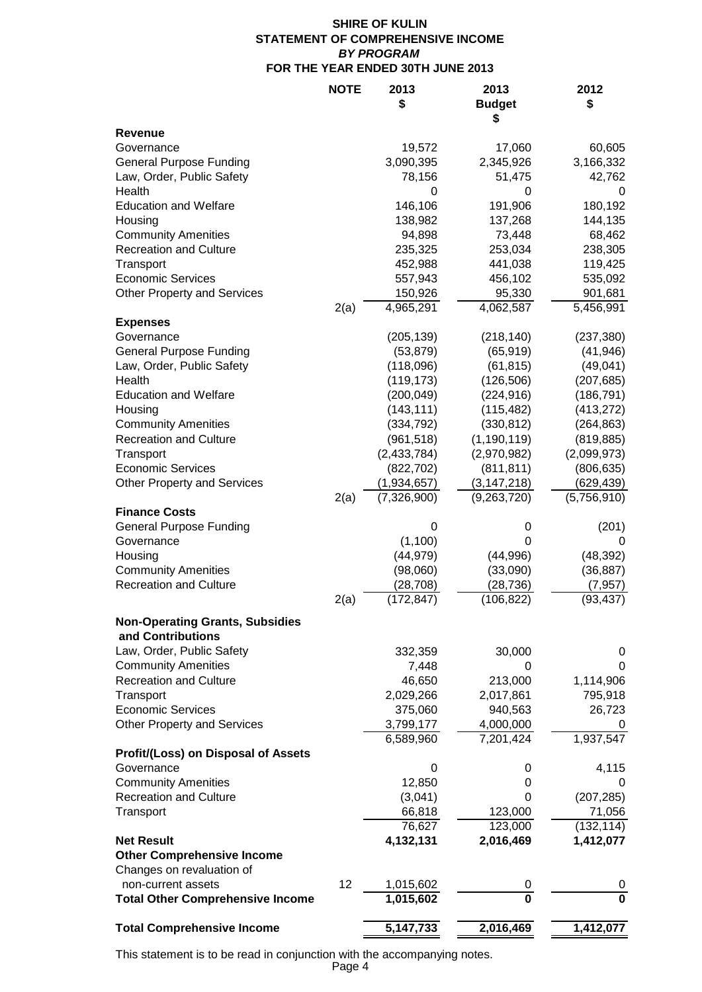# **SHIRE OF KULIN STATEMENT OF COMPREHENSIVE INCOME** *BY PROGRAM* **FOR THE YEAR ENDED 30TH JUNE 2013**

|                                                                | <b>NOTE</b> | 2013<br>\$        | 2013<br><b>Budget</b><br>S | 2012<br>\$        |
|----------------------------------------------------------------|-------------|-------------------|----------------------------|-------------------|
| Revenue                                                        |             |                   |                            |                   |
| Governance                                                     |             | 19,572            | 17,060                     | 60,605            |
| <b>General Purpose Funding</b>                                 |             | 3,090,395         | 2,345,926                  | 3,166,332         |
| Law, Order, Public Safety                                      |             | 78,156            | 51,475                     | 42,762            |
| Health                                                         |             | 0                 | 0                          | 0                 |
| <b>Education and Welfare</b>                                   |             | 146,106           | 191,906                    | 180,192           |
| Housing                                                        |             | 138,982           | 137,268                    | 144,135           |
| <b>Community Amenities</b><br><b>Recreation and Culture</b>    |             | 94,898<br>235,325 | 73,448<br>253,034          | 68,462<br>238,305 |
| Transport                                                      |             | 452,988           | 441,038                    | 119,425           |
| <b>Economic Services</b>                                       |             | 557,943           | 456,102                    | 535,092           |
| <b>Other Property and Services</b>                             |             | 150,926           | 95,330                     | 901,681           |
|                                                                | 2(a)        | 4,965,291         | 4,062,587                  | 5,456,991         |
| <b>Expenses</b>                                                |             |                   |                            |                   |
| Governance                                                     |             | (205, 139)        | (218, 140)                 | (237, 380)        |
| <b>General Purpose Funding</b>                                 |             | (53, 879)         | (65, 919)                  | (41, 946)         |
| Law, Order, Public Safety                                      |             | (118,096)         | (61, 815)                  | (49, 041)         |
| Health                                                         |             | (119, 173)        | (126, 506)                 | (207, 685)        |
| <b>Education and Welfare</b>                                   |             | (200, 049)        | (224, 916)                 | (186, 791)        |
| Housing                                                        |             | (143, 111)        | (115, 482)                 | (413, 272)        |
| <b>Community Amenities</b>                                     |             | (334, 792)        | (330, 812)                 | (264, 863)        |
| <b>Recreation and Culture</b>                                  |             | (961, 518)        | (1, 190, 119)              | (819, 885)        |
| Transport                                                      |             | (2,433,784)       | (2,970,982)                | (2,099,973)       |
| <b>Economic Services</b>                                       |             | (822, 702)        | (811, 811)                 | (806, 635)        |
| <b>Other Property and Services</b>                             |             | (1,934,657)       | (3, 147, 218)              | (629, 439)        |
|                                                                | 2(a)        | (7, 326, 900)     | (9,263,720)                | (5,756,910)       |
| <b>Finance Costs</b>                                           |             |                   |                            |                   |
| <b>General Purpose Funding</b>                                 |             | 0                 | 0                          | (201)             |
| Governance                                                     |             | (1, 100)          | 0                          | 0                 |
| Housing                                                        |             | (44, 979)         | (44,996)                   | (48, 392)         |
| <b>Community Amenities</b>                                     |             | (98,060)          | (33,090)                   | (36, 887)         |
| <b>Recreation and Culture</b>                                  |             | (28, 708)         | (28,736)                   | (7, 957)          |
|                                                                | 2(a)        | (172, 847)        | (106, 822)                 | (93, 437)         |
| <b>Non-Operating Grants, Subsidies</b>                         |             |                   |                            |                   |
| and Contributions                                              |             |                   |                            |                   |
| Law, Order, Public Safety                                      |             | 332,359           | 30,000                     | 0                 |
| <b>Community Amenities</b>                                     |             | 7,448             | 0                          | 0                 |
| <b>Recreation and Culture</b>                                  |             | 46,650            | 213,000                    | 1,114,906         |
| Transport                                                      |             | 2,029,266         | 2,017,861                  | 795,918           |
| <b>Economic Services</b>                                       |             | 375,060           | 940,563                    | 26,723            |
| <b>Other Property and Services</b>                             |             | 3,799,177         | 4,000,000                  | 0                 |
|                                                                |             | 6,589,960         | 7,201,424                  | 1,937,547         |
| Profit/(Loss) on Disposal of Assets                            |             |                   |                            |                   |
| Governance                                                     |             | 0                 | 0                          | 4,115             |
| <b>Community Amenities</b>                                     |             | 12,850            | 0                          | 0                 |
| <b>Recreation and Culture</b>                                  |             | (3,041)           | 0                          | (207, 285)        |
| Transport                                                      |             | 66,818            | 123,000                    | 71,056            |
|                                                                |             | 76,627            | 123,000                    | (132, 114)        |
| <b>Net Result</b>                                              |             | 4,132,131         | 2,016,469                  | 1,412,077         |
| <b>Other Comprehensive Income</b><br>Changes on revaluation of |             |                   |                            |                   |
| non-current assets                                             | 12          | 1,015,602         | 0                          | 0                 |
| <b>Total Other Comprehensive Income</b>                        |             | 1,015,602         | $\overline{\mathbf{0}}$    | $\bf{0}$          |
|                                                                |             |                   |                            |                   |
| <b>Total Comprehensive Income</b>                              |             | 5, 147, 733       | 2,016,469                  | 1,412,077         |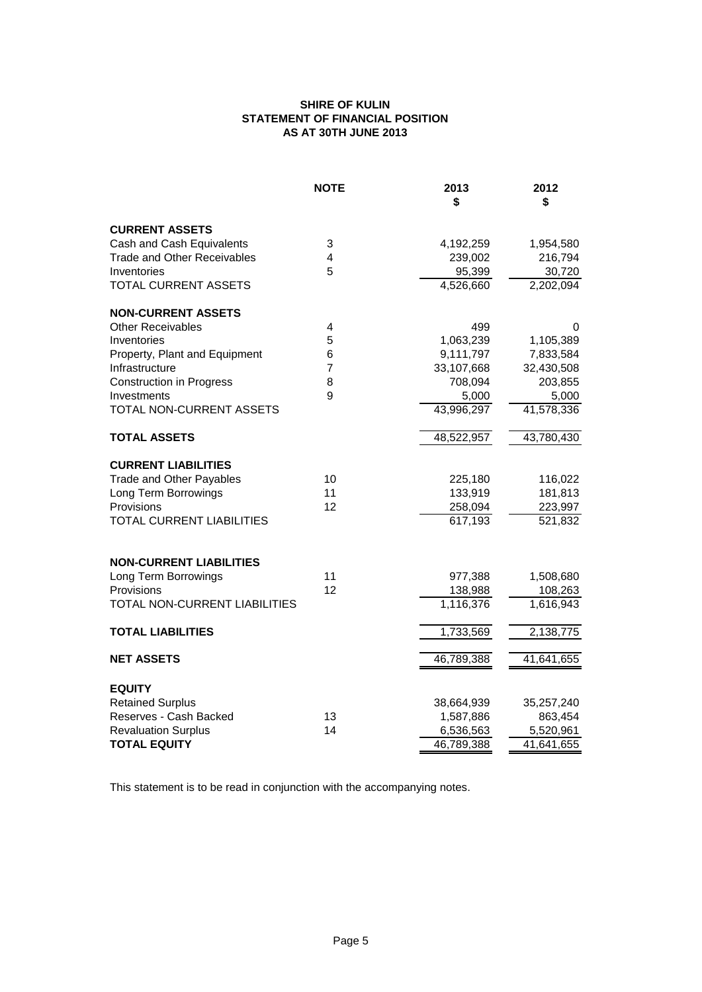# **SHIRE OF KULIN STATEMENT OF FINANCIAL POSITION AS AT 30TH JUNE 2013**

|                                    | <b>NOTE</b>    | 2013<br>\$ | 2012<br>\$           |
|------------------------------------|----------------|------------|----------------------|
| <b>CURRENT ASSETS</b>              |                |            |                      |
| Cash and Cash Equivalents          | 3              | 4,192,259  | 1,954,580            |
| <b>Trade and Other Receivables</b> | 4              | 239,002    | 216,794              |
| Inventories                        | 5              | 95,399     | 30,720               |
| TOTAL CURRENT ASSETS               |                | 4,526,660  | 2,202,094            |
| <b>NON-CURRENT ASSETS</b>          |                |            |                      |
| <b>Other Receivables</b>           | 4              | 499        | 0                    |
| Inventories                        | 5              | 1,063,239  | 1,105,389            |
| Property, Plant and Equipment      | 6              | 9,111,797  | 7,833,584            |
| Infrastructure                     | $\overline{7}$ | 33,107,668 | 32,430,508           |
| <b>Construction in Progress</b>    | 8              | 708,094    | 203,855              |
| Investments                        | 9              | 5,000      | 5,000                |
| TOTAL NON-CURRENT ASSETS           |                | 43,996,297 | 41,578,336           |
| <b>TOTAL ASSETS</b>                |                | 48,522,957 | 43,780,430           |
| <b>CURRENT LIABILITIES</b>         |                |            |                      |
| <b>Trade and Other Payables</b>    | 10             | 225,180    | 116,022              |
| Long Term Borrowings               | 11             | 133,919    | 181,813              |
| Provisions                         | 12             | 258,094    | 223,997              |
| <b>TOTAL CURRENT LIABILITIES</b>   |                | 617,193    | $\overline{521,832}$ |
|                                    |                |            |                      |
| <b>NON-CURRENT LIABILITIES</b>     |                |            |                      |
| Long Term Borrowings               | 11             | 977,388    | 1,508,680            |
| Provisions                         | 12             | 138,988    | 108,263              |
| TOTAL NON-CURRENT LIABILITIES      |                | 1,116,376  | 1,616,943            |
| <b>TOTAL LIABILITIES</b>           |                | 1,733,569  | 2,138,775            |
| <b>NET ASSETS</b>                  |                | 46,789,388 | 41,641,655           |
| <b>EQUITY</b>                      |                |            |                      |
| <b>Retained Surplus</b>            |                | 38,664,939 | 35,257,240           |
| Reserves - Cash Backed             | 13             | 1,587,886  | 863,454              |
| <b>Revaluation Surplus</b>         | 14             | 6,536,563  | 5,520,961            |
| <b>TOTAL EQUITY</b>                |                | 46,789,388 | 41,641,655           |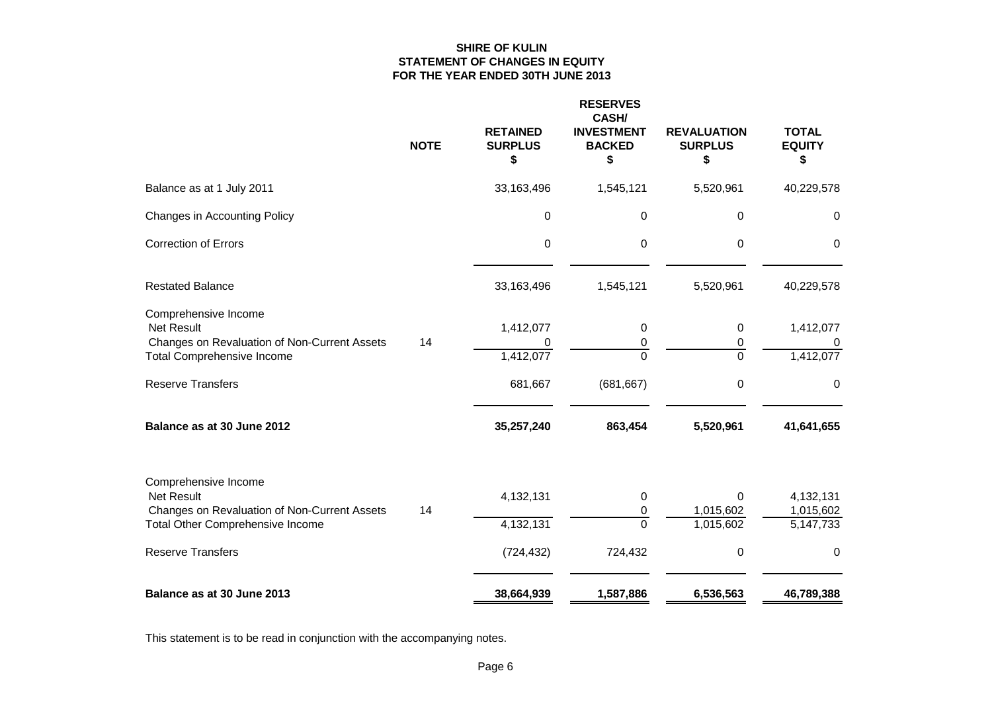## **SHIRE OF KULIN STATEMENT OF CHANGES IN EQUITY FOR THE YEAR ENDED 30TH JUNE 2013**

|                                                                                                                                | <b>NOTE</b> | <b>RETAINED</b><br><b>SURPLUS</b><br>\$ | <b>RESERVES</b><br>CASH/<br><b>INVESTMENT</b><br><b>BACKED</b><br>\$ | <b>REVALUATION</b><br><b>SURPLUS</b><br>\$ | <b>TOTAL</b><br><b>EQUITY</b><br>\$ |
|--------------------------------------------------------------------------------------------------------------------------------|-------------|-----------------------------------------|----------------------------------------------------------------------|--------------------------------------------|-------------------------------------|
| Balance as at 1 July 2011                                                                                                      |             | 33,163,496                              | 1,545,121                                                            | 5,520,961                                  | 40,229,578                          |
| Changes in Accounting Policy                                                                                                   |             | 0                                       | 0                                                                    | 0                                          | 0                                   |
| <b>Correction of Errors</b>                                                                                                    |             | 0                                       | 0                                                                    | 0                                          | 0                                   |
| <b>Restated Balance</b>                                                                                                        |             | 33,163,496                              | 1,545,121                                                            | 5,520,961                                  | 40,229,578                          |
| Comprehensive Income<br><b>Net Result</b><br>Changes on Revaluation of Non-Current Assets<br><b>Total Comprehensive Income</b> | 14          | 1,412,077<br>0<br>1,412,077             | 0<br>0<br>$\overline{0}$                                             | 0<br>0<br>$\overline{0}$                   | 1,412,077<br>U<br>1,412,077         |
| <b>Reserve Transfers</b>                                                                                                       |             | 681,667                                 | (681, 667)                                                           | 0                                          | 0                                   |
| Balance as at 30 June 2012                                                                                                     |             | 35,257,240                              | 863,454                                                              | 5,520,961                                  | 41,641,655                          |
| Comprehensive Income<br><b>Net Result</b><br>Changes on Revaluation of Non-Current Assets<br>Total Other Comprehensive Income  | 14          | 4,132,131<br>4,132,131                  | 0<br>0<br>0                                                          | $\Omega$<br>1,015,602<br>1,015,602         | 4,132,131<br>1,015,602<br>5,147,733 |
| <b>Reserve Transfers</b>                                                                                                       |             | (724, 432)                              | 724,432                                                              | 0                                          | 0                                   |
| Balance as at 30 June 2013                                                                                                     |             | 38,664,939                              | 1,587,886                                                            | 6,536,563                                  | 46,789,388                          |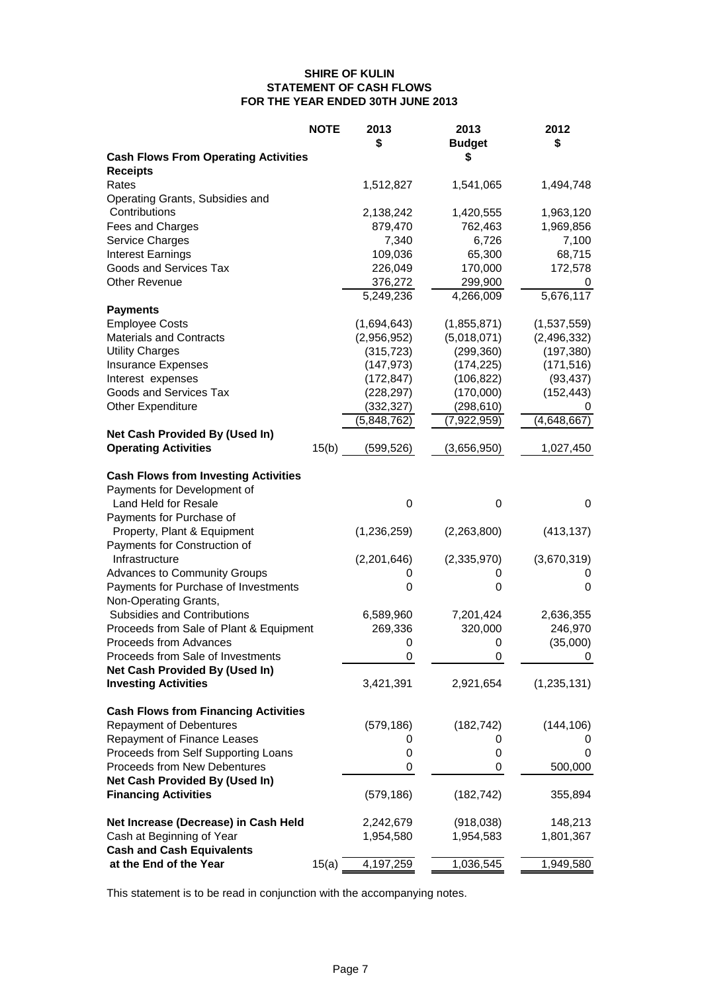#### **SHIRE OF KULIN STATEMENT OF CASH FLOWS FOR THE YEAR ENDED 30TH JUNE 2013**

| S<br><b>Receipts</b><br>Rates<br>1,512,827<br>1,541,065<br>1,494,748<br>Operating Grants, Subsidies and<br>Contributions<br>1,420,555<br>1,963,120<br>2,138,242<br>Fees and Charges<br>879,470<br>762,463<br>1,969,856<br>7,340<br>6,726<br>7,100<br>Service Charges<br>109,036<br>65,300<br><b>Interest Earnings</b><br>68,715<br>Goods and Services Tax<br>226,049<br>170,000<br>172,578<br><b>Other Revenue</b><br>376,272<br>299,900<br>0<br>5,249,236<br>4,266,009<br>5,676,117<br><b>Payments</b><br><b>Employee Costs</b><br>(1,855,871)<br>(1,537,559)<br>(1,694,643)<br><b>Materials and Contracts</b><br>(5,018,071)<br>(2,956,952)<br>(2, 496, 332)<br><b>Utility Charges</b><br>(299, 360)<br>(197, 380)<br>(315, 723)<br><b>Insurance Expenses</b><br>(147, 973)<br>(174, 225)<br>(171, 516)<br>Interest expenses<br>(106, 822)<br>(93, 437)<br>(172, 847)<br>Goods and Services Tax<br>(228, 297)<br>(170,000)<br>(152, 443)<br><b>Other Expenditure</b><br>(332, 327)<br>(298, 610)<br>0<br>(5,848,762)<br>(7,922,959)<br>(4,648,667)<br>Net Cash Provided By (Used In)<br><b>Operating Activities</b><br>15(b)<br>(599, 526)<br>(3,656,950)<br>1,027,450<br><b>Cash Flows from Investing Activities</b><br>Payments for Development of<br>Land Held for Resale<br>0<br>0<br>0<br>Payments for Purchase of<br>Property, Plant & Equipment<br>(1,236,259)<br>(2,263,800)<br>(413, 137)<br>Payments for Construction of<br>Infrastructure<br>(2,201,646)<br>(2,335,970)<br>(3,670,319)<br><b>Advances to Community Groups</b><br>0<br>0<br>0<br>Payments for Purchase of Investments<br>0<br>0<br>0<br>Non-Operating Grants,<br><b>Subsidies and Contributions</b><br>6,589,960<br>7,201,424<br>2,636,355<br>Proceeds from Sale of Plant & Equipment<br>269,336<br>320,000<br>246,970<br>Proceeds from Advances<br>(35,000)<br>0<br>0<br>Proceeds from Sale of Investments<br>0<br>0<br>0<br>Net Cash Provided By (Used In)<br><b>Investing Activities</b><br>3,421,391<br>2,921,654<br>(1, 235, 131)<br><b>Cash Flows from Financing Activities</b><br><b>Repayment of Debentures</b><br>(144, 106)<br>(579, 186)<br>(182, 742)<br>Repayment of Finance Leases<br>0<br>0<br>Ü<br>Proceeds from Self Supporting Loans<br>0<br>0<br>0<br>Proceeds from New Debentures<br>500,000<br>0<br>0<br>Net Cash Provided By (Used In)<br><b>Financing Activities</b><br>(579, 186)<br>(182, 742)<br>355,894<br>Net Increase (Decrease) in Cash Held<br>2,242,679<br>(918,038)<br>148,213<br>Cash at Beginning of Year<br>1,954,580<br>1,801,367<br>1,954,583<br><b>Cash and Cash Equivalents</b><br>at the End of the Year<br>15(a)<br>4,197,259<br>1,036,545<br>1,949,580 |                                             | <b>NOTE</b> | 2013<br>\$ | 2013<br><b>Budget</b> | 2012<br>\$ |
|-------------------------------------------------------------------------------------------------------------------------------------------------------------------------------------------------------------------------------------------------------------------------------------------------------------------------------------------------------------------------------------------------------------------------------------------------------------------------------------------------------------------------------------------------------------------------------------------------------------------------------------------------------------------------------------------------------------------------------------------------------------------------------------------------------------------------------------------------------------------------------------------------------------------------------------------------------------------------------------------------------------------------------------------------------------------------------------------------------------------------------------------------------------------------------------------------------------------------------------------------------------------------------------------------------------------------------------------------------------------------------------------------------------------------------------------------------------------------------------------------------------------------------------------------------------------------------------------------------------------------------------------------------------------------------------------------------------------------------------------------------------------------------------------------------------------------------------------------------------------------------------------------------------------------------------------------------------------------------------------------------------------------------------------------------------------------------------------------------------------------------------------------------------------------------------------------------------------------------------------------------------------------------------------------------------------------------------------------------------------------------------------------------------------------------------------------------------------------------------------------------------------------------------------------------------------------------------------------------------------------------------------------------------------------------|---------------------------------------------|-------------|------------|-----------------------|------------|
|                                                                                                                                                                                                                                                                                                                                                                                                                                                                                                                                                                                                                                                                                                                                                                                                                                                                                                                                                                                                                                                                                                                                                                                                                                                                                                                                                                                                                                                                                                                                                                                                                                                                                                                                                                                                                                                                                                                                                                                                                                                                                                                                                                                                                                                                                                                                                                                                                                                                                                                                                                                                                                                                               | <b>Cash Flows From Operating Activities</b> |             |            |                       |            |
|                                                                                                                                                                                                                                                                                                                                                                                                                                                                                                                                                                                                                                                                                                                                                                                                                                                                                                                                                                                                                                                                                                                                                                                                                                                                                                                                                                                                                                                                                                                                                                                                                                                                                                                                                                                                                                                                                                                                                                                                                                                                                                                                                                                                                                                                                                                                                                                                                                                                                                                                                                                                                                                                               |                                             |             |            |                       |            |
|                                                                                                                                                                                                                                                                                                                                                                                                                                                                                                                                                                                                                                                                                                                                                                                                                                                                                                                                                                                                                                                                                                                                                                                                                                                                                                                                                                                                                                                                                                                                                                                                                                                                                                                                                                                                                                                                                                                                                                                                                                                                                                                                                                                                                                                                                                                                                                                                                                                                                                                                                                                                                                                                               |                                             |             |            |                       |            |
|                                                                                                                                                                                                                                                                                                                                                                                                                                                                                                                                                                                                                                                                                                                                                                                                                                                                                                                                                                                                                                                                                                                                                                                                                                                                                                                                                                                                                                                                                                                                                                                                                                                                                                                                                                                                                                                                                                                                                                                                                                                                                                                                                                                                                                                                                                                                                                                                                                                                                                                                                                                                                                                                               |                                             |             |            |                       |            |
|                                                                                                                                                                                                                                                                                                                                                                                                                                                                                                                                                                                                                                                                                                                                                                                                                                                                                                                                                                                                                                                                                                                                                                                                                                                                                                                                                                                                                                                                                                                                                                                                                                                                                                                                                                                                                                                                                                                                                                                                                                                                                                                                                                                                                                                                                                                                                                                                                                                                                                                                                                                                                                                                               |                                             |             |            |                       |            |
|                                                                                                                                                                                                                                                                                                                                                                                                                                                                                                                                                                                                                                                                                                                                                                                                                                                                                                                                                                                                                                                                                                                                                                                                                                                                                                                                                                                                                                                                                                                                                                                                                                                                                                                                                                                                                                                                                                                                                                                                                                                                                                                                                                                                                                                                                                                                                                                                                                                                                                                                                                                                                                                                               |                                             |             |            |                       |            |
|                                                                                                                                                                                                                                                                                                                                                                                                                                                                                                                                                                                                                                                                                                                                                                                                                                                                                                                                                                                                                                                                                                                                                                                                                                                                                                                                                                                                                                                                                                                                                                                                                                                                                                                                                                                                                                                                                                                                                                                                                                                                                                                                                                                                                                                                                                                                                                                                                                                                                                                                                                                                                                                                               |                                             |             |            |                       |            |
|                                                                                                                                                                                                                                                                                                                                                                                                                                                                                                                                                                                                                                                                                                                                                                                                                                                                                                                                                                                                                                                                                                                                                                                                                                                                                                                                                                                                                                                                                                                                                                                                                                                                                                                                                                                                                                                                                                                                                                                                                                                                                                                                                                                                                                                                                                                                                                                                                                                                                                                                                                                                                                                                               |                                             |             |            |                       |            |
|                                                                                                                                                                                                                                                                                                                                                                                                                                                                                                                                                                                                                                                                                                                                                                                                                                                                                                                                                                                                                                                                                                                                                                                                                                                                                                                                                                                                                                                                                                                                                                                                                                                                                                                                                                                                                                                                                                                                                                                                                                                                                                                                                                                                                                                                                                                                                                                                                                                                                                                                                                                                                                                                               |                                             |             |            |                       |            |
|                                                                                                                                                                                                                                                                                                                                                                                                                                                                                                                                                                                                                                                                                                                                                                                                                                                                                                                                                                                                                                                                                                                                                                                                                                                                                                                                                                                                                                                                                                                                                                                                                                                                                                                                                                                                                                                                                                                                                                                                                                                                                                                                                                                                                                                                                                                                                                                                                                                                                                                                                                                                                                                                               |                                             |             |            |                       |            |
|                                                                                                                                                                                                                                                                                                                                                                                                                                                                                                                                                                                                                                                                                                                                                                                                                                                                                                                                                                                                                                                                                                                                                                                                                                                                                                                                                                                                                                                                                                                                                                                                                                                                                                                                                                                                                                                                                                                                                                                                                                                                                                                                                                                                                                                                                                                                                                                                                                                                                                                                                                                                                                                                               |                                             |             |            |                       |            |
|                                                                                                                                                                                                                                                                                                                                                                                                                                                                                                                                                                                                                                                                                                                                                                                                                                                                                                                                                                                                                                                                                                                                                                                                                                                                                                                                                                                                                                                                                                                                                                                                                                                                                                                                                                                                                                                                                                                                                                                                                                                                                                                                                                                                                                                                                                                                                                                                                                                                                                                                                                                                                                                                               |                                             |             |            |                       |            |
|                                                                                                                                                                                                                                                                                                                                                                                                                                                                                                                                                                                                                                                                                                                                                                                                                                                                                                                                                                                                                                                                                                                                                                                                                                                                                                                                                                                                                                                                                                                                                                                                                                                                                                                                                                                                                                                                                                                                                                                                                                                                                                                                                                                                                                                                                                                                                                                                                                                                                                                                                                                                                                                                               |                                             |             |            |                       |            |
|                                                                                                                                                                                                                                                                                                                                                                                                                                                                                                                                                                                                                                                                                                                                                                                                                                                                                                                                                                                                                                                                                                                                                                                                                                                                                                                                                                                                                                                                                                                                                                                                                                                                                                                                                                                                                                                                                                                                                                                                                                                                                                                                                                                                                                                                                                                                                                                                                                                                                                                                                                                                                                                                               |                                             |             |            |                       |            |
|                                                                                                                                                                                                                                                                                                                                                                                                                                                                                                                                                                                                                                                                                                                                                                                                                                                                                                                                                                                                                                                                                                                                                                                                                                                                                                                                                                                                                                                                                                                                                                                                                                                                                                                                                                                                                                                                                                                                                                                                                                                                                                                                                                                                                                                                                                                                                                                                                                                                                                                                                                                                                                                                               |                                             |             |            |                       |            |
|                                                                                                                                                                                                                                                                                                                                                                                                                                                                                                                                                                                                                                                                                                                                                                                                                                                                                                                                                                                                                                                                                                                                                                                                                                                                                                                                                                                                                                                                                                                                                                                                                                                                                                                                                                                                                                                                                                                                                                                                                                                                                                                                                                                                                                                                                                                                                                                                                                                                                                                                                                                                                                                                               |                                             |             |            |                       |            |
|                                                                                                                                                                                                                                                                                                                                                                                                                                                                                                                                                                                                                                                                                                                                                                                                                                                                                                                                                                                                                                                                                                                                                                                                                                                                                                                                                                                                                                                                                                                                                                                                                                                                                                                                                                                                                                                                                                                                                                                                                                                                                                                                                                                                                                                                                                                                                                                                                                                                                                                                                                                                                                                                               |                                             |             |            |                       |            |
|                                                                                                                                                                                                                                                                                                                                                                                                                                                                                                                                                                                                                                                                                                                                                                                                                                                                                                                                                                                                                                                                                                                                                                                                                                                                                                                                                                                                                                                                                                                                                                                                                                                                                                                                                                                                                                                                                                                                                                                                                                                                                                                                                                                                                                                                                                                                                                                                                                                                                                                                                                                                                                                                               |                                             |             |            |                       |            |
|                                                                                                                                                                                                                                                                                                                                                                                                                                                                                                                                                                                                                                                                                                                                                                                                                                                                                                                                                                                                                                                                                                                                                                                                                                                                                                                                                                                                                                                                                                                                                                                                                                                                                                                                                                                                                                                                                                                                                                                                                                                                                                                                                                                                                                                                                                                                                                                                                                                                                                                                                                                                                                                                               |                                             |             |            |                       |            |
|                                                                                                                                                                                                                                                                                                                                                                                                                                                                                                                                                                                                                                                                                                                                                                                                                                                                                                                                                                                                                                                                                                                                                                                                                                                                                                                                                                                                                                                                                                                                                                                                                                                                                                                                                                                                                                                                                                                                                                                                                                                                                                                                                                                                                                                                                                                                                                                                                                                                                                                                                                                                                                                                               |                                             |             |            |                       |            |
|                                                                                                                                                                                                                                                                                                                                                                                                                                                                                                                                                                                                                                                                                                                                                                                                                                                                                                                                                                                                                                                                                                                                                                                                                                                                                                                                                                                                                                                                                                                                                                                                                                                                                                                                                                                                                                                                                                                                                                                                                                                                                                                                                                                                                                                                                                                                                                                                                                                                                                                                                                                                                                                                               |                                             |             |            |                       |            |
|                                                                                                                                                                                                                                                                                                                                                                                                                                                                                                                                                                                                                                                                                                                                                                                                                                                                                                                                                                                                                                                                                                                                                                                                                                                                                                                                                                                                                                                                                                                                                                                                                                                                                                                                                                                                                                                                                                                                                                                                                                                                                                                                                                                                                                                                                                                                                                                                                                                                                                                                                                                                                                                                               |                                             |             |            |                       |            |
|                                                                                                                                                                                                                                                                                                                                                                                                                                                                                                                                                                                                                                                                                                                                                                                                                                                                                                                                                                                                                                                                                                                                                                                                                                                                                                                                                                                                                                                                                                                                                                                                                                                                                                                                                                                                                                                                                                                                                                                                                                                                                                                                                                                                                                                                                                                                                                                                                                                                                                                                                                                                                                                                               |                                             |             |            |                       |            |
|                                                                                                                                                                                                                                                                                                                                                                                                                                                                                                                                                                                                                                                                                                                                                                                                                                                                                                                                                                                                                                                                                                                                                                                                                                                                                                                                                                                                                                                                                                                                                                                                                                                                                                                                                                                                                                                                                                                                                                                                                                                                                                                                                                                                                                                                                                                                                                                                                                                                                                                                                                                                                                                                               |                                             |             |            |                       |            |
|                                                                                                                                                                                                                                                                                                                                                                                                                                                                                                                                                                                                                                                                                                                                                                                                                                                                                                                                                                                                                                                                                                                                                                                                                                                                                                                                                                                                                                                                                                                                                                                                                                                                                                                                                                                                                                                                                                                                                                                                                                                                                                                                                                                                                                                                                                                                                                                                                                                                                                                                                                                                                                                                               |                                             |             |            |                       |            |
|                                                                                                                                                                                                                                                                                                                                                                                                                                                                                                                                                                                                                                                                                                                                                                                                                                                                                                                                                                                                                                                                                                                                                                                                                                                                                                                                                                                                                                                                                                                                                                                                                                                                                                                                                                                                                                                                                                                                                                                                                                                                                                                                                                                                                                                                                                                                                                                                                                                                                                                                                                                                                                                                               |                                             |             |            |                       |            |
|                                                                                                                                                                                                                                                                                                                                                                                                                                                                                                                                                                                                                                                                                                                                                                                                                                                                                                                                                                                                                                                                                                                                                                                                                                                                                                                                                                                                                                                                                                                                                                                                                                                                                                                                                                                                                                                                                                                                                                                                                                                                                                                                                                                                                                                                                                                                                                                                                                                                                                                                                                                                                                                                               |                                             |             |            |                       |            |
|                                                                                                                                                                                                                                                                                                                                                                                                                                                                                                                                                                                                                                                                                                                                                                                                                                                                                                                                                                                                                                                                                                                                                                                                                                                                                                                                                                                                                                                                                                                                                                                                                                                                                                                                                                                                                                                                                                                                                                                                                                                                                                                                                                                                                                                                                                                                                                                                                                                                                                                                                                                                                                                                               |                                             |             |            |                       |            |
|                                                                                                                                                                                                                                                                                                                                                                                                                                                                                                                                                                                                                                                                                                                                                                                                                                                                                                                                                                                                                                                                                                                                                                                                                                                                                                                                                                                                                                                                                                                                                                                                                                                                                                                                                                                                                                                                                                                                                                                                                                                                                                                                                                                                                                                                                                                                                                                                                                                                                                                                                                                                                                                                               |                                             |             |            |                       |            |
|                                                                                                                                                                                                                                                                                                                                                                                                                                                                                                                                                                                                                                                                                                                                                                                                                                                                                                                                                                                                                                                                                                                                                                                                                                                                                                                                                                                                                                                                                                                                                                                                                                                                                                                                                                                                                                                                                                                                                                                                                                                                                                                                                                                                                                                                                                                                                                                                                                                                                                                                                                                                                                                                               |                                             |             |            |                       |            |
|                                                                                                                                                                                                                                                                                                                                                                                                                                                                                                                                                                                                                                                                                                                                                                                                                                                                                                                                                                                                                                                                                                                                                                                                                                                                                                                                                                                                                                                                                                                                                                                                                                                                                                                                                                                                                                                                                                                                                                                                                                                                                                                                                                                                                                                                                                                                                                                                                                                                                                                                                                                                                                                                               |                                             |             |            |                       |            |
|                                                                                                                                                                                                                                                                                                                                                                                                                                                                                                                                                                                                                                                                                                                                                                                                                                                                                                                                                                                                                                                                                                                                                                                                                                                                                                                                                                                                                                                                                                                                                                                                                                                                                                                                                                                                                                                                                                                                                                                                                                                                                                                                                                                                                                                                                                                                                                                                                                                                                                                                                                                                                                                                               |                                             |             |            |                       |            |
|                                                                                                                                                                                                                                                                                                                                                                                                                                                                                                                                                                                                                                                                                                                                                                                                                                                                                                                                                                                                                                                                                                                                                                                                                                                                                                                                                                                                                                                                                                                                                                                                                                                                                                                                                                                                                                                                                                                                                                                                                                                                                                                                                                                                                                                                                                                                                                                                                                                                                                                                                                                                                                                                               |                                             |             |            |                       |            |
|                                                                                                                                                                                                                                                                                                                                                                                                                                                                                                                                                                                                                                                                                                                                                                                                                                                                                                                                                                                                                                                                                                                                                                                                                                                                                                                                                                                                                                                                                                                                                                                                                                                                                                                                                                                                                                                                                                                                                                                                                                                                                                                                                                                                                                                                                                                                                                                                                                                                                                                                                                                                                                                                               |                                             |             |            |                       |            |
|                                                                                                                                                                                                                                                                                                                                                                                                                                                                                                                                                                                                                                                                                                                                                                                                                                                                                                                                                                                                                                                                                                                                                                                                                                                                                                                                                                                                                                                                                                                                                                                                                                                                                                                                                                                                                                                                                                                                                                                                                                                                                                                                                                                                                                                                                                                                                                                                                                                                                                                                                                                                                                                                               |                                             |             |            |                       |            |
|                                                                                                                                                                                                                                                                                                                                                                                                                                                                                                                                                                                                                                                                                                                                                                                                                                                                                                                                                                                                                                                                                                                                                                                                                                                                                                                                                                                                                                                                                                                                                                                                                                                                                                                                                                                                                                                                                                                                                                                                                                                                                                                                                                                                                                                                                                                                                                                                                                                                                                                                                                                                                                                                               |                                             |             |            |                       |            |
|                                                                                                                                                                                                                                                                                                                                                                                                                                                                                                                                                                                                                                                                                                                                                                                                                                                                                                                                                                                                                                                                                                                                                                                                                                                                                                                                                                                                                                                                                                                                                                                                                                                                                                                                                                                                                                                                                                                                                                                                                                                                                                                                                                                                                                                                                                                                                                                                                                                                                                                                                                                                                                                                               |                                             |             |            |                       |            |
|                                                                                                                                                                                                                                                                                                                                                                                                                                                                                                                                                                                                                                                                                                                                                                                                                                                                                                                                                                                                                                                                                                                                                                                                                                                                                                                                                                                                                                                                                                                                                                                                                                                                                                                                                                                                                                                                                                                                                                                                                                                                                                                                                                                                                                                                                                                                                                                                                                                                                                                                                                                                                                                                               |                                             |             |            |                       |            |
|                                                                                                                                                                                                                                                                                                                                                                                                                                                                                                                                                                                                                                                                                                                                                                                                                                                                                                                                                                                                                                                                                                                                                                                                                                                                                                                                                                                                                                                                                                                                                                                                                                                                                                                                                                                                                                                                                                                                                                                                                                                                                                                                                                                                                                                                                                                                                                                                                                                                                                                                                                                                                                                                               |                                             |             |            |                       |            |
|                                                                                                                                                                                                                                                                                                                                                                                                                                                                                                                                                                                                                                                                                                                                                                                                                                                                                                                                                                                                                                                                                                                                                                                                                                                                                                                                                                                                                                                                                                                                                                                                                                                                                                                                                                                                                                                                                                                                                                                                                                                                                                                                                                                                                                                                                                                                                                                                                                                                                                                                                                                                                                                                               |                                             |             |            |                       |            |
|                                                                                                                                                                                                                                                                                                                                                                                                                                                                                                                                                                                                                                                                                                                                                                                                                                                                                                                                                                                                                                                                                                                                                                                                                                                                                                                                                                                                                                                                                                                                                                                                                                                                                                                                                                                                                                                                                                                                                                                                                                                                                                                                                                                                                                                                                                                                                                                                                                                                                                                                                                                                                                                                               |                                             |             |            |                       |            |
|                                                                                                                                                                                                                                                                                                                                                                                                                                                                                                                                                                                                                                                                                                                                                                                                                                                                                                                                                                                                                                                                                                                                                                                                                                                                                                                                                                                                                                                                                                                                                                                                                                                                                                                                                                                                                                                                                                                                                                                                                                                                                                                                                                                                                                                                                                                                                                                                                                                                                                                                                                                                                                                                               |                                             |             |            |                       |            |
|                                                                                                                                                                                                                                                                                                                                                                                                                                                                                                                                                                                                                                                                                                                                                                                                                                                                                                                                                                                                                                                                                                                                                                                                                                                                                                                                                                                                                                                                                                                                                                                                                                                                                                                                                                                                                                                                                                                                                                                                                                                                                                                                                                                                                                                                                                                                                                                                                                                                                                                                                                                                                                                                               |                                             |             |            |                       |            |
|                                                                                                                                                                                                                                                                                                                                                                                                                                                                                                                                                                                                                                                                                                                                                                                                                                                                                                                                                                                                                                                                                                                                                                                                                                                                                                                                                                                                                                                                                                                                                                                                                                                                                                                                                                                                                                                                                                                                                                                                                                                                                                                                                                                                                                                                                                                                                                                                                                                                                                                                                                                                                                                                               |                                             |             |            |                       |            |
|                                                                                                                                                                                                                                                                                                                                                                                                                                                                                                                                                                                                                                                                                                                                                                                                                                                                                                                                                                                                                                                                                                                                                                                                                                                                                                                                                                                                                                                                                                                                                                                                                                                                                                                                                                                                                                                                                                                                                                                                                                                                                                                                                                                                                                                                                                                                                                                                                                                                                                                                                                                                                                                                               |                                             |             |            |                       |            |
|                                                                                                                                                                                                                                                                                                                                                                                                                                                                                                                                                                                                                                                                                                                                                                                                                                                                                                                                                                                                                                                                                                                                                                                                                                                                                                                                                                                                                                                                                                                                                                                                                                                                                                                                                                                                                                                                                                                                                                                                                                                                                                                                                                                                                                                                                                                                                                                                                                                                                                                                                                                                                                                                               |                                             |             |            |                       |            |
|                                                                                                                                                                                                                                                                                                                                                                                                                                                                                                                                                                                                                                                                                                                                                                                                                                                                                                                                                                                                                                                                                                                                                                                                                                                                                                                                                                                                                                                                                                                                                                                                                                                                                                                                                                                                                                                                                                                                                                                                                                                                                                                                                                                                                                                                                                                                                                                                                                                                                                                                                                                                                                                                               |                                             |             |            |                       |            |
|                                                                                                                                                                                                                                                                                                                                                                                                                                                                                                                                                                                                                                                                                                                                                                                                                                                                                                                                                                                                                                                                                                                                                                                                                                                                                                                                                                                                                                                                                                                                                                                                                                                                                                                                                                                                                                                                                                                                                                                                                                                                                                                                                                                                                                                                                                                                                                                                                                                                                                                                                                                                                                                                               |                                             |             |            |                       |            |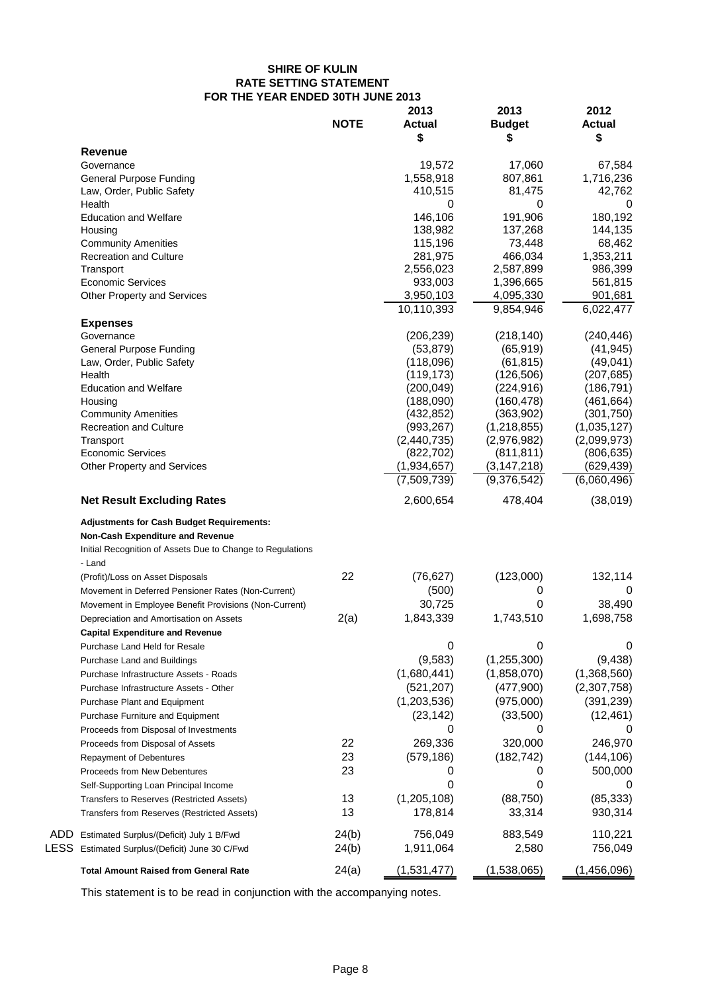# **SHIRE OF KULIN RATE SETTING STATEMENT FOR THE YEAR ENDED 30TH JUNE 2013**

|                                                                      | <b>NOTE</b> | 2013<br><b>Actual</b><br>\$ | 2013<br><b>Budget</b><br>\$ | 2012<br><b>Actual</b><br>\$ |
|----------------------------------------------------------------------|-------------|-----------------------------|-----------------------------|-----------------------------|
| <b>Revenue</b>                                                       |             |                             |                             |                             |
| Governance                                                           |             | 19,572                      | 17,060                      | 67,584                      |
| <b>General Purpose Funding</b>                                       |             | 1,558,918                   | 807,861                     | 1,716,236                   |
| Law, Order, Public Safety                                            |             | 410,515                     | 81,475                      | 42,762                      |
| Health                                                               |             | 0                           | 0                           | 0                           |
| <b>Education and Welfare</b>                                         |             | 146,106                     | 191,906                     | 180,192                     |
| Housing                                                              |             | 138,982                     | 137,268                     | 144,135                     |
| <b>Community Amenities</b>                                           |             | 115,196                     | 73,448                      | 68,462                      |
| <b>Recreation and Culture</b>                                        |             | 281,975                     | 466,034                     | 1,353,211                   |
| Transport                                                            |             | 2,556,023                   | 2,587,899                   | 986,399                     |
| <b>Economic Services</b>                                             |             | 933,003                     | 1,396,665                   | 561,815                     |
| Other Property and Services                                          |             | 3,950,103                   | 4,095,330                   | 901,681                     |
|                                                                      |             | 10,110,393                  | 9,854,946                   | 6,022,477                   |
| <b>Expenses</b>                                                      |             |                             |                             |                             |
| Governance                                                           |             | (206, 239)                  | (218, 140)                  | (240, 446)                  |
| <b>General Purpose Funding</b>                                       |             | (53, 879)                   | (65, 919)                   | (41, 945)                   |
| Law, Order, Public Safety                                            |             | (118,096)                   | (61, 815)                   | (49, 041)                   |
| Health                                                               |             | (119, 173)                  | (126, 506)                  | (207, 685)                  |
| <b>Education and Welfare</b>                                         |             | (200, 049)                  | (224, 916)                  | (186, 791)                  |
| Housing                                                              |             | (188,090)                   | (160, 478)                  | (461, 664)                  |
| <b>Community Amenities</b>                                           |             | (432, 852)                  | (363,902)                   | (301, 750)                  |
| Recreation and Culture                                               |             | (993, 267)                  | (1,218,855)                 | (1,035,127)                 |
| Transport                                                            |             | (2,440,735)                 | (2,976,982)                 | (2,099,973)                 |
| <b>Economic Services</b>                                             |             | (822, 702)                  | (811, 811)                  | (806, 635)                  |
| Other Property and Services                                          |             | (1,934,657)                 | (3, 147, 218)               | (629, 439)                  |
|                                                                      |             | (7,509,739)                 | (9,376,542)                 | (6,060,496)                 |
| <b>Net Result Excluding Rates</b>                                    |             | 2,600,654                   | 478,404                     | (38,019)                    |
| <b>Adjustments for Cash Budget Requirements:</b>                     |             |                             |                             |                             |
| <b>Non-Cash Expenditure and Revenue</b>                              |             |                             |                             |                             |
| Initial Recognition of Assets Due to Change to Regulations<br>- Land |             |                             |                             |                             |
| (Profit)/Loss on Asset Disposals                                     | 22          | (76, 627)                   | (123,000)                   | 132,114                     |
| Movement in Deferred Pensioner Rates (Non-Current)                   |             | (500)                       | 0                           | 0                           |
|                                                                      |             | 30,725                      | 0                           | 38,490                      |
| Movement in Employee Benefit Provisions (Non-Current)                |             |                             |                             |                             |
| Depreciation and Amortisation on Assets                              | 2(a)        | 1,843,339                   | 1,743,510                   | 1,698,758                   |
| <b>Capital Expenditure and Revenue</b>                               |             |                             |                             |                             |
| Purchase Land Held for Resale                                        |             | 0                           | 0                           | 0                           |
| Purchase Land and Buildings                                          |             | (9,583)                     | (1, 255, 300)               | (9, 438)                    |
| Purchase Infrastructure Assets - Roads                               |             | (1,680,441)                 | (1,858,070)                 | (1,368,560)                 |
| Purchase Infrastructure Assets - Other                               |             | (521, 207)                  | (477,900)                   | (2,307,758)                 |
| <b>Purchase Plant and Equipment</b>                                  |             | (1,203,536)                 | (975,000)                   | (391, 239)                  |
| Purchase Furniture and Equipment                                     |             | (23, 142)                   | (33,500)                    | (12, 461)                   |
| Proceeds from Disposal of Investments                                |             | 0                           | 0                           |                             |
| Proceeds from Disposal of Assets                                     | 22          | 269,336                     | 320,000                     | 246,970                     |
| <b>Repayment of Debentures</b>                                       | 23          | (579, 186)                  | (182, 742)                  | (144, 106)                  |
| Proceeds from New Debentures                                         | 23          | 0                           | 0                           | 500,000                     |
|                                                                      |             | 0                           | 0                           | O                           |
| Self-Supporting Loan Principal Income                                |             |                             |                             |                             |
| Transfers to Reserves (Restricted Assets)                            | 13          | (1, 205, 108)               | (88, 750)                   | (85, 333)                   |
| Transfers from Reserves (Restricted Assets)                          | 13          | 178,814                     | 33,314                      | 930,314                     |
| ADD.<br>Estimated Surplus/(Deficit) July 1 B/Fwd                     | 24(b)       | 756,049                     | 883,549                     | 110,221                     |
| LESS Estimated Surplus/(Deficit) June 30 C/Fwd                       | 24(b)       | 1,911,064                   | 2,580                       | 756,049                     |
| <b>Total Amount Raised from General Rate</b>                         | 24(a)       | (1,531,477)                 | (1,538,065)                 | (1,456,096)                 |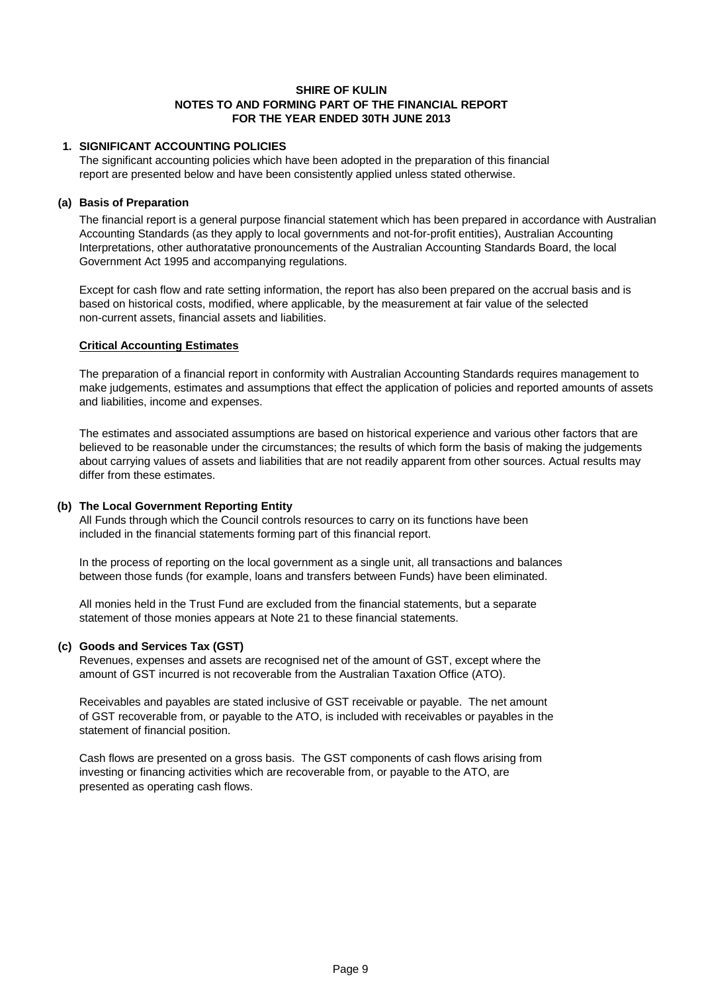#### **1. SIGNIFICANT ACCOUNTING POLICIES**

The significant accounting policies which have been adopted in the preparation of this financial report are presented below and have been consistently applied unless stated otherwise.

#### **(a) Basis of Preparation**

The financial report is a general purpose financial statement which has been prepared in accordance with Australian Accounting Standards (as they apply to local governments and not-for-profit entities), Australian Accounting Interpretations, other authoratative pronouncements of the Australian Accounting Standards Board, the local Government Act 1995 and accompanying regulations.

Except for cash flow and rate setting information, the report has also been prepared on the accrual basis and is based on historical costs, modified, where applicable, by the measurement at fair value of the selected non-current assets, financial assets and liabilities.

#### **Critical Accounting Estimates**

The preparation of a financial report in conformity with Australian Accounting Standards requires management to make judgements, estimates and assumptions that effect the application of policies and reported amounts of assets and liabilities, income and expenses.

The estimates and associated assumptions are based on historical experience and various other factors that are believed to be reasonable under the circumstances; the results of which form the basis of making the judgements about carrying values of assets and liabilities that are not readily apparent from other sources. Actual results may differ from these estimates.

# **(b) The Local Government Reporting Entity**

All Funds through which the Council controls resources to carry on its functions have been included in the financial statements forming part of this financial report.

In the process of reporting on the local government as a single unit, all transactions and balances between those funds (for example, loans and transfers between Funds) have been eliminated.

All monies held in the Trust Fund are excluded from the financial statements, but a separate statement of those monies appears at Note 21 to these financial statements.

# **(c) Goods and Services Tax (GST)**

Revenues, expenses and assets are recognised net of the amount of GST, except where the amount of GST incurred is not recoverable from the Australian Taxation Office (ATO).

Receivables and payables are stated inclusive of GST receivable or payable. The net amount of GST recoverable from, or payable to the ATO, is included with receivables or payables in the statement of financial position.

Cash flows are presented on a gross basis. The GST components of cash flows arising from investing or financing activities which are recoverable from, or payable to the ATO, are presented as operating cash flows.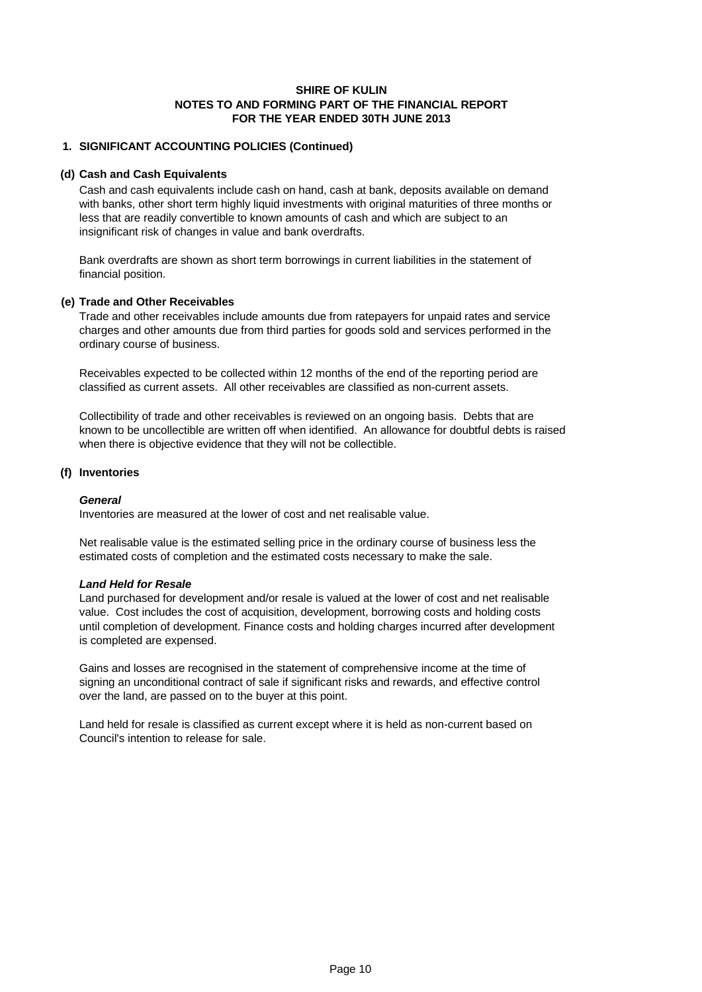#### **1. SIGNIFICANT ACCOUNTING POLICIES (Continued)**

#### **(d) Cash and Cash Equivalents**

Cash and cash equivalents include cash on hand, cash at bank, deposits available on demand with banks, other short term highly liquid investments with original maturities of three months or less that are readily convertible to known amounts of cash and which are subject to an insignificant risk of changes in value and bank overdrafts.

Bank overdrafts are shown as short term borrowings in current liabilities in the statement of financial position.

#### **(e) Trade and Other Receivables**

Trade and other receivables include amounts due from ratepayers for unpaid rates and service charges and other amounts due from third parties for goods sold and services performed in the ordinary course of business.

Receivables expected to be collected within 12 months of the end of the reporting period are classified as current assets. All other receivables are classified as non-current assets.

Collectibility of trade and other receivables is reviewed on an ongoing basis. Debts that are known to be uncollectible are written off when identified. An allowance for doubtful debts is raised when there is objective evidence that they will not be collectible.

#### **(f) Inventories**

#### *General*

Inventories are measured at the lower of cost and net realisable value.

Net realisable value is the estimated selling price in the ordinary course of business less the estimated costs of completion and the estimated costs necessary to make the sale.

#### *Land Held for Resale*

Land purchased for development and/or resale is valued at the lower of cost and net realisable value. Cost includes the cost of acquisition, development, borrowing costs and holding costs until completion of development. Finance costs and holding charges incurred after development is completed are expensed.

Gains and losses are recognised in the statement of comprehensive income at the time of signing an unconditional contract of sale if significant risks and rewards, and effective control over the land, are passed on to the buyer at this point.

Land held for resale is classified as current except where it is held as non-current based on Council's intention to release for sale.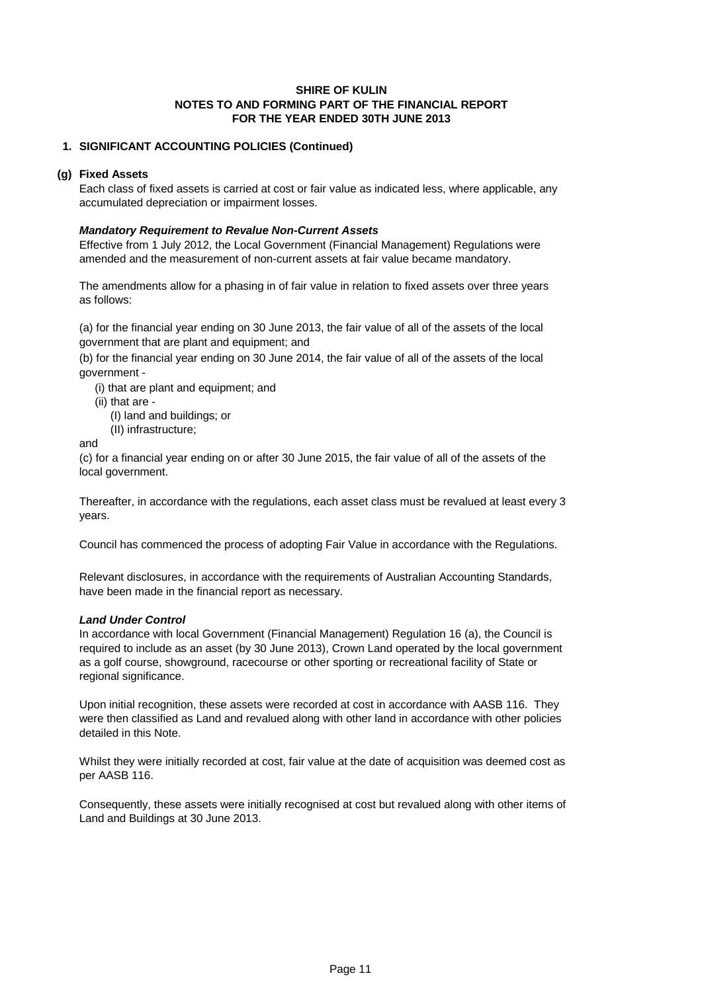#### **1. SIGNIFICANT ACCOUNTING POLICIES (Continued)**

#### **(g) Fixed Assets**

Each class of fixed assets is carried at cost or fair value as indicated less, where applicable, any accumulated depreciation or impairment losses.

#### *Mandatory Requirement to Revalue Non-Current Assets*

Effective from 1 July 2012, the Local Government (Financial Management) Regulations were amended and the measurement of non-current assets at fair value became mandatory.

as follows: The amendments allow for a phasing in of fair value in relation to fixed assets over three years

(a) for the financial year ending on 30 June 2013, the fair value of all of the assets of the local government that are plant and equipment; and

(b) for the financial year ending on 30 June 2014, the fair value of all of the assets of the local government -

(i) that are plant and equipment; and

- (ii) that are
	- (I) land and buildings; or
	- (II) infrastructure;

and

(c) for a financial year ending on or after 30 June 2015, the fair value of all of the assets of the local government.

Thereafter, in accordance with the regulations, each asset class must be revalued at least every 3 years.

Council has commenced the process of adopting Fair Value in accordance with the Regulations.

Relevant disclosures, in accordance with the requirements of Australian Accounting Standards, have been made in the financial report as necessary.

#### *Land Under Control*

In accordance with local Government (Financial Management) Regulation 16 (a), the Council is required to include as an asset (by 30 June 2013), Crown Land operated by the local government as a golf course, showground, racecourse or other sporting or recreational facility of State or regional significance.

Upon initial recognition, these assets were recorded at cost in accordance with AASB 116. They were then classified as Land and revalued along with other land in accordance with other policies detailed in this Note.

Whilst they were initially recorded at cost, fair value at the date of acquisition was deemed cost as per AASB 116.

Consequently, these assets were initially recognised at cost but revalued along with other items of Land and Buildings at 30 June 2013.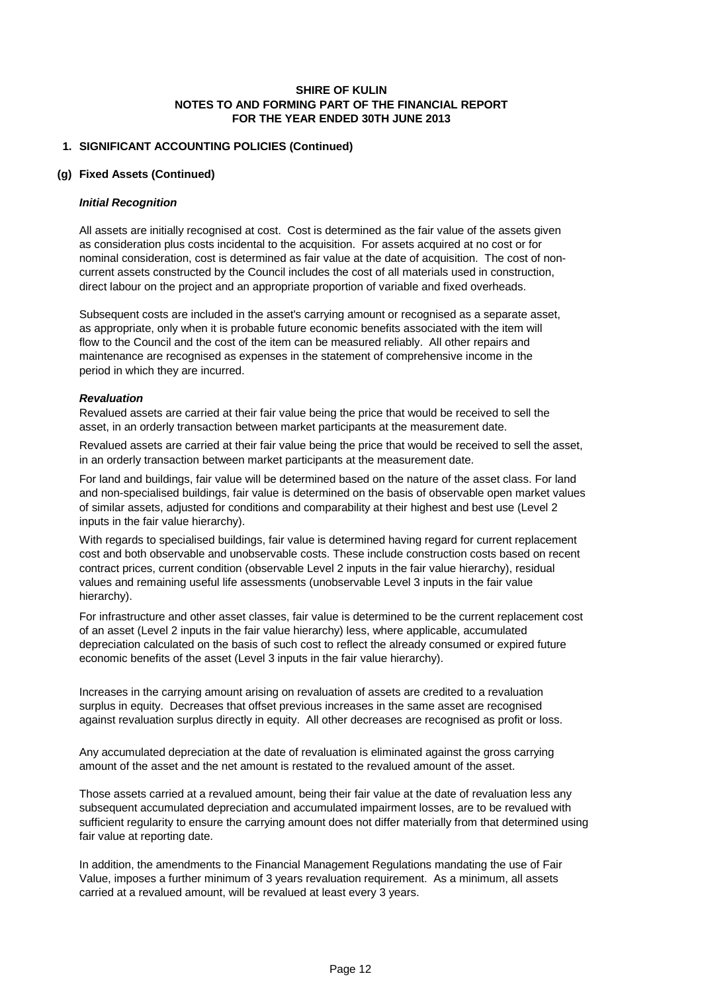#### **1. SIGNIFICANT ACCOUNTING POLICIES (Continued)**

#### **(g) Fixed Assets (Continued)**

#### *Initial Recognition*

All assets are initially recognised at cost. Cost is determined as the fair value of the assets given as consideration plus costs incidental to the acquisition. For assets acquired at no cost or for nominal consideration, cost is determined as fair value at the date of acquisition. The cost of noncurrent assets constructed by the Council includes the cost of all materials used in construction, direct labour on the project and an appropriate proportion of variable and fixed overheads.

Subsequent costs are included in the asset's carrying amount or recognised as a separate asset, as appropriate, only when it is probable future economic benefits associated with the item will flow to the Council and the cost of the item can be measured reliably. All other repairs and maintenance are recognised as expenses in the statement of comprehensive income in the period in which they are incurred.

#### *Revaluation*

Revalued assets are carried at their fair value being the price that would be received to sell the asset, in an orderly transaction between market participants at the measurement date.

Revalued assets are carried at their fair value being the price that would be received to sell the asset, in an orderly transaction between market participants at the measurement date.

For land and buildings, fair value will be determined based on the nature of the asset class. For land and non-specialised buildings, fair value is determined on the basis of observable open market values of similar assets, adjusted for conditions and comparability at their highest and best use (Level 2 inputs in the fair value hierarchy).

With regards to specialised buildings, fair value is determined having regard for current replacement cost and both observable and unobservable costs. These include construction costs based on recent contract prices, current condition (observable Level 2 inputs in the fair value hierarchy), residual values and remaining useful life assessments (unobservable Level 3 inputs in the fair value hierarchy).

For infrastructure and other asset classes, fair value is determined to be the current replacement cost of an asset (Level 2 inputs in the fair value hierarchy) less, where applicable, accumulated depreciation calculated on the basis of such cost to reflect the already consumed or expired future economic benefits of the asset (Level 3 inputs in the fair value hierarchy).

Increases in the carrying amount arising on revaluation of assets are credited to a revaluation surplus in equity. Decreases that offset previous increases in the same asset are recognised against revaluation surplus directly in equity. All other decreases are recognised as profit or loss.

Any accumulated depreciation at the date of revaluation is eliminated against the gross carrying amount of the asset and the net amount is restated to the revalued amount of the asset.

Those assets carried at a revalued amount, being their fair value at the date of revaluation less any subsequent accumulated depreciation and accumulated impairment losses, are to be revalued with sufficient regularity to ensure the carrying amount does not differ materially from that determined using fair value at reporting date.

In addition, the amendments to the Financial Management Regulations mandating the use of Fair Value, imposes a further minimum of 3 years revaluation requirement. As a minimum, all assets carried at a revalued amount, will be revalued at least every 3 years.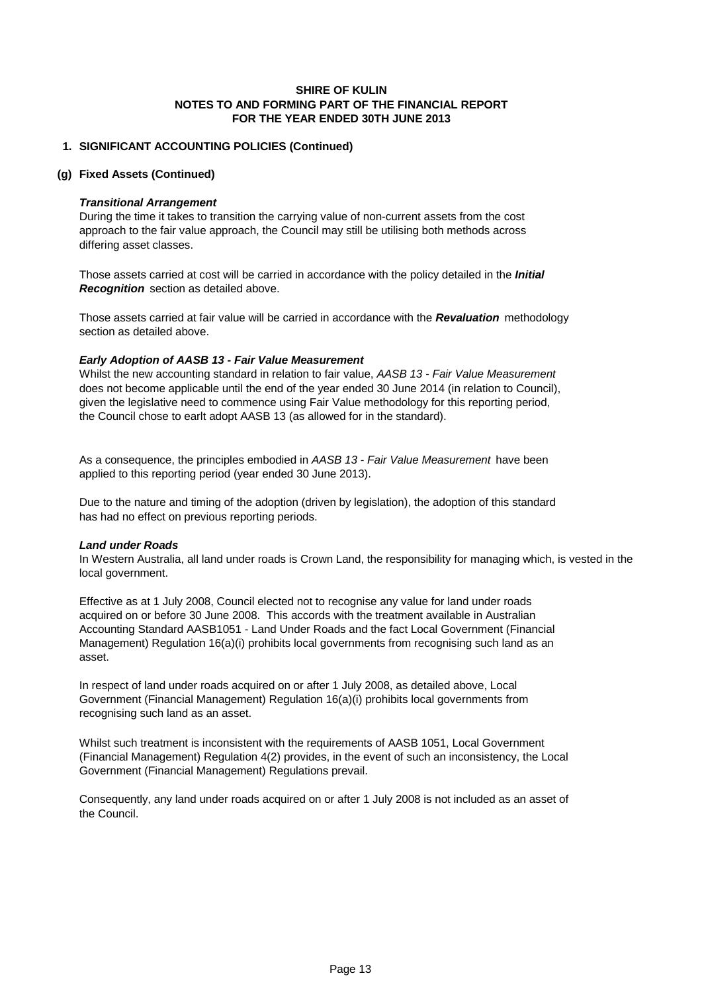#### **1. SIGNIFICANT ACCOUNTING POLICIES (Continued)**

#### **(g) Fixed Assets (Continued)**

#### *Transitional Arrangement*

During the time it takes to transition the carrying value of non-current assets from the cost approach to the fair value approach, the Council may still be utilising both methods across differing asset classes.

Those assets carried at cost will be carried in accordance with the policy detailed in the *Initial Recognition* section as detailed above.

Those assets carried at fair value will be carried in accordance with the *Revaluation* methodology section as detailed above.

#### *Early Adoption of AASB 13 - Fair Value Measurement*

Whilst the new accounting standard in relation to fair value, *AASB 13 - Fair Value Measurement*  does not become applicable until the end of the year ended 30 June 2014 (in relation to Council), given the legislative need to commence using Fair Value methodology for this reporting period, the Council chose to earlt adopt AASB 13 (as allowed for in the standard).

As a consequence, the principles embodied in *AASB 13 - Fair Value Measurement* have been applied to this reporting period (year ended 30 June 2013).

Due to the nature and timing of the adoption (driven by legislation), the adoption of this standard has had no effect on previous reporting periods.

#### *Land under Roads*

In Western Australia, all land under roads is Crown Land, the responsibility for managing which, is vested in the local government.

Effective as at 1 July 2008, Council elected not to recognise any value for land under roads acquired on or before 30 June 2008. This accords with the treatment available in Australian Accounting Standard AASB1051 - Land Under Roads and the fact Local Government (Financial Management) Regulation 16(a)(i) prohibits local governments from recognising such land as an asset.

In respect of land under roads acquired on or after 1 July 2008, as detailed above, Local Government (Financial Management) Regulation 16(a)(i) prohibits local governments from recognising such land as an asset.

Whilst such treatment is inconsistent with the requirements of AASB 1051, Local Government (Financial Management) Regulation 4(2) provides, in the event of such an inconsistency, the Local Government (Financial Management) Regulations prevail.

Consequently, any land under roads acquired on or after 1 July 2008 is not included as an asset of the Council.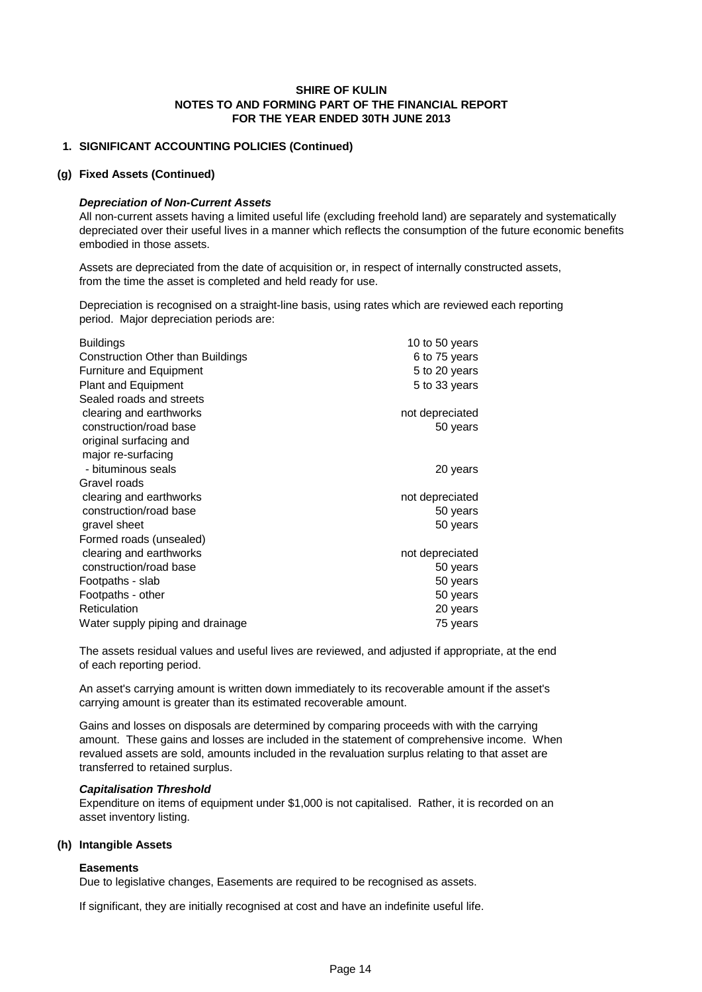#### **1. SIGNIFICANT ACCOUNTING POLICIES (Continued)**

#### **(g) Fixed Assets (Continued)**

#### *Depreciation of Non-Current Assets*

All non-current assets having a limited useful life (excluding freehold land) are separately and systematically depreciated over their useful lives in a manner which reflects the consumption of the future economic benefits embodied in those assets.

Assets are depreciated from the date of acquisition or, in respect of internally constructed assets, from the time the asset is completed and held ready for use.

Depreciation is recognised on a straight-line basis, using rates which are reviewed each reporting period. Major depreciation periods are:

| <b>Buildings</b>                         | 10 to 50 years  |
|------------------------------------------|-----------------|
| <b>Construction Other than Buildings</b> | 6 to 75 years   |
| <b>Furniture and Equipment</b>           | 5 to 20 years   |
| <b>Plant and Equipment</b>               | 5 to 33 years   |
| Sealed roads and streets                 |                 |
| clearing and earthworks                  | not depreciated |
| construction/road base                   | 50 years        |
| original surfacing and                   |                 |
| major re-surfacing                       |                 |
| - bituminous seals                       | 20 years        |
| Gravel roads                             |                 |
| clearing and earthworks                  | not depreciated |
| construction/road base                   | 50 years        |
| gravel sheet                             | 50 years        |
| Formed roads (unsealed)                  |                 |
| clearing and earthworks                  | not depreciated |
| construction/road base                   | 50 years        |
| Footpaths - slab                         | 50 years        |
| Footpaths - other                        | 50 years        |
| Reticulation                             | 20 years        |
| Water supply piping and drainage         | 75 years        |

The assets residual values and useful lives are reviewed, and adjusted if appropriate, at the end of each reporting period.

An asset's carrying amount is written down immediately to its recoverable amount if the asset's carrying amount is greater than its estimated recoverable amount.

Gains and losses on disposals are determined by comparing proceeds with with the carrying amount. These gains and losses are included in the statement of comprehensive income. When revalued assets are sold, amounts included in the revaluation surplus relating to that asset are transferred to retained surplus.

#### *Capitalisation Threshold*

Expenditure on items of equipment under \$1,000 is not capitalised. Rather, it is recorded on an asset inventory listing.

#### **(h) Intangible Assets**

#### **Easements**

Due to legislative changes, Easements are required to be recognised as assets.

If significant, they are initially recognised at cost and have an indefinite useful life.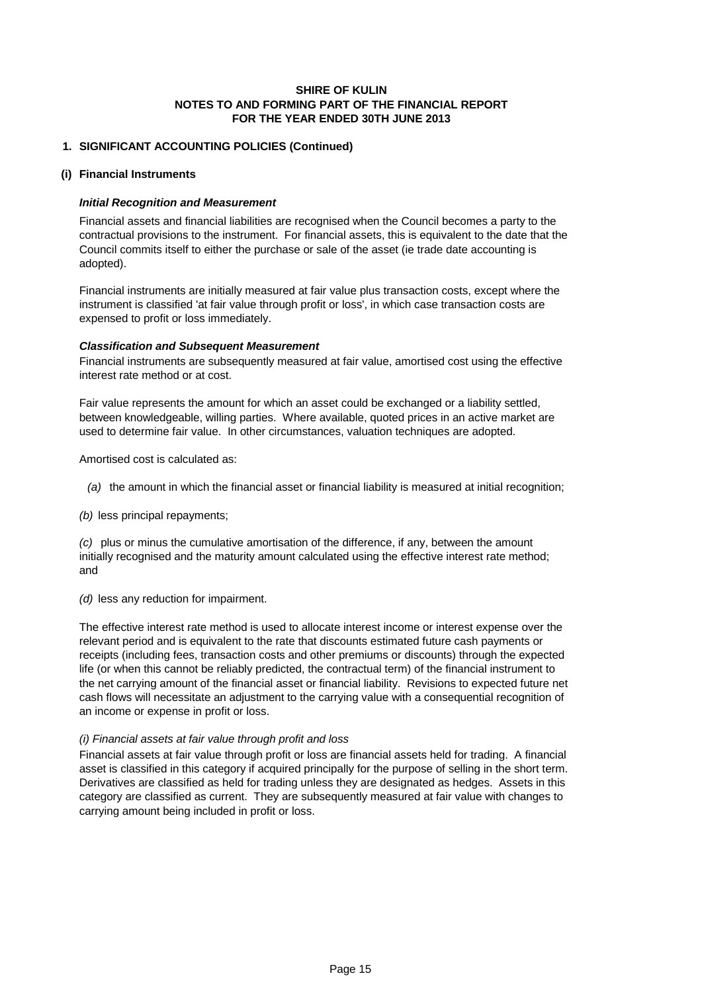#### **1. SIGNIFICANT ACCOUNTING POLICIES (Continued)**

#### **(i) Financial Instruments**

#### *Initial Recognition and Measurement*

Financial assets and financial liabilities are recognised when the Council becomes a party to the contractual provisions to the instrument. For financial assets, this is equivalent to the date that the Council commits itself to either the purchase or sale of the asset (ie trade date accounting is adopted).

Financial instruments are initially measured at fair value plus transaction costs, except where the instrument is classified 'at fair value through profit or loss', in which case transaction costs are expensed to profit or loss immediately.

#### *Classification and Subsequent Measurement*

Financial instruments are subsequently measured at fair value, amortised cost using the effective interest rate method or at cost.

Fair value represents the amount for which an asset could be exchanged or a liability settled, between knowledgeable, willing parties. Where available, quoted prices in an active market are used to determine fair value. In other circumstances, valuation techniques are adopted.

Amortised cost is calculated as:

 *(a)* the amount in which the financial asset or financial liability is measured at initial recognition;

*(b)* less principal repayments;

*(c)* plus or minus the cumulative amortisation of the difference, if any, between the amount initially recognised and the maturity amount calculated using the effective interest rate method; and

*(d)* less any reduction for impairment.

The effective interest rate method is used to allocate interest income or interest expense over the relevant period and is equivalent to the rate that discounts estimated future cash payments or receipts (including fees, transaction costs and other premiums or discounts) through the expected life (or when this cannot be reliably predicted, the contractual term) of the financial instrument to the net carrying amount of the financial asset or financial liability. Revisions to expected future net cash flows will necessitate an adjustment to the carrying value with a consequential recognition of an income or expense in profit or loss.

#### *(i) Financial assets at fair value through profit and loss*

Financial assets at fair value through profit or loss are financial assets held for trading. A financial asset is classified in this category if acquired principally for the purpose of selling in the short term. Derivatives are classified as held for trading unless they are designated as hedges. Assets in this category are classified as current. They are subsequently measured at fair value with changes to carrying amount being included in profit or loss.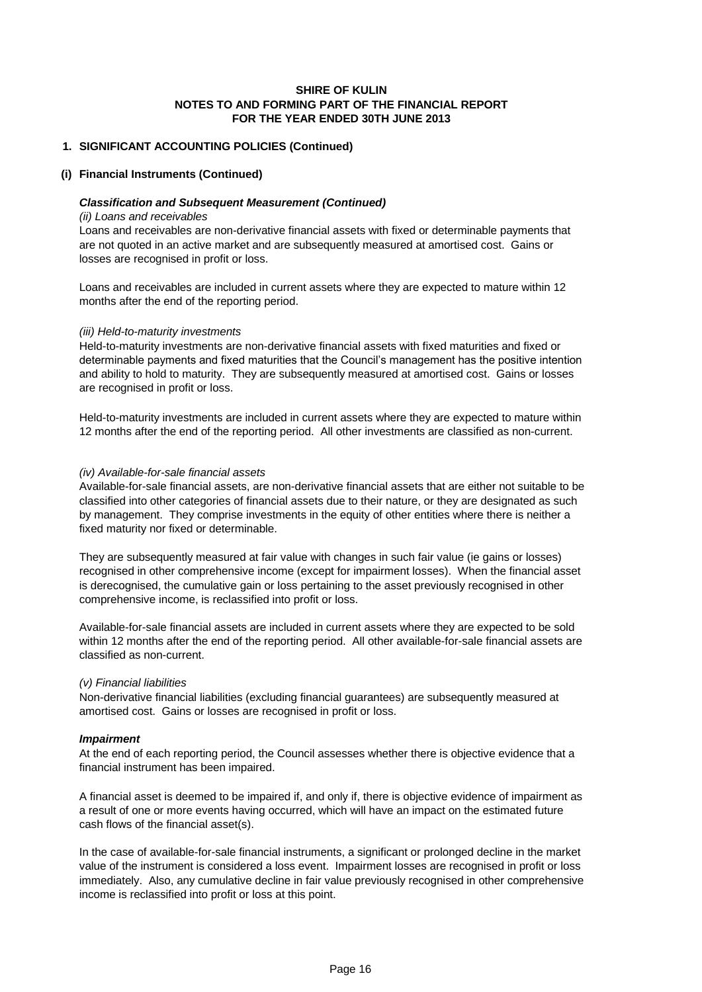#### **1. SIGNIFICANT ACCOUNTING POLICIES (Continued)**

#### **(i) Financial Instruments (Continued)**

#### *Classification and Subsequent Measurement (Continued)*

#### *(ii) Loans and receivables*

Loans and receivables are non-derivative financial assets with fixed or determinable payments that are not quoted in an active market and are subsequently measured at amortised cost. Gains or losses are recognised in profit or loss.

Loans and receivables are included in current assets where they are expected to mature within 12 months after the end of the reporting period.

#### *(iii) Held-to-maturity investments*

Held-to-maturity investments are non-derivative financial assets with fixed maturities and fixed or determinable payments and fixed maturities that the Council's management has the positive intention and ability to hold to maturity. They are subsequently measured at amortised cost. Gains or losses are recognised in profit or loss.

Held-to-maturity investments are included in current assets where they are expected to mature within 12 months after the end of the reporting period. All other investments are classified as non-current.

#### *(iv) Available-for-sale financial assets*

Available-for-sale financial assets, are non-derivative financial assets that are either not suitable to be classified into other categories of financial assets due to their nature, or they are designated as such by management. They comprise investments in the equity of other entities where there is neither a fixed maturity nor fixed or determinable.

They are subsequently measured at fair value with changes in such fair value (ie gains or losses) recognised in other comprehensive income (except for impairment losses). When the financial asset is derecognised, the cumulative gain or loss pertaining to the asset previously recognised in other comprehensive income, is reclassified into profit or loss.

Available-for-sale financial assets are included in current assets where they are expected to be sold within 12 months after the end of the reporting period. All other available-for-sale financial assets are classified as non-current.

#### *(v) Financial liabilities*

Non-derivative financial liabilities (excluding financial guarantees) are subsequently measured at amortised cost. Gains or losses are recognised in profit or loss.

#### *Impairment*

At the end of each reporting period, the Council assesses whether there is objective evidence that a financial instrument has been impaired.

A financial asset is deemed to be impaired if, and only if, there is objective evidence of impairment as a result of one or more events having occurred, which will have an impact on the estimated future cash flows of the financial asset(s).

In the case of available-for-sale financial instruments, a significant or prolonged decline in the market value of the instrument is considered a loss event. Impairment losses are recognised in profit or loss immediately. Also, any cumulative decline in fair value previously recognised in other comprehensive income is reclassified into profit or loss at this point.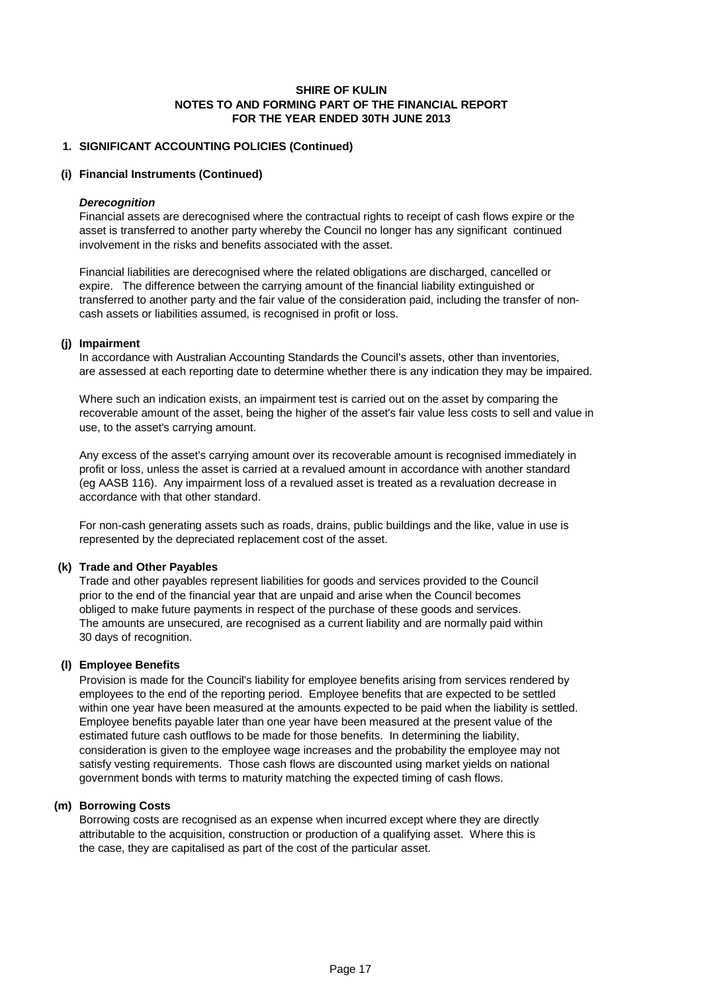#### **1. SIGNIFICANT ACCOUNTING POLICIES (Continued)**

#### **(i) Financial Instruments (Continued)**

#### *Derecognition*

Financial assets are derecognised where the contractual rights to receipt of cash flows expire or the asset is transferred to another party whereby the Council no longer has any significant continued involvement in the risks and benefits associated with the asset.

Financial liabilities are derecognised where the related obligations are discharged, cancelled or expire. The difference between the carrying amount of the financial liability extinguished or transferred to another party and the fair value of the consideration paid, including the transfer of noncash assets or liabilities assumed, is recognised in profit or loss.

#### **(j) Impairment**

In accordance with Australian Accounting Standards the Council's assets, other than inventories, are assessed at each reporting date to determine whether there is any indication they may be impaired.

Where such an indication exists, an impairment test is carried out on the asset by comparing the recoverable amount of the asset, being the higher of the asset's fair value less costs to sell and value in use, to the asset's carrying amount.

Any excess of the asset's carrying amount over its recoverable amount is recognised immediately in profit or loss, unless the asset is carried at a revalued amount in accordance with another standard (eg AASB 116). Any impairment loss of a revalued asset is treated as a revaluation decrease in accordance with that other standard.

For non-cash generating assets such as roads, drains, public buildings and the like, value in use is represented by the depreciated replacement cost of the asset.

#### **(k) Trade and Other Payables**

Trade and other payables represent liabilities for goods and services provided to the Council prior to the end of the financial year that are unpaid and arise when the Council becomes obliged to make future payments in respect of the purchase of these goods and services. The amounts are unsecured, are recognised as a current liability and are normally paid within 30 days of recognition.

#### **(l) Employee Benefits**

Provision is made for the Council's liability for employee benefits arising from services rendered by employees to the end of the reporting period. Employee benefits that are expected to be settled within one year have been measured at the amounts expected to be paid when the liability is settled. Employee benefits payable later than one year have been measured at the present value of the estimated future cash outflows to be made for those benefits. In determining the liability, consideration is given to the employee wage increases and the probability the employee may not satisfy vesting requirements. Those cash flows are discounted using market yields on national government bonds with terms to maturity matching the expected timing of cash flows.

#### **(m) Borrowing Costs**

Borrowing costs are recognised as an expense when incurred except where they are directly attributable to the acquisition, construction or production of a qualifying asset. Where this is the case, they are capitalised as part of the cost of the particular asset.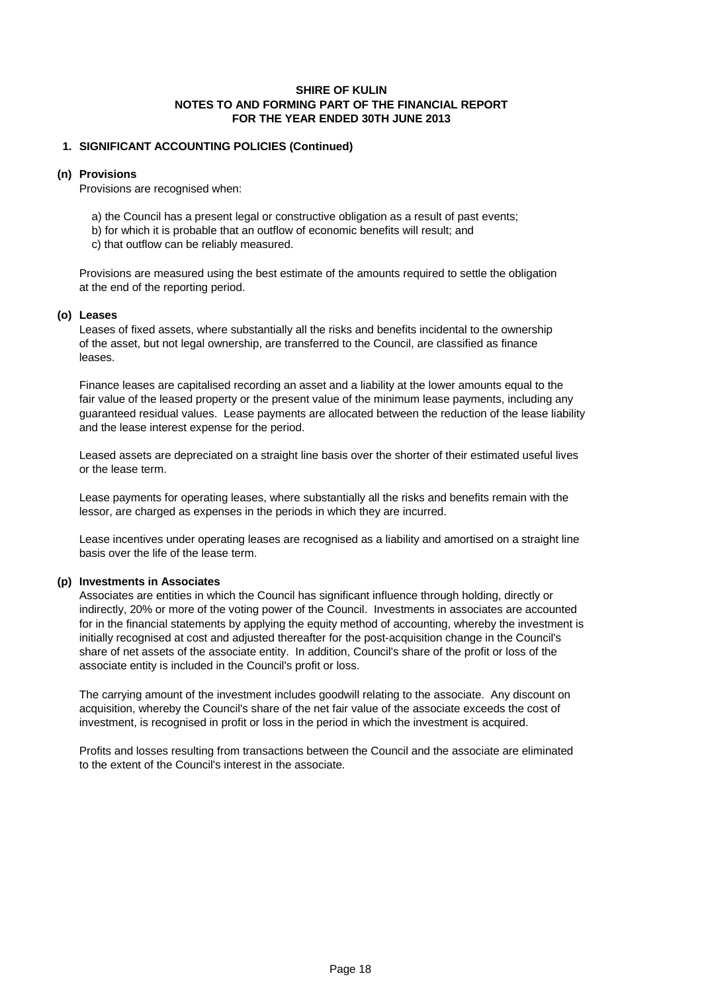#### **1. SIGNIFICANT ACCOUNTING POLICIES (Continued)**

#### **(n) Provisions**

Provisions are recognised when:

- a) the Council has a present legal or constructive obligation as a result of past events;
- b) for which it is probable that an outflow of economic benefits will result; and
- c) that outflow can be reliably measured.

Provisions are measured using the best estimate of the amounts required to settle the obligation at the end of the reporting period.

#### **(o) Leases**

Leases of fixed assets, where substantially all the risks and benefits incidental to the ownership of the asset, but not legal ownership, are transferred to the Council, are classified as finance leases.

Finance leases are capitalised recording an asset and a liability at the lower amounts equal to the fair value of the leased property or the present value of the minimum lease payments, including any guaranteed residual values. Lease payments are allocated between the reduction of the lease liability and the lease interest expense for the period.

Leased assets are depreciated on a straight line basis over the shorter of their estimated useful lives or the lease term.

Lease payments for operating leases, where substantially all the risks and benefits remain with the lessor, are charged as expenses in the periods in which they are incurred.

Lease incentives under operating leases are recognised as a liability and amortised on a straight line basis over the life of the lease term.

# **(p) Investments in Associates**

Associates are entities in which the Council has significant influence through holding, directly or indirectly, 20% or more of the voting power of the Council. Investments in associates are accounted for in the financial statements by applying the equity method of accounting, whereby the investment is initially recognised at cost and adjusted thereafter for the post-acquisition change in the Council's share of net assets of the associate entity. In addition, Council's share of the profit or loss of the associate entity is included in the Council's profit or loss.

The carrying amount of the investment includes goodwill relating to the associate. Any discount on acquisition, whereby the Council's share of the net fair value of the associate exceeds the cost of investment, is recognised in profit or loss in the period in which the investment is acquired.

Profits and losses resulting from transactions between the Council and the associate are eliminated to the extent of the Council's interest in the associate.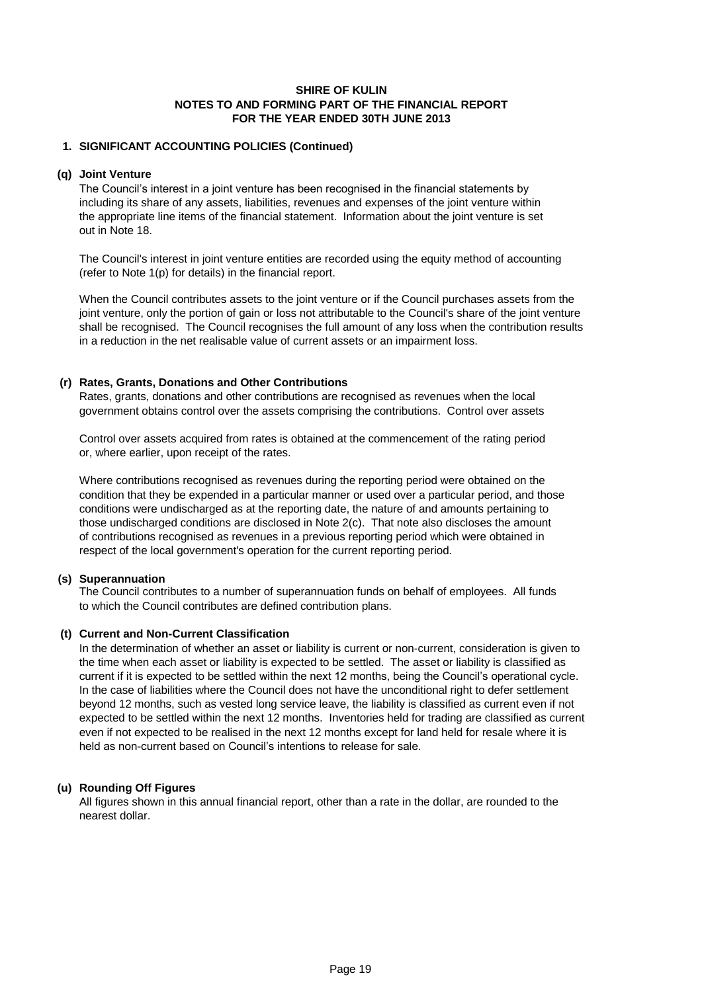#### **1. SIGNIFICANT ACCOUNTING POLICIES (Continued)**

#### **(q) Joint Venture**

The Council's interest in a joint venture has been recognised in the financial statements by including its share of any assets, liabilities, revenues and expenses of the joint venture within the appropriate line items of the financial statement. Information about the joint venture is set out in Note 18.

The Council's interest in joint venture entities are recorded using the equity method of accounting (refer to Note 1(p) for details) in the financial report.

When the Council contributes assets to the joint venture or if the Council purchases assets from the joint venture, only the portion of gain or loss not attributable to the Council's share of the joint venture shall be recognised. The Council recognises the full amount of any loss when the contribution results in a reduction in the net realisable value of current assets or an impairment loss.

#### **(r) Rates, Grants, Donations and Other Contributions**

Rates, grants, donations and other contributions are recognised as revenues when the local government obtains control over the assets comprising the contributions. Control over assets

Control over assets acquired from rates is obtained at the commencement of the rating period or, where earlier, upon receipt of the rates.

Where contributions recognised as revenues during the reporting period were obtained on the condition that they be expended in a particular manner or used over a particular period, and those conditions were undischarged as at the reporting date, the nature of and amounts pertaining to those undischarged conditions are disclosed in Note 2(c). That note also discloses the amount of contributions recognised as revenues in a previous reporting period which were obtained in respect of the local government's operation for the current reporting period.

#### **(s) Superannuation**

The Council contributes to a number of superannuation funds on behalf of employees. All funds to which the Council contributes are defined contribution plans.

# **(t) Current and Non-Current Classification**

In the determination of whether an asset or liability is current or non-current, consideration is given to the time when each asset or liability is expected to be settled. The asset or liability is classified as current if it is expected to be settled within the next 12 months, being the Council's operational cycle. In the case of liabilities where the Council does not have the unconditional right to defer settlement beyond 12 months, such as vested long service leave, the liability is classified as current even if not expected to be settled within the next 12 months. Inventories held for trading are classified as current even if not expected to be realised in the next 12 months except for land held for resale where it is held as non-current based on Council's intentions to release for sale.

# **(u) Rounding Off Figures**

All figures shown in this annual financial report, other than a rate in the dollar, are rounded to the nearest dollar.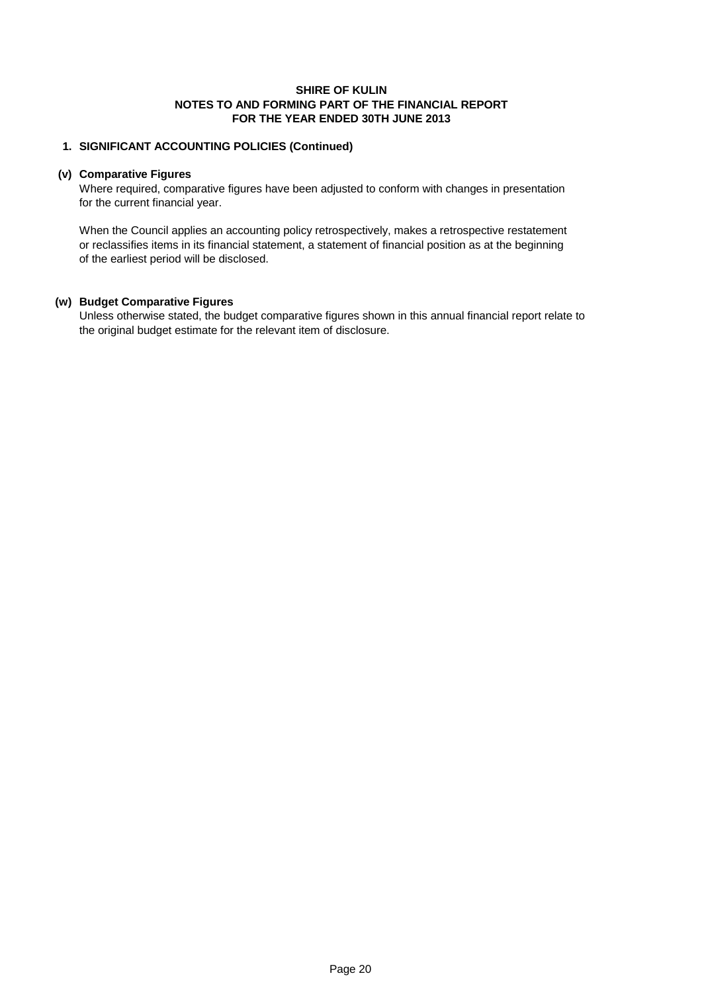#### **1. SIGNIFICANT ACCOUNTING POLICIES (Continued)**

#### **(v) Comparative Figures**

Where required, comparative figures have been adjusted to conform with changes in presentation for the current financial year.

When the Council applies an accounting policy retrospectively, makes a retrospective restatement or reclassifies items in its financial statement, a statement of financial position as at the beginning of the earliest period will be disclosed.

# **(w) Budget Comparative Figures**

Unless otherwise stated, the budget comparative figures shown in this annual financial report relate to the original budget estimate for the relevant item of disclosure.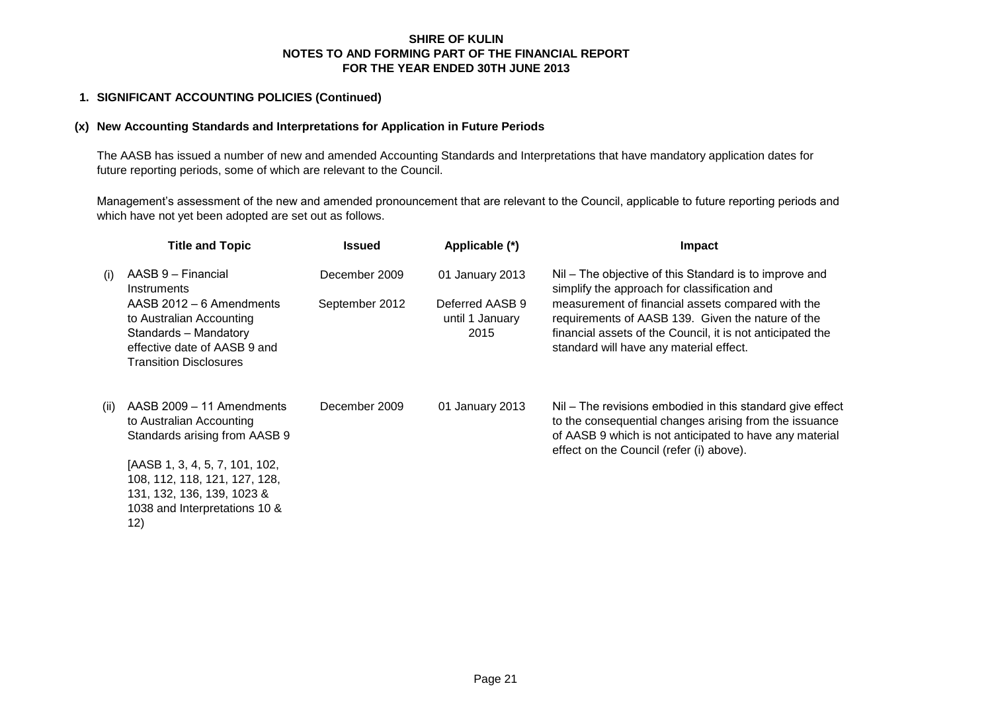## **1. SIGNIFICANT ACCOUNTING POLICIES (Continued)**

#### **(x) New Accounting Standards and Interpretations for Application in Future Periods**

The AASB has issued a number of new and amended Accounting Standards and Interpretations that have mandatory application dates for future reporting periods, some of which are relevant to the Council.

Management's assessment of the new and amended pronouncement that are relevant to the Council, applicable to future reporting periods and which have not yet been adopted are set out as follows.

|      | <b>Title and Topic</b>                                                                                                                         | <b>Issued</b>  | Applicable (*)                             | <b>Impact</b>                                                                                                                                                                                                              |
|------|------------------------------------------------------------------------------------------------------------------------------------------------|----------------|--------------------------------------------|----------------------------------------------------------------------------------------------------------------------------------------------------------------------------------------------------------------------------|
| (i)  | AASB 9 - Financial<br>Instruments                                                                                                              | December 2009  | 01 January 2013                            | Nil – The objective of this Standard is to improve and<br>simplify the approach for classification and                                                                                                                     |
|      | AASB 2012 – 6 Amendments<br>to Australian Accounting<br>Standards - Mandatory<br>effective date of AASB 9 and<br><b>Transition Disclosures</b> | September 2012 | Deferred AASB 9<br>until 1 January<br>2015 | measurement of financial assets compared with the<br>requirements of AASB 139. Given the nature of the<br>financial assets of the Council, it is not anticipated the<br>standard will have any material effect.            |
| (ii) | AASB 2009 - 11 Amendments<br>to Australian Accounting<br>Standards arising from AASB 9                                                         | December 2009  | 01 January 2013                            | Nil – The revisions embodied in this standard give effect<br>to the consequential changes arising from the issuance<br>of AASB 9 which is not anticipated to have any material<br>effect on the Council (refer (i) above). |
|      | [AASB 1, 3, 4, 5, 7, 101, 102,<br>108, 112, 118, 121, 127, 128,<br>131, 132, 136, 139, 1023 &<br>1038 and Interpretations 10 &<br>12)          |                |                                            |                                                                                                                                                                                                                            |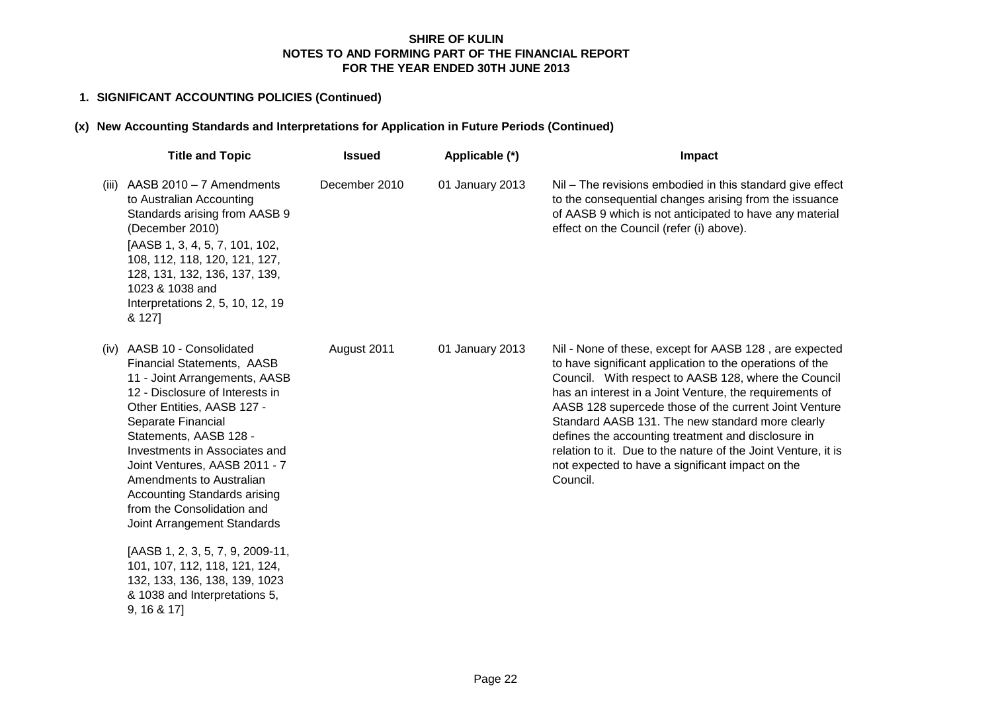# **1. SIGNIFICANT ACCOUNTING POLICIES (Continued)**

# **(x) New Accounting Standards and Interpretations for Application in Future Periods (Continued)**

|       | <b>Title and Topic</b>                                                                                                                                                                                                                                                                                                                                                                                               | <b>Issued</b> | Applicable (*)  | Impact                                                                                                                                                                                                                                                                                                                                                                                                                                                                                                                                    |
|-------|----------------------------------------------------------------------------------------------------------------------------------------------------------------------------------------------------------------------------------------------------------------------------------------------------------------------------------------------------------------------------------------------------------------------|---------------|-----------------|-------------------------------------------------------------------------------------------------------------------------------------------------------------------------------------------------------------------------------------------------------------------------------------------------------------------------------------------------------------------------------------------------------------------------------------------------------------------------------------------------------------------------------------------|
| (iii) | AASB $2010 - 7$ Amendments<br>to Australian Accounting<br>Standards arising from AASB 9<br>(December 2010)<br>[AASB 1, 3, 4, 5, 7, 101, 102,<br>108, 112, 118, 120, 121, 127,<br>128, 131, 132, 136, 137, 139,<br>1023 & 1038 and<br>Interpretations 2, 5, 10, 12, 19<br>& 127]                                                                                                                                      | December 2010 | 01 January 2013 | Nil - The revisions embodied in this standard give effect<br>to the consequential changes arising from the issuance<br>of AASB 9 which is not anticipated to have any material<br>effect on the Council (refer (i) above).                                                                                                                                                                                                                                                                                                                |
|       | (iv) AASB 10 - Consolidated<br><b>Financial Statements, AASB</b><br>11 - Joint Arrangements, AASB<br>12 - Disclosure of Interests in<br>Other Entities, AASB 127 -<br>Separate Financial<br>Statements, AASB 128 -<br>Investments in Associates and<br>Joint Ventures, AASB 2011 - 7<br>Amendments to Australian<br><b>Accounting Standards arising</b><br>from the Consolidation and<br>Joint Arrangement Standards | August 2011   | 01 January 2013 | Nil - None of these, except for AASB 128, are expected<br>to have significant application to the operations of the<br>Council. With respect to AASB 128, where the Council<br>has an interest in a Joint Venture, the requirements of<br>AASB 128 supercede those of the current Joint Venture<br>Standard AASB 131. The new standard more clearly<br>defines the accounting treatment and disclosure in<br>relation to it. Due to the nature of the Joint Venture, it is<br>not expected to have a significant impact on the<br>Council. |
|       | [AASB 1, 2, 3, 5, 7, 9, 2009-11,<br>101, 107, 112, 118, 121, 124,<br>132, 133, 136, 138, 139, 1023<br>& 1038 and Interpretations 5,<br>9, 16 & 17                                                                                                                                                                                                                                                                    |               |                 |                                                                                                                                                                                                                                                                                                                                                                                                                                                                                                                                           |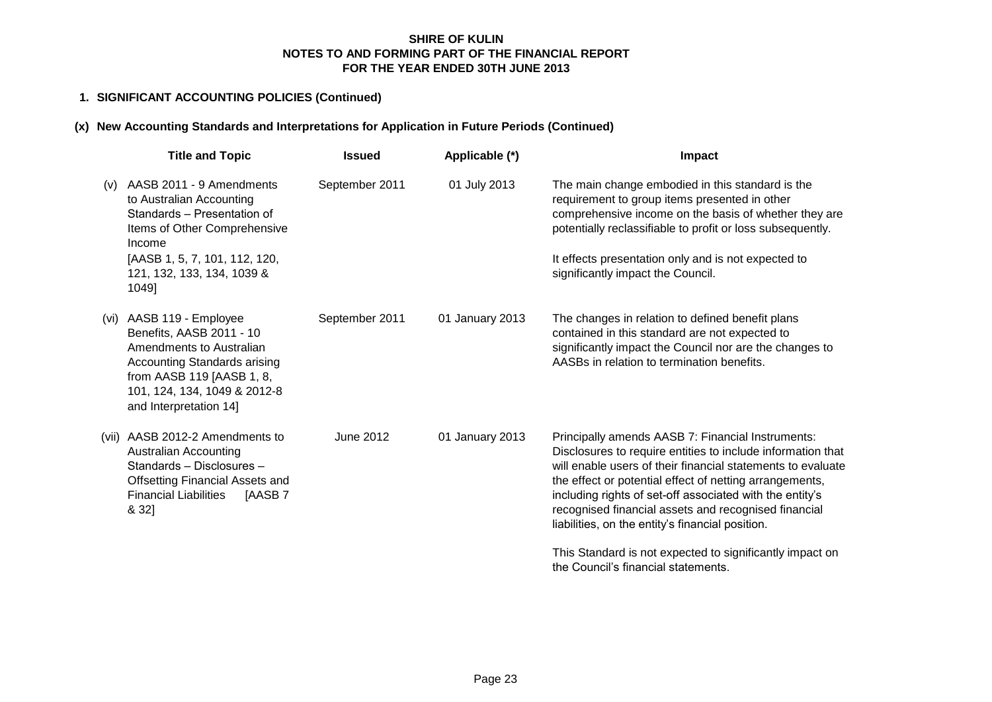# **1. SIGNIFICANT ACCOUNTING POLICIES (Continued)**

# **(x) New Accounting Standards and Interpretations for Application in Future Periods (Continued)**

|       | <b>Title and Topic</b>                                                                                                                                                                                    | <b>Issued</b>  | Applicable (*)  | Impact                                                                                                                                                                                                                                                                                                                                                                                                             |
|-------|-----------------------------------------------------------------------------------------------------------------------------------------------------------------------------------------------------------|----------------|-----------------|--------------------------------------------------------------------------------------------------------------------------------------------------------------------------------------------------------------------------------------------------------------------------------------------------------------------------------------------------------------------------------------------------------------------|
| (V)   | AASB 2011 - 9 Amendments<br>to Australian Accounting<br>Standards - Presentation of<br>Items of Other Comprehensive<br>Income<br>[AASB 1, 5, 7, 101, 112, 120,<br>121, 132, 133, 134, 1039 &<br>1049]     | September 2011 | 01 July 2013    | The main change embodied in this standard is the<br>requirement to group items presented in other<br>comprehensive income on the basis of whether they are<br>potentially reclassifiable to profit or loss subsequently.<br>It effects presentation only and is not expected to<br>significantly impact the Council.                                                                                               |
| (vi)  | AASB 119 - Employee<br>Benefits, AASB 2011 - 10<br>Amendments to Australian<br><b>Accounting Standards arising</b><br>from AASB 119 [AASB 1, 8,<br>101, 124, 134, 1049 & 2012-8<br>and Interpretation 14] | September 2011 | 01 January 2013 | The changes in relation to defined benefit plans<br>contained in this standard are not expected to<br>significantly impact the Council nor are the changes to<br>AASBs in relation to termination benefits.                                                                                                                                                                                                        |
| (vii) | AASB 2012-2 Amendments to<br><b>Australian Accounting</b><br>Standards - Disclosures -<br><b>Offsetting Financial Assets and</b><br><b>Financial Liabilities</b><br>[AASB7<br>& 32]                       | June 2012      | 01 January 2013 | Principally amends AASB 7: Financial Instruments:<br>Disclosures to require entities to include information that<br>will enable users of their financial statements to evaluate<br>the effect or potential effect of netting arrangements,<br>including rights of set-off associated with the entity's<br>recognised financial assets and recognised financial<br>liabilities, on the entity's financial position. |
|       |                                                                                                                                                                                                           |                |                 | This Standard is not expected to significantly impact on<br>the Council's financial statements.                                                                                                                                                                                                                                                                                                                    |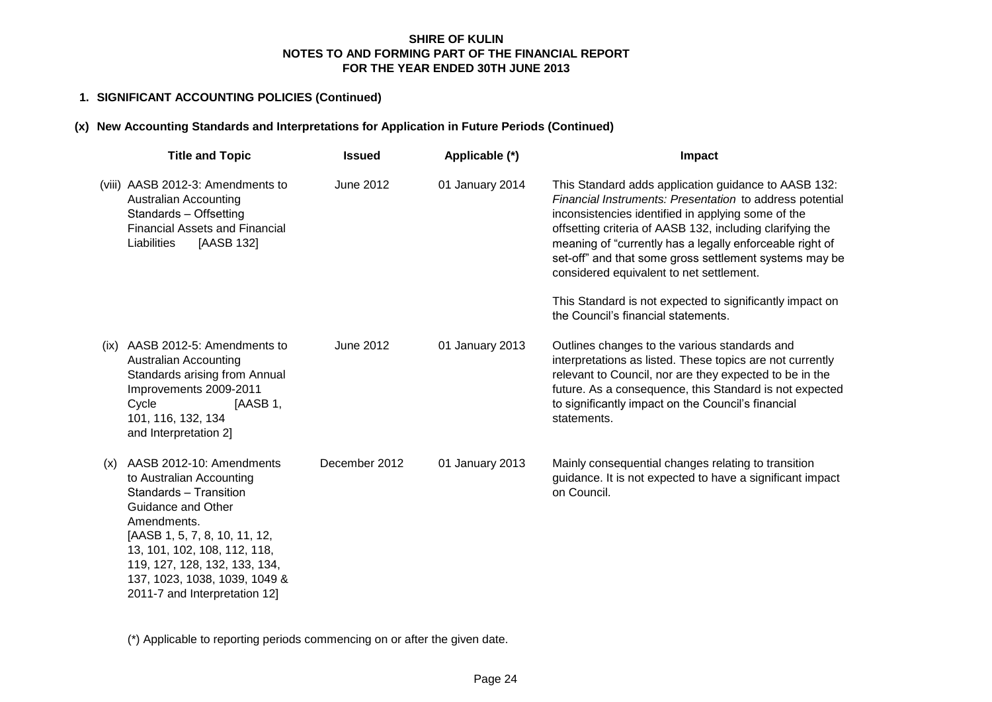# **1. SIGNIFICANT ACCOUNTING POLICIES (Continued)**

# **(x) New Accounting Standards and Interpretations for Application in Future Periods (Continued)**

|      | <b>Title and Topic</b>                                                                                                                                                                                                                                                                  | <b>Issued</b> | Applicable (*)  | Impact                                                                                                                                                                                                                                                                                                                                                                                                                                                                                                   |
|------|-----------------------------------------------------------------------------------------------------------------------------------------------------------------------------------------------------------------------------------------------------------------------------------------|---------------|-----------------|----------------------------------------------------------------------------------------------------------------------------------------------------------------------------------------------------------------------------------------------------------------------------------------------------------------------------------------------------------------------------------------------------------------------------------------------------------------------------------------------------------|
|      | (viii) AASB 2012-3: Amendments to<br><b>Australian Accounting</b><br>Standards - Offsetting<br><b>Financial Assets and Financial</b><br>[AASB 132]<br>Liabilities                                                                                                                       | June 2012     | 01 January 2014 | This Standard adds application guidance to AASB 132:<br>Financial Instruments: Presentation to address potential<br>inconsistencies identified in applying some of the<br>offsetting criteria of AASB 132, including clarifying the<br>meaning of "currently has a legally enforceable right of<br>set-off" and that some gross settlement systems may be<br>considered equivalent to net settlement.<br>This Standard is not expected to significantly impact on<br>the Council's financial statements. |
| (ix) | AASB 2012-5: Amendments to<br><b>Australian Accounting</b><br>Standards arising from Annual<br>Improvements 2009-2011<br>Cycle<br>[AASB 1,<br>101, 116, 132, 134<br>and Interpretation 2]                                                                                               | June 2012     | 01 January 2013 | Outlines changes to the various standards and<br>interpretations as listed. These topics are not currently<br>relevant to Council, nor are they expected to be in the<br>future. As a consequence, this Standard is not expected<br>to significantly impact on the Council's financial<br>statements.                                                                                                                                                                                                    |
| (x)  | AASB 2012-10: Amendments<br>to Australian Accounting<br>Standards - Transition<br>Guidance and Other<br>Amendments.<br>[AASB 1, 5, 7, 8, 10, 11, 12,<br>13, 101, 102, 108, 112, 118,<br>119, 127, 128, 132, 133, 134,<br>137, 1023, 1038, 1039, 1049 &<br>2011-7 and Interpretation 12] | December 2012 | 01 January 2013 | Mainly consequential changes relating to transition<br>guidance. It is not expected to have a significant impact<br>on Council.                                                                                                                                                                                                                                                                                                                                                                          |

(\*) Applicable to reporting periods commencing on or after the given date.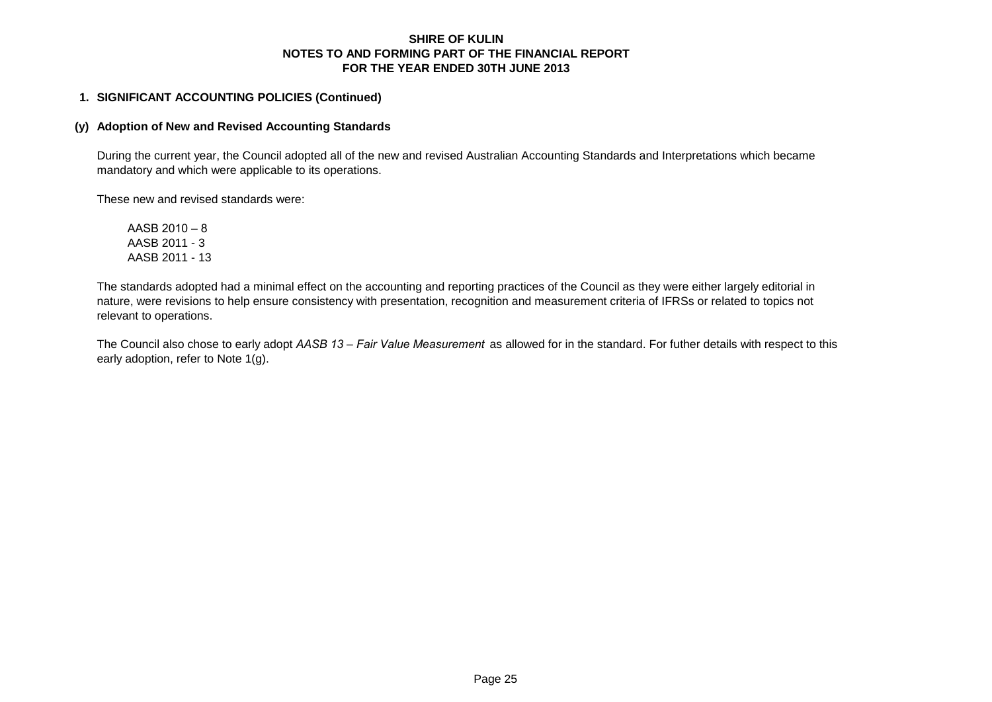#### **1. SIGNIFICANT ACCOUNTING POLICIES (Continued)**

### **(y) Adoption of New and Revised Accounting Standards**

During the current year, the Council adopted all of the new and revised Australian Accounting Standards and Interpretations which became mandatory and which were applicable to its operations.

These new and revised standards were:

AASB 2010 – 8 AASB 2011 - 3 AASB 2011 - 13

The standards adopted had a minimal effect on the accounting and reporting practices of the Council as they were either largely editorial in nature, were revisions to help ensure consistency with presentation, recognition and measurement criteria of IFRSs or related to topics not relevant to operations.

The Council also chose to early adopt *AASB 13 – Fair Value Measurement* as allowed for in the standard. For futher details with respect to this early adoption, refer to Note 1(g).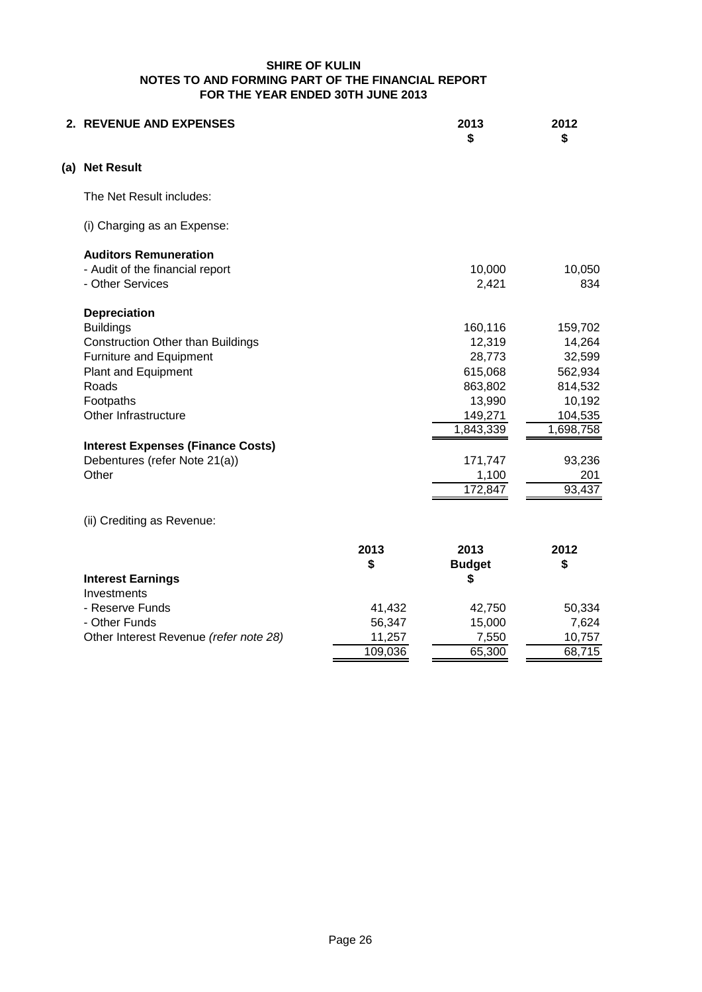| 2. REVENUE AND EXPENSES                  |         | 2013<br>\$    | 2012<br>\$ |
|------------------------------------------|---------|---------------|------------|
| (a) Net Result                           |         |               |            |
| The Net Result includes:                 |         |               |            |
| (i) Charging as an Expense:              |         |               |            |
| <b>Auditors Remuneration</b>             |         |               |            |
| - Audit of the financial report          |         | 10,000        | 10,050     |
| - Other Services                         |         | 2,421         | 834        |
| <b>Depreciation</b>                      |         |               |            |
| <b>Buildings</b>                         |         | 160,116       | 159,702    |
| <b>Construction Other than Buildings</b> |         | 12,319        | 14,264     |
| Furniture and Equipment                  |         | 28,773        | 32,599     |
| Plant and Equipment                      |         | 615,068       | 562,934    |
| Roads                                    |         | 863,802       | 814,532    |
| Footpaths                                |         | 13,990        | 10,192     |
| Other Infrastructure                     |         | 149,271       | 104,535    |
|                                          |         | 1,843,339     | 1,698,758  |
| <b>Interest Expenses (Finance Costs)</b> |         |               |            |
| Debentures (refer Note 21(a))            |         | 171,747       | 93,236     |
| Other                                    |         | 1,100         | 201        |
|                                          |         | 172,847       | 93,437     |
| (ii) Crediting as Revenue:               |         |               |            |
|                                          | 2013    | 2013          | 2012       |
|                                          | \$      | <b>Budget</b> | \$         |
| <b>Interest Earnings</b><br>Investments  |         | \$            |            |
| - Reserve Funds                          | 41,432  | 42,750        | 50,334     |
| - Other Funds                            | 56,347  | 15,000        | 7,624      |
| Other Interest Revenue (refer note 28)   | 11,257  | 7,550         | 10,757     |
|                                          | 109,036 | 65,300        | 68,715     |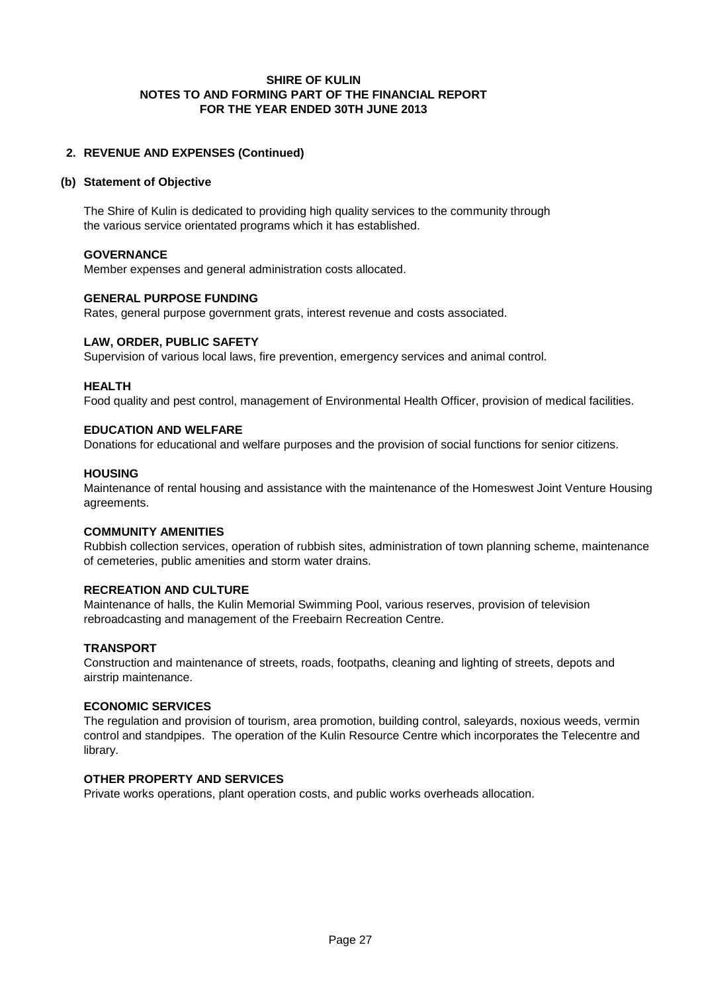# **2. REVENUE AND EXPENSES (Continued)**

#### **(b) Statement of Objective**

The Shire of Kulin is dedicated to providing high quality services to the community through the various service orientated programs which it has established.

#### **GOVERNANCE**

Member expenses and general administration costs allocated.

#### **GENERAL PURPOSE FUNDING**

Rates, general purpose government grats, interest revenue and costs associated.

#### **LAW, ORDER, PUBLIC SAFETY**

Supervision of various local laws, fire prevention, emergency services and animal control.

#### **HEALTH**

Food quality and pest control, management of Environmental Health Officer, provision of medical facilities.

#### **EDUCATION AND WELFARE**

Donations for educational and welfare purposes and the provision of social functions for senior citizens.

#### **HOUSING**

Maintenance of rental housing and assistance with the maintenance of the Homeswest Joint Venture Housing agreements.

#### **COMMUNITY AMENITIES**

Rubbish collection services, operation of rubbish sites, administration of town planning scheme, maintenance of cemeteries, public amenities and storm water drains.

#### **RECREATION AND CULTURE**

Maintenance of halls, the Kulin Memorial Swimming Pool, various reserves, provision of television rebroadcasting and management of the Freebairn Recreation Centre.

#### **TRANSPORT**

Construction and maintenance of streets, roads, footpaths, cleaning and lighting of streets, depots and airstrip maintenance.

#### **ECONOMIC SERVICES**

The regulation and provision of tourism, area promotion, building control, saleyards, noxious weeds, vermin control and standpipes. The operation of the Kulin Resource Centre which incorporates the Telecentre and library.

# **OTHER PROPERTY AND SERVICES**

Private works operations, plant operation costs, and public works overheads allocation.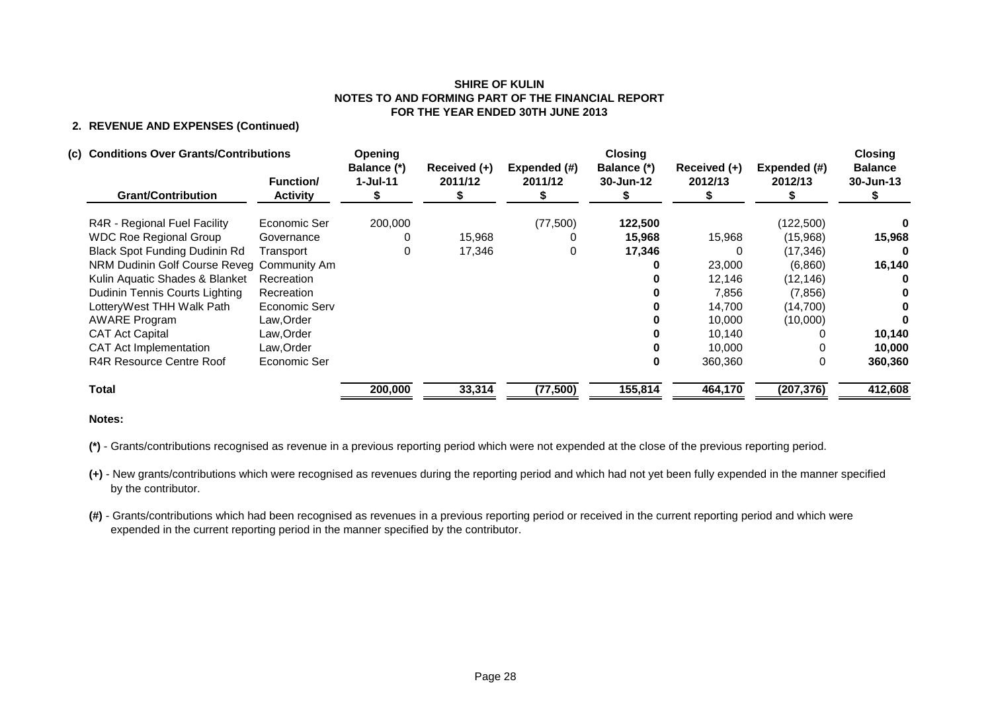# **2. REVENUE AND EXPENSES (Continued)**

#### **(c) Conditions Over Grants/Contributions Opening Closing Closing**

| <b>Grant/Contribution</b>                  | <b>Function/</b><br><b>Activity</b> | Balance (*)<br>$1-Jul-11$ | Received (+)<br>2011/12 | Expended (#)<br>2011/12 | Balance (*)<br>30-Jun-12 | Received (+)<br>2012/13 | Expended (#)<br>2012/13 | <b>Balance</b><br>30-Jun-13 |
|--------------------------------------------|-------------------------------------|---------------------------|-------------------------|-------------------------|--------------------------|-------------------------|-------------------------|-----------------------------|
| R4R - Regional Fuel Facility               | Economic Ser                        | 200,000                   |                         | (77,500)                | 122,500                  |                         | (122, 500)              |                             |
| <b>WDC Roe Regional Group</b>              | Governance                          |                           | 15,968                  |                         | 15,968                   | 15,968                  | (15,968)                | 15,968                      |
| <b>Black Spot Funding Dudinin Rd</b>       | Transport                           |                           | 17,346                  | 0                       | 17,346                   |                         | (17, 346)               |                             |
| NRM Dudinin Golf Course Reveg Community Am |                                     |                           |                         |                         |                          | 23,000                  | (6,860)                 | 16,140                      |
| Kulin Aquatic Shades & Blanket             | Recreation                          |                           |                         |                         |                          | 12,146                  | (12, 146)               |                             |
| Dudinin Tennis Courts Lighting             | Recreation                          |                           |                         |                         |                          | 7,856                   | (7, 856)                |                             |
| LotteryWest THH Walk Path                  | Economic Serv                       |                           |                         |                         |                          | 14,700                  | (14, 700)               |                             |
| <b>AWARE Program</b>                       | Law, Order                          |                           |                         |                         |                          | 10.000                  | (10,000)                |                             |
| <b>CAT Act Capital</b>                     | Law, Order                          |                           |                         |                         |                          | 10,140                  |                         | 10,140                      |
| <b>CAT Act Implementation</b>              | Law, Order                          |                           |                         |                         |                          | 10,000                  |                         | 10,000                      |
| R4R Resource Centre Roof                   | Economic Ser                        |                           |                         |                         |                          | 360,360                 | 0                       | 360,360                     |
| <b>Total</b>                               |                                     | 200,000                   | 33,314                  | (77, 500)               | 155,814                  | 464,170                 | (207, 376)              | 412,608                     |

#### **Notes:**

**(\*)** - Grants/contributions recognised as revenue in a previous reporting period which were not expended at the close of the previous reporting period.

**(+)** - New grants/contributions which were recognised as revenues during the reporting period and which had not yet been fully expended in the manner specified by the contributor.

**(#)** - Grants/contributions which had been recognised as revenues in a previous reporting period or received in the current reporting period and which were expended in the current reporting period in the manner specified by the contributor.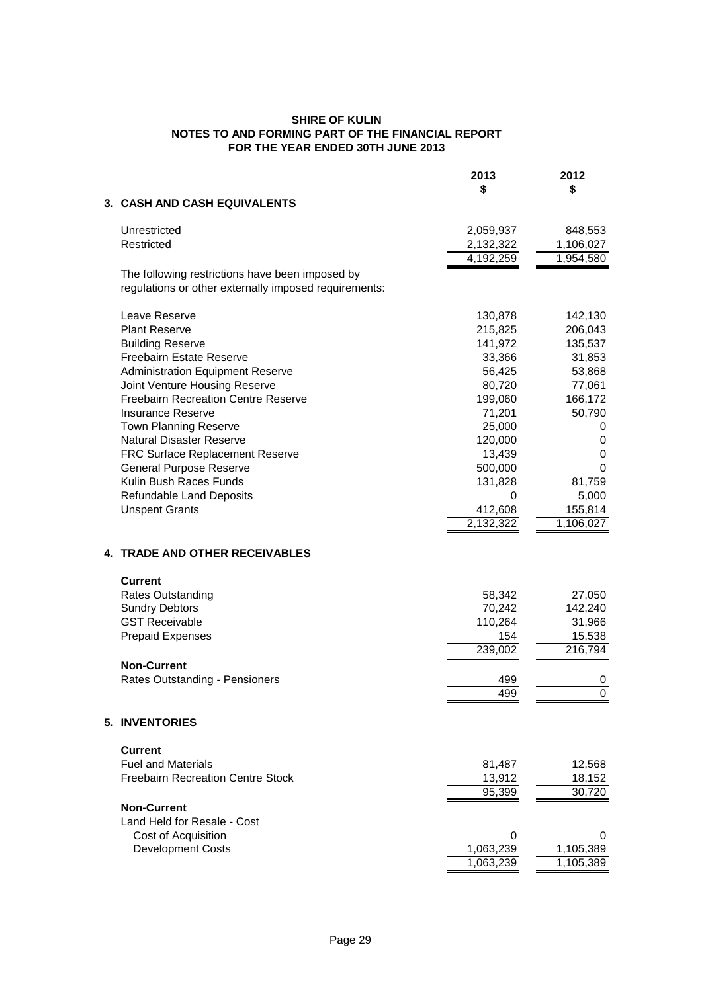|                                                                                                          | 2013      | 2012           |
|----------------------------------------------------------------------------------------------------------|-----------|----------------|
|                                                                                                          | \$        | \$             |
| 3. CASH AND CASH EQUIVALENTS                                                                             |           |                |
| Unrestricted                                                                                             | 2,059,937 | 848,553        |
| Restricted                                                                                               | 2,132,322 | 1,106,027      |
|                                                                                                          | 4,192,259 | 1,954,580      |
| The following restrictions have been imposed by<br>regulations or other externally imposed requirements: |           |                |
| Leave Reserve                                                                                            | 130,878   | 142,130        |
| <b>Plant Reserve</b>                                                                                     | 215,825   | 206,043        |
| <b>Building Reserve</b>                                                                                  | 141,972   | 135,537        |
| <b>Freebairn Estate Reserve</b>                                                                          | 33,366    | 31,853         |
| <b>Administration Equipment Reserve</b>                                                                  | 56,425    | 53,868         |
| Joint Venture Housing Reserve                                                                            | 80,720    | 77,061         |
| <b>Freebairn Recreation Centre Reserve</b>                                                               | 199,060   | 166,172        |
| <b>Insurance Reserve</b>                                                                                 | 71,201    | 50,790         |
| Town Planning Reserve                                                                                    | 25,000    | 0              |
| <b>Natural Disaster Reserve</b>                                                                          | 120,000   | 0              |
| FRC Surface Replacement Reserve                                                                          | 13,439    | 0              |
| <b>General Purpose Reserve</b>                                                                           | 500,000   | 0              |
| Kulin Bush Races Funds                                                                                   | 131,828   | 81,759         |
| Refundable Land Deposits                                                                                 | 0         | 5,000          |
| <b>Unspent Grants</b>                                                                                    | 412,608   | 155,814        |
|                                                                                                          | 2,132,322 | 1,106,027      |
| 4. TRADE AND OTHER RECEIVABLES                                                                           |           |                |
| <b>Current</b>                                                                                           |           |                |
| <b>Rates Outstanding</b>                                                                                 | 58,342    | 27,050         |
| <b>Sundry Debtors</b>                                                                                    | 70,242    | 142,240        |
| <b>GST Receivable</b>                                                                                    | 110,264   | 31,966         |
| <b>Prepaid Expenses</b>                                                                                  | 154       | 15,538         |
|                                                                                                          | 239,002   | 216,794        |
| <b>Non-Current</b>                                                                                       |           |                |
| Rates Outstanding - Pensioners                                                                           | 499       | 0              |
|                                                                                                          | 499       | $\overline{0}$ |
| <b>5. INVENTORIES</b>                                                                                    |           |                |
| <b>Current</b>                                                                                           |           |                |
| <b>Fuel and Materials</b>                                                                                | 81,487    | 12,568         |
| <b>Freebairn Recreation Centre Stock</b>                                                                 | 13,912    | 18,152         |
|                                                                                                          | 95,399    | 30,720         |
| <b>Non-Current</b>                                                                                       |           |                |
| Land Held for Resale - Cost                                                                              |           |                |
| Cost of Acquisition                                                                                      | 0         | 0              |
| Development Costs                                                                                        | 1,063,239 | 1,105,389      |
|                                                                                                          | 1,063,239 | 1,105,389      |
|                                                                                                          |           |                |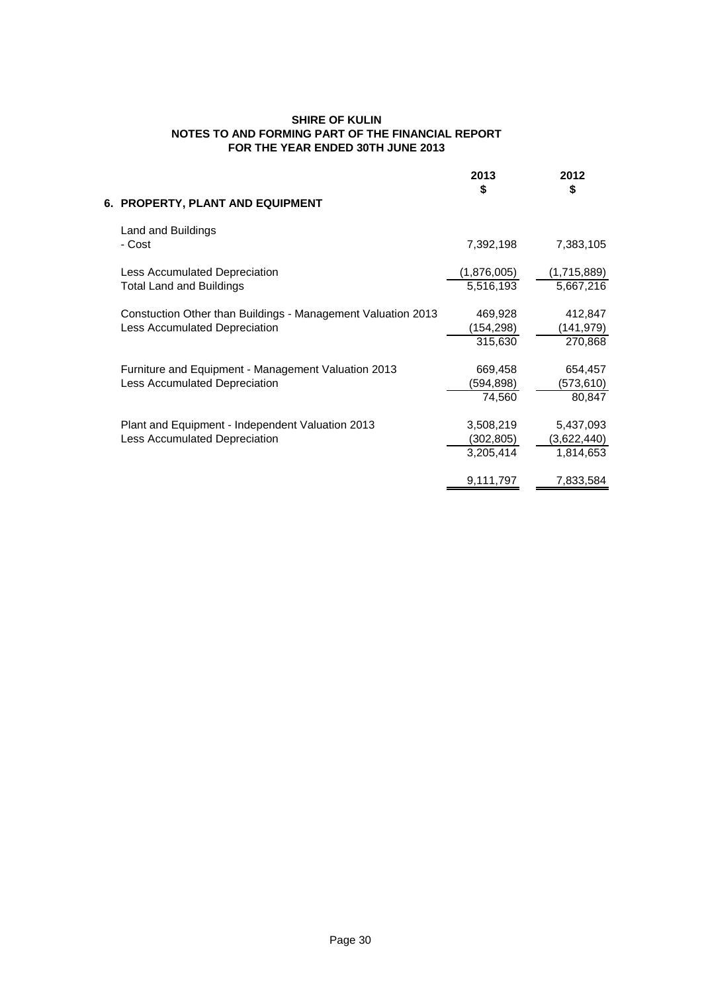| 6. PROPERTY, PLANT AND EQUIPMENT                                                              | 2013<br>\$                          | 2012<br>\$                            |
|-----------------------------------------------------------------------------------------------|-------------------------------------|---------------------------------------|
| Land and Buildings<br>- Cost                                                                  | 7,392,198                           | 7,383,105                             |
| Less Accumulated Depreciation<br><b>Total Land and Buildings</b>                              | (1,876,005)<br>5,516,193            | (1,715,889)<br>5,667,216              |
| Constuction Other than Buildings - Management Valuation 2013<br>Less Accumulated Depreciation | 469,928<br>(154,298)<br>315,630     | 412,847<br>(141,979)<br>270,868       |
| Furniture and Equipment - Management Valuation 2013<br>Less Accumulated Depreciation          | 669,458<br>(594,898)<br>74,560      | 654,457<br>(573,610)<br>80,847        |
| Plant and Equipment - Independent Valuation 2013<br>Less Accumulated Depreciation             | 3,508,219<br>(302,805)<br>3,205,414 | 5,437,093<br>(3,622,440)<br>1,814,653 |
|                                                                                               | 9,111,797                           | 7,833,584                             |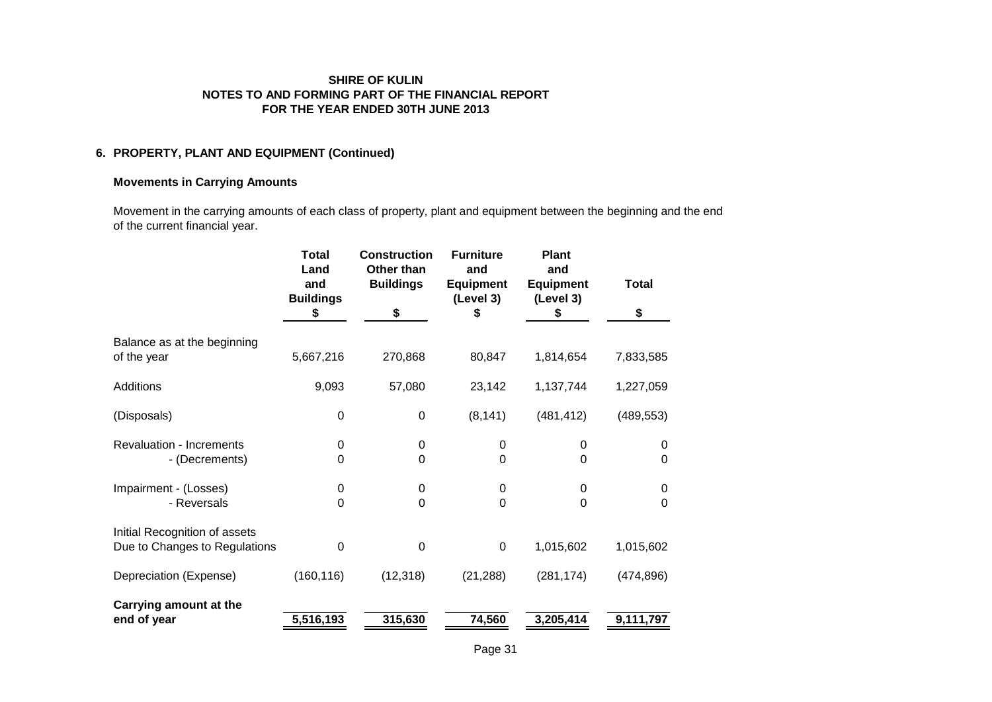## **6. PROPERTY, PLANT AND EQUIPMENT (Continued)**

### **Movements in Carrying Amounts**

Movement in the carrying amounts of each class of property, plant and equipment between the beginning and the end of the current financial year.

|                                                                | <b>Total</b><br>Land<br>and<br><b>Buildings</b><br>\$ | <b>Construction</b><br>Other than<br><b>Buildings</b><br>\$ | <b>Furniture</b><br>and<br><b>Equipment</b><br>(Level 3)<br>\$ | <b>Plant</b><br>and<br><b>Equipment</b><br>(Level 3)<br>S | <b>Total</b><br>\$  |
|----------------------------------------------------------------|-------------------------------------------------------|-------------------------------------------------------------|----------------------------------------------------------------|-----------------------------------------------------------|---------------------|
|                                                                |                                                       |                                                             |                                                                |                                                           |                     |
| Balance as at the beginning<br>of the year                     | 5,667,216                                             | 270,868                                                     | 80,847                                                         | 1,814,654                                                 | 7,833,585           |
| Additions                                                      | 9,093                                                 | 57,080                                                      | 23,142                                                         | 1,137,744                                                 | 1,227,059           |
| (Disposals)                                                    | $\mathbf 0$                                           | $\pmb{0}$                                                   | (8, 141)                                                       | (481, 412)                                                | (489, 553)          |
| <b>Revaluation - Increments</b><br>- (Decrements)              | $\mathbf 0$<br>$\mathbf 0$                            | 0<br>0                                                      | 0<br>0                                                         | 0<br>$\Omega$                                             | $\Omega$<br>0       |
| Impairment - (Losses)<br>- Reversals                           | 0<br>$\mathbf 0$                                      | 0<br>0                                                      | 0<br>$\Omega$                                                  | 0<br>$\Omega$                                             | 0<br>$\overline{0}$ |
| Initial Recognition of assets<br>Due to Changes to Regulations | $\mathbf 0$                                           | $\boldsymbol{0}$                                            | $\pmb{0}$                                                      | 1,015,602                                                 | 1,015,602           |
| Depreciation (Expense)                                         | (160, 116)                                            | (12, 318)                                                   | (21, 288)                                                      | (281, 174)                                                | (474, 896)          |
| Carrying amount at the<br>end of year                          | 5,516,193                                             | 315,630                                                     | 74,560                                                         | 3,205,414                                                 | 9,111,797           |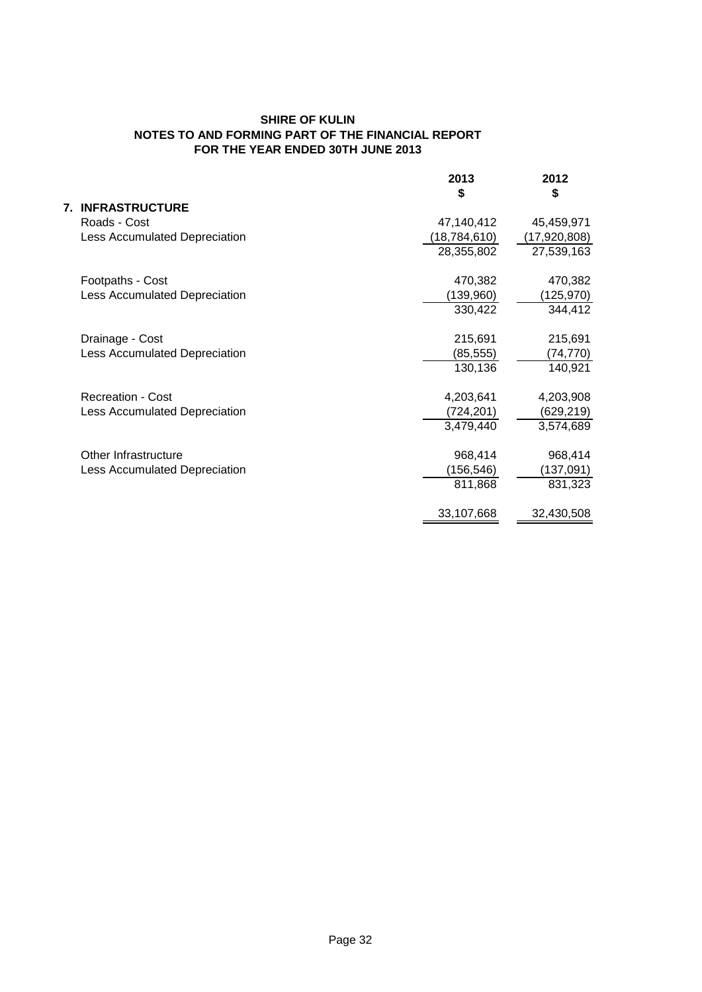|                  |                               | 2013           | 2012         |
|------------------|-------------------------------|----------------|--------------|
|                  |                               | \$             | \$           |
| 7.               | <b>INFRASTRUCTURE</b>         |                |              |
| Roads - Cost     |                               | 47,140,412     | 45,459,971   |
|                  | Less Accumulated Depreciation | (18, 784, 610) | (17,920,808) |
|                  |                               | 28,355,802     | 27,539,163   |
|                  |                               |                |              |
| Footpaths - Cost |                               | 470,382        | 470,382      |
|                  | Less Accumulated Depreciation | (139,960)      | (125,970)    |
|                  |                               | 330,422        | 344,412      |
| Drainage - Cost  |                               | 215,691        | 215,691      |
|                  | Less Accumulated Depreciation | (85, 555)      | (74, 770)    |
|                  |                               | 130,136        | 140,921      |
|                  | <b>Recreation - Cost</b>      |                |              |
|                  |                               | 4,203,641      | 4,203,908    |
|                  | Less Accumulated Depreciation | (724,201)      | (629, 219)   |
|                  |                               | 3,479,440      | 3,574,689    |
|                  | Other Infrastructure          | 968,414        | 968,414      |
|                  | Less Accumulated Depreciation | (156, 546)     | (137, 091)   |
|                  |                               | 811,868        | 831,323      |
|                  |                               | 33,107,668     | 32,430,508   |
|                  |                               |                |              |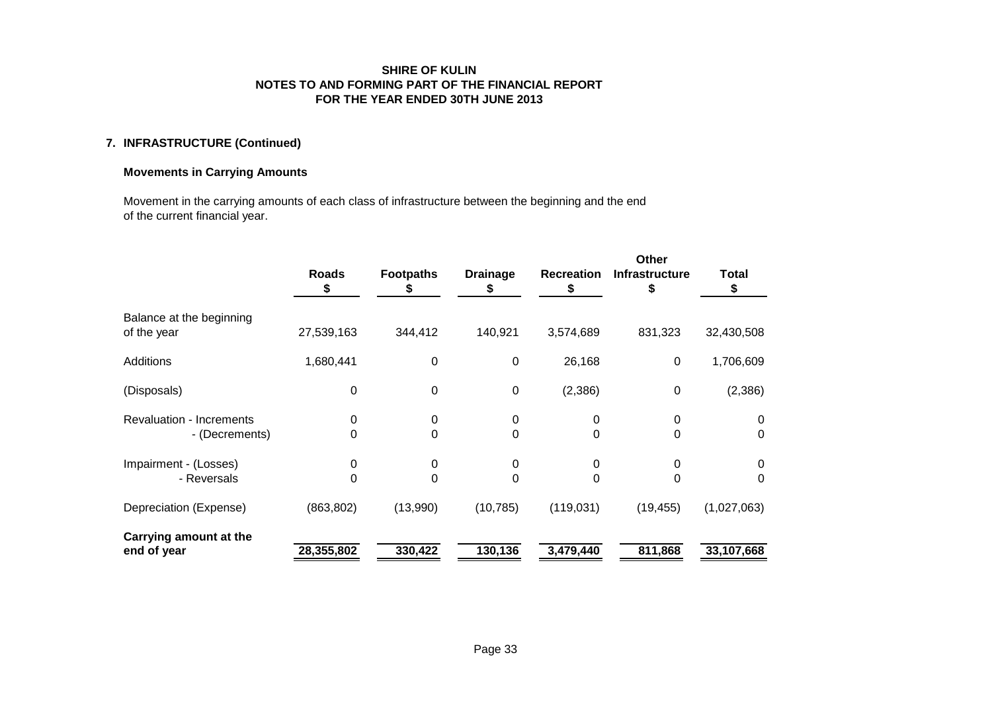# **7. INFRASTRUCTURE (Continued)**

# **Movements in Carrying Amounts**

Movement in the carrying amounts of each class of infrastructure between the beginning and the end of the current financial year.

|                                                   | <b>Roads</b><br>S | <b>Footpaths</b> | <b>Drainage</b> | <b>Recreation</b> | Other<br><b>Infrastructure</b> | <b>Total</b><br>\$ |
|---------------------------------------------------|-------------------|------------------|-----------------|-------------------|--------------------------------|--------------------|
| Balance at the beginning<br>of the year           | 27,539,163        | 344,412          | 140,921         | 3,574,689         | 831,323                        | 32,430,508         |
| <b>Additions</b>                                  | 1,680,441         | 0                | 0               | 26,168            | $\mathbf 0$                    | 1,706,609          |
| (Disposals)                                       | $\mathbf 0$       | 0                | $\mathbf 0$     | (2,386)           | 0                              | (2,386)            |
| <b>Revaluation - Increments</b><br>- (Decrements) | 0<br>0            | 0<br>0           | 0<br>0          | 0<br>$\Omega$     | 0<br>0                         | 0<br>0             |
| Impairment - (Losses)<br>- Reversals              | 0<br>0            | 0<br>0           | 0<br>0          | 0<br>0            | 0                              | 0<br>0             |
| Depreciation (Expense)                            | (863, 802)        | (13,990)         | (10, 785)       | (119, 031)        | (19, 455)                      | (1,027,063)        |
| Carrying amount at the<br>end of year             | 28,355,802        | 330,422          | 130, 136        | 3,479,440         | 811,868                        | 33,107,668         |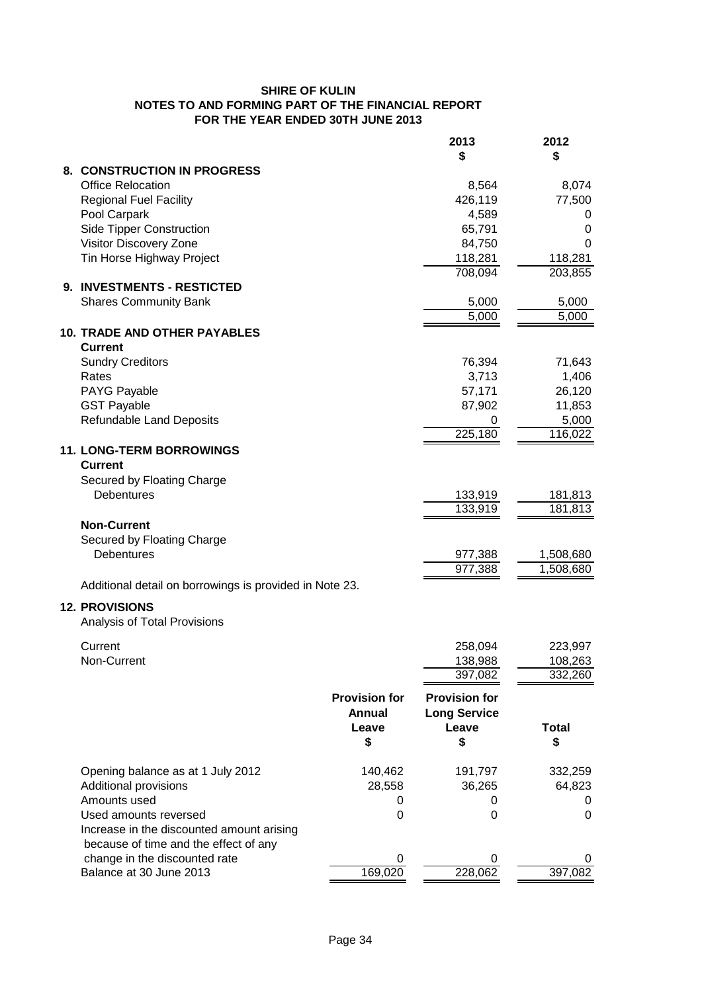|                                                                                    |                      | 2013                 | 2012         |
|------------------------------------------------------------------------------------|----------------------|----------------------|--------------|
|                                                                                    |                      | \$                   | \$           |
| 8. CONSTRUCTION IN PROGRESS<br><b>Office Relocation</b>                            |                      | 8,564                | 8,074        |
| <b>Regional Fuel Facility</b>                                                      |                      | 426,119              | 77,500       |
| Pool Carpark                                                                       |                      | 4,589                | 0            |
| <b>Side Tipper Construction</b>                                                    |                      | 65,791               | 0            |
| Visitor Discovery Zone                                                             |                      | 84,750               | 0            |
| Tin Horse Highway Project                                                          |                      | 118,281              | 118,281      |
|                                                                                    |                      | 708,094              | 203,855      |
| 9. INVESTMENTS - RESTICTED                                                         |                      |                      |              |
| <b>Shares Community Bank</b>                                                       |                      | 5,000                | 5,000        |
|                                                                                    |                      | 5,000                | 5,000        |
| <b>10. TRADE AND OTHER PAYABLES</b><br><b>Current</b>                              |                      |                      |              |
| <b>Sundry Creditors</b>                                                            |                      | 76,394               | 71,643       |
| Rates                                                                              |                      | 3,713                | 1,406        |
| PAYG Payable                                                                       |                      | 57,171               | 26,120       |
| <b>GST Payable</b>                                                                 |                      | 87,902               | 11,853       |
| <b>Refundable Land Deposits</b>                                                    |                      | 0                    | 5,000        |
|                                                                                    |                      | 225,180              | 116,022      |
| 11. LONG-TERM BORROWINGS<br><b>Current</b>                                         |                      |                      |              |
| Secured by Floating Charge                                                         |                      |                      |              |
| <b>Debentures</b>                                                                  |                      | 133,919              | 181,813      |
|                                                                                    |                      | 133,919              | 181,813      |
| <b>Non-Current</b>                                                                 |                      |                      |              |
| Secured by Floating Charge                                                         |                      |                      |              |
| <b>Debentures</b>                                                                  |                      | 977,388              | 1,508,680    |
|                                                                                    |                      | 977,388              | 1,508,680    |
| Additional detail on borrowings is provided in Note 23.                            |                      |                      |              |
| <b>12. PROVISIONS</b><br>Analysis of Total Provisions                              |                      |                      |              |
|                                                                                    |                      |                      |              |
| Current                                                                            |                      | 258,094              | 223,997      |
| Non-Current                                                                        |                      | 138,988              | 108,263      |
|                                                                                    |                      | 397,082              | 332,260      |
|                                                                                    | <b>Provision for</b> | <b>Provision for</b> |              |
|                                                                                    | <b>Annual</b>        | <b>Long Service</b>  |              |
|                                                                                    | Leave                | Leave                | <b>Total</b> |
|                                                                                    | \$                   | \$                   | \$           |
|                                                                                    |                      |                      |              |
| Opening balance as at 1 July 2012                                                  | 140,462              | 191,797              | 332,259      |
| Additional provisions                                                              | 28,558               | 36,265               | 64,823       |
| Amounts used                                                                       | 0                    | 0                    | 0            |
| Used amounts reversed                                                              | 0                    | 0                    | 0            |
| Increase in the discounted amount arising<br>because of time and the effect of any |                      |                      |              |
| change in the discounted rate                                                      |                      | 0                    |              |
| Balance at 30 June 2013                                                            | 169,020              | 228,062              | 397,082      |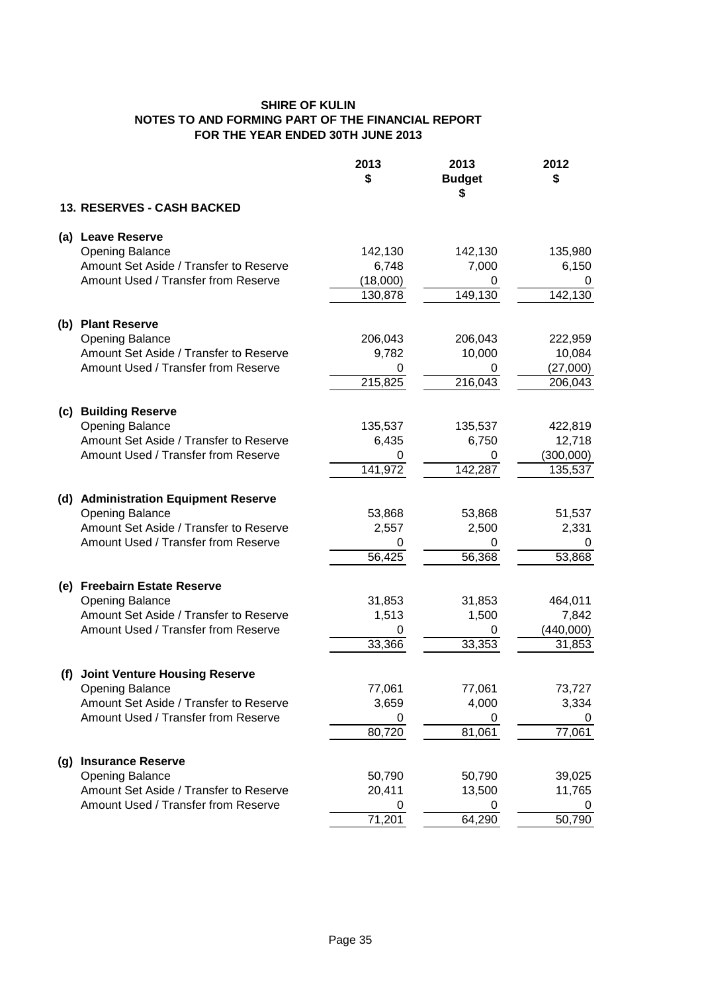|     |                                                                               | 2013<br>\$  | 2013<br><b>Budget</b> | 2012<br>\$          |
|-----|-------------------------------------------------------------------------------|-------------|-----------------------|---------------------|
|     | 13. RESERVES - CASH BACKED                                                    |             | S                     |                     |
|     | (a) Leave Reserve                                                             |             |                       |                     |
|     | <b>Opening Balance</b>                                                        | 142,130     | 142,130               | 135,980             |
|     | Amount Set Aside / Transfer to Reserve                                        | 6,748       | 7,000                 | 6,150               |
|     | Amount Used / Transfer from Reserve                                           | (18,000)    | 0                     | 0                   |
|     |                                                                               | 130,878     | 149,130               | 142,130             |
| (b) | <b>Plant Reserve</b>                                                          |             |                       |                     |
|     | <b>Opening Balance</b>                                                        | 206,043     | 206,043               | 222,959             |
|     | Amount Set Aside / Transfer to Reserve                                        | 9,782       | 10,000                | 10,084              |
|     | Amount Used / Transfer from Reserve                                           | 0           | 0                     | (27,000)            |
|     |                                                                               | 215,825     | 216,043               | 206,043             |
|     |                                                                               |             |                       |                     |
| (c) | <b>Building Reserve</b>                                                       |             |                       |                     |
|     | <b>Opening Balance</b>                                                        | 135,537     | 135,537               | 422,819             |
|     | Amount Set Aside / Transfer to Reserve<br>Amount Used / Transfer from Reserve | 6,435<br>0  | 6,750<br>0            | 12,718<br>(300,000) |
|     |                                                                               | 141,972     | 142,287               | 135,537             |
|     |                                                                               |             |                       |                     |
|     | (d) Administration Equipment Reserve                                          |             |                       |                     |
|     | <b>Opening Balance</b>                                                        | 53,868      | 53,868                | 51,537              |
|     | Amount Set Aside / Transfer to Reserve                                        | 2,557       | 2,500                 | 2,331               |
|     | Amount Used / Transfer from Reserve                                           | 0           | 0                     |                     |
|     |                                                                               | 56,425      | 56,368                | 53,868              |
| (e) | <b>Freebairn Estate Reserve</b>                                               |             |                       |                     |
|     | <b>Opening Balance</b>                                                        | 31,853      | 31,853                | 464,011             |
|     | Amount Set Aside / Transfer to Reserve                                        | 1,513       | 1,500                 | 7,842               |
|     | Amount Used / Transfer from Reserve                                           | 0           | 0                     | (440,000)           |
|     |                                                                               | 33,366      | 33,353                | 31,853              |
|     |                                                                               |             |                       |                     |
| (f) | <b>Joint Venture Housing Reserve</b>                                          |             |                       |                     |
|     | <b>Opening Balance</b>                                                        | 77,061      | 77,061                | 73,727              |
|     | Amount Set Aside / Transfer to Reserve<br>Amount Used / Transfer from Reserve | 3,659       | 4,000                 | 3,334               |
|     |                                                                               | 0<br>80,720 | 0<br>81,061           | O<br>77,061         |
|     |                                                                               |             |                       |                     |
| (g) | <b>Insurance Reserve</b>                                                      |             |                       |                     |
|     | <b>Opening Balance</b>                                                        | 50,790      | 50,790                | 39,025              |
|     | Amount Set Aside / Transfer to Reserve                                        | 20,411      | 13,500                | 11,765              |
|     | Amount Used / Transfer from Reserve                                           | O           |                       |                     |
|     |                                                                               | 71,201      | 64,290                | 50,790              |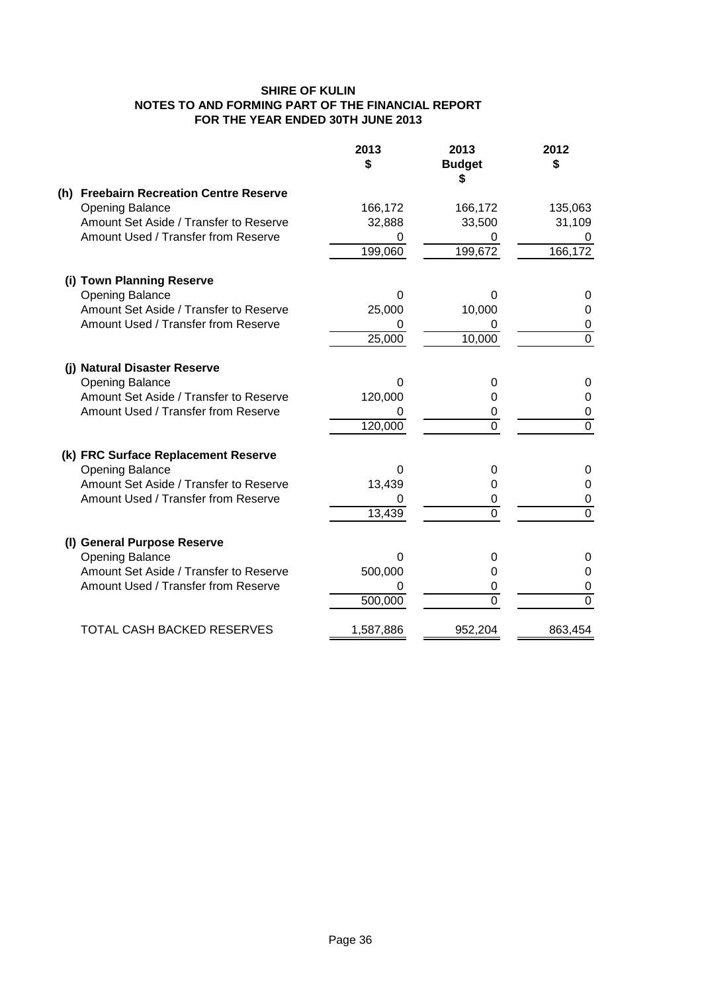|     |                                         | 2013<br>\$ | 2013<br><b>Budget</b><br>\$ | 2012<br>\$     |
|-----|-----------------------------------------|------------|-----------------------------|----------------|
|     | (h) Freebairn Recreation Centre Reserve |            |                             |                |
|     | <b>Opening Balance</b>                  | 166,172    | 166,172                     | 135,063        |
|     | Amount Set Aside / Transfer to Reserve  | 32,888     | 33,500                      | 31,109         |
|     | Amount Used / Transfer from Reserve     | 0          | O                           | 0              |
|     |                                         | 199,060    | 199,672                     | 166,172        |
|     | (i) Town Planning Reserve               |            |                             |                |
|     | <b>Opening Balance</b>                  | 0          | 0                           | 0              |
|     | Amount Set Aside / Transfer to Reserve  | 25,000     | 10,000                      | 0              |
|     | Amount Used / Transfer from Reserve     |            |                             | 0              |
|     |                                         | 25,000     | 10,000                      | $\overline{0}$ |
|     | (i) Natural Disaster Reserve            |            |                             |                |
|     | <b>Opening Balance</b>                  | 0          | 0                           | 0              |
|     | Amount Set Aside / Transfer to Reserve  | 120,000    | 0                           | $\Omega$       |
|     | Amount Used / Transfer from Reserve     | 0          | 0                           | 0              |
|     |                                         | 120,000    | 0                           | $\overline{0}$ |
|     | (k) FRC Surface Replacement Reserve     |            |                             |                |
|     | <b>Opening Balance</b>                  | 0          | O                           | 0              |
|     | Amount Set Aside / Transfer to Reserve  | 13,439     | 0                           | 0              |
|     | Amount Used / Transfer from Reserve     | 0          | 0                           | $\mathbf 0$    |
|     |                                         | 13,439     | 0                           | $\overline{0}$ |
| (1) | <b>General Purpose Reserve</b>          |            |                             |                |
|     | <b>Opening Balance</b>                  | 0          | 0                           | 0              |
|     | Amount Set Aside / Transfer to Reserve  | 500,000    | 0                           | 0              |
|     | Amount Used / Transfer from Reserve     |            | 0                           | 0              |
|     |                                         | 500,000    | 0                           | $\overline{0}$ |
|     | <b>TOTAL CASH BACKED RESERVES</b>       | 1,587,886  | 952,204                     | 863,454        |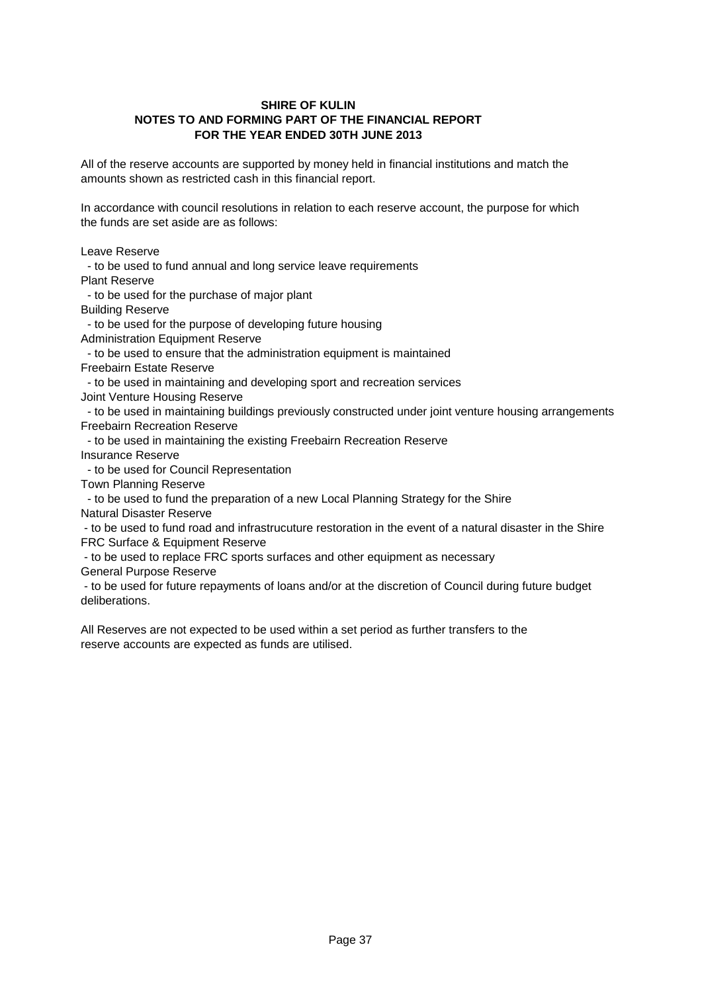All of the reserve accounts are supported by money held in financial institutions and match the amounts shown as restricted cash in this financial report.

In accordance with council resolutions in relation to each reserve account, the purpose for which the funds are set aside are as follows:

Leave Reserve

 - to be used to fund annual and long service leave requirements Plant Reserve

- to be used for the purchase of major plant

Building Reserve

- to be used for the purpose of developing future housing

Administration Equipment Reserve

 - to be used to ensure that the administration equipment is maintained Freebairn Estate Reserve

- to be used in maintaining and developing sport and recreation services

Joint Venture Housing Reserve

 - to be used in maintaining buildings previously constructed under joint venture housing arrangements Freebairn Recreation Reserve

- to be used in maintaining the existing Freebairn Recreation Reserve

Insurance Reserve

- to be used for Council Representation

Town Planning Reserve

 - to be used to fund the preparation of a new Local Planning Strategy for the Shire Natural Disaster Reserve

 - to be used to fund road and infrastrucuture restoration in the event of a natural disaster in the Shire FRC Surface & Equipment Reserve

- to be used to replace FRC sports surfaces and other equipment as necessary

General Purpose Reserve

 - to be used for future repayments of loans and/or at the discretion of Council during future budget deliberations.

All Reserves are not expected to be used within a set period as further transfers to the reserve accounts are expected as funds are utilised.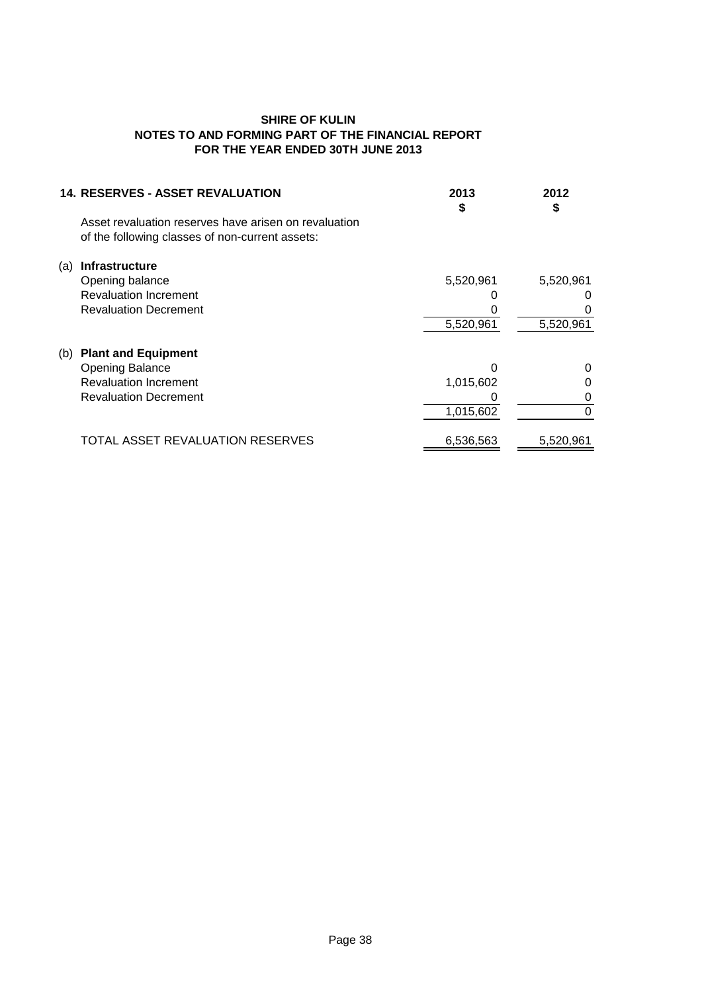| <b>14. RESERVES - ASSET REVALUATION</b>               | 2013<br>S | 2012<br>\$ |
|-------------------------------------------------------|-----------|------------|
| Asset revaluation reserves have arisen on revaluation |           |            |
| of the following classes of non-current assets:       |           |            |
| Infrastructure<br>(a)                                 |           |            |
| Opening balance                                       | 5,520,961 | 5,520,961  |
| <b>Revaluation Increment</b>                          |           |            |
| <b>Revaluation Decrement</b>                          |           |            |
|                                                       | 5,520,961 | 5,520,961  |
| <b>Plant and Equipment</b><br>(b)                     |           |            |
| <b>Opening Balance</b>                                |           | 0          |
| <b>Revaluation Increment</b>                          | 1,015,602 | 0          |
| <b>Revaluation Decrement</b>                          |           | 0          |
|                                                       | 1,015,602 | 0          |
| TOTAL ASSET REVALUATION RESERVES                      | 6,536,563 | 5,520,961  |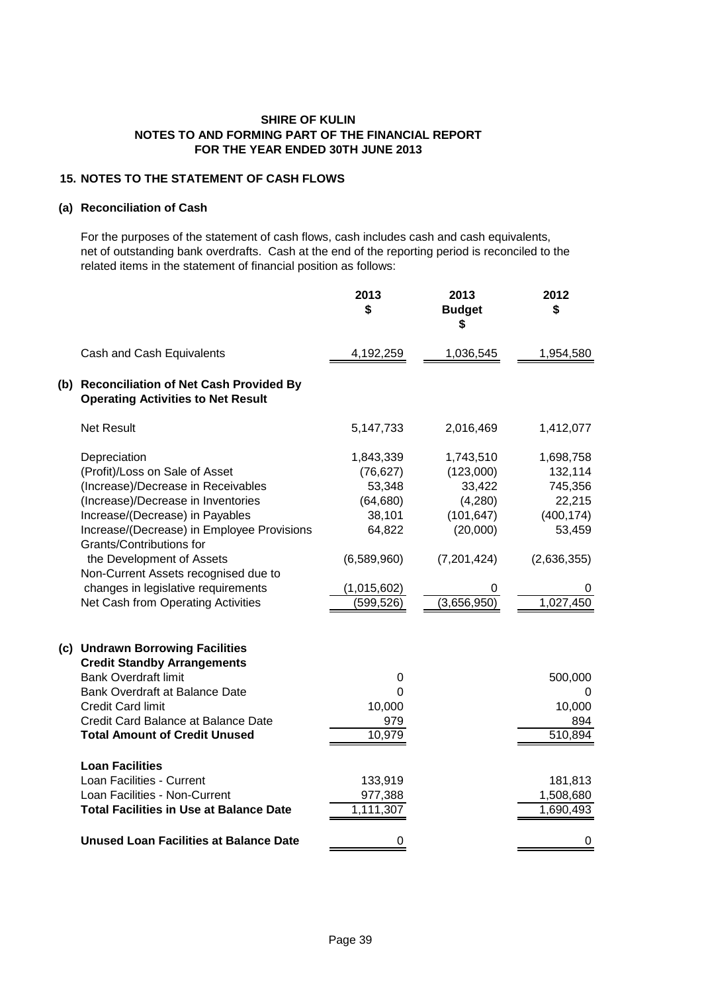# **15. NOTES TO THE STATEMENT OF CASH FLOWS**

#### **(a) Reconciliation of Cash**

For the purposes of the statement of cash flows, cash includes cash and cash equivalents, net of outstanding bank overdrafts. Cash at the end of the reporting period is reconciled to the related items in the statement of financial position as follows:

|                                                                                                                                                                                                                                                                                                                                                                                              | 2013<br>\$                                                                                                    | 2013<br><b>Budget</b><br>S                                                                               | 2012<br>\$                                                                                         |
|----------------------------------------------------------------------------------------------------------------------------------------------------------------------------------------------------------------------------------------------------------------------------------------------------------------------------------------------------------------------------------------------|---------------------------------------------------------------------------------------------------------------|----------------------------------------------------------------------------------------------------------|----------------------------------------------------------------------------------------------------|
| Cash and Cash Equivalents                                                                                                                                                                                                                                                                                                                                                                    | 4,192,259                                                                                                     | 1,036,545                                                                                                | 1,954,580                                                                                          |
| (b) Reconciliation of Net Cash Provided By<br><b>Operating Activities to Net Result</b>                                                                                                                                                                                                                                                                                                      |                                                                                                               |                                                                                                          |                                                                                                    |
| <b>Net Result</b>                                                                                                                                                                                                                                                                                                                                                                            | 5,147,733                                                                                                     | 2,016,469                                                                                                | 1,412,077                                                                                          |
| Depreciation<br>(Profit)/Loss on Sale of Asset<br>(Increase)/Decrease in Receivables<br>(Increase)/Decrease in Inventories<br>Increase/(Decrease) in Payables<br>Increase/(Decrease) in Employee Provisions<br>Grants/Contributions for<br>the Development of Assets<br>Non-Current Assets recognised due to<br>changes in legislative requirements<br>Net Cash from Operating Activities    | 1,843,339<br>(76, 627)<br>53,348<br>(64, 680)<br>38,101<br>64,822<br>(6,589,960)<br>(1,015,602)<br>(599, 526) | 1,743,510<br>(123,000)<br>33,422<br>(4,280)<br>(101, 647)<br>(20,000)<br>(7,201,424)<br>0<br>(3,656,950) | 1,698,758<br>132,114<br>745,356<br>22,215<br>(400, 174)<br>53,459<br>(2,636,355)<br>0<br>1,027,450 |
| (c) Undrawn Borrowing Facilities<br><b>Credit Standby Arrangements</b><br><b>Bank Overdraft limit</b><br>Bank Overdraft at Balance Date<br><b>Credit Card limit</b><br>Credit Card Balance at Balance Date<br><b>Total Amount of Credit Unused</b><br><b>Loan Facilities</b><br>Loan Facilities - Current<br>Loan Facilities - Non-Current<br><b>Total Facilities in Use at Balance Date</b> | 0<br>0<br>10,000<br>979<br>10,979<br>133,919<br>977,388<br>1,111,307                                          |                                                                                                          | 500,000<br>O<br>10,000<br>894<br>510,894<br>181,813<br>1,508,680<br>1,690,493                      |
| <b>Unused Loan Facilities at Balance Date</b>                                                                                                                                                                                                                                                                                                                                                | 0                                                                                                             |                                                                                                          | 0                                                                                                  |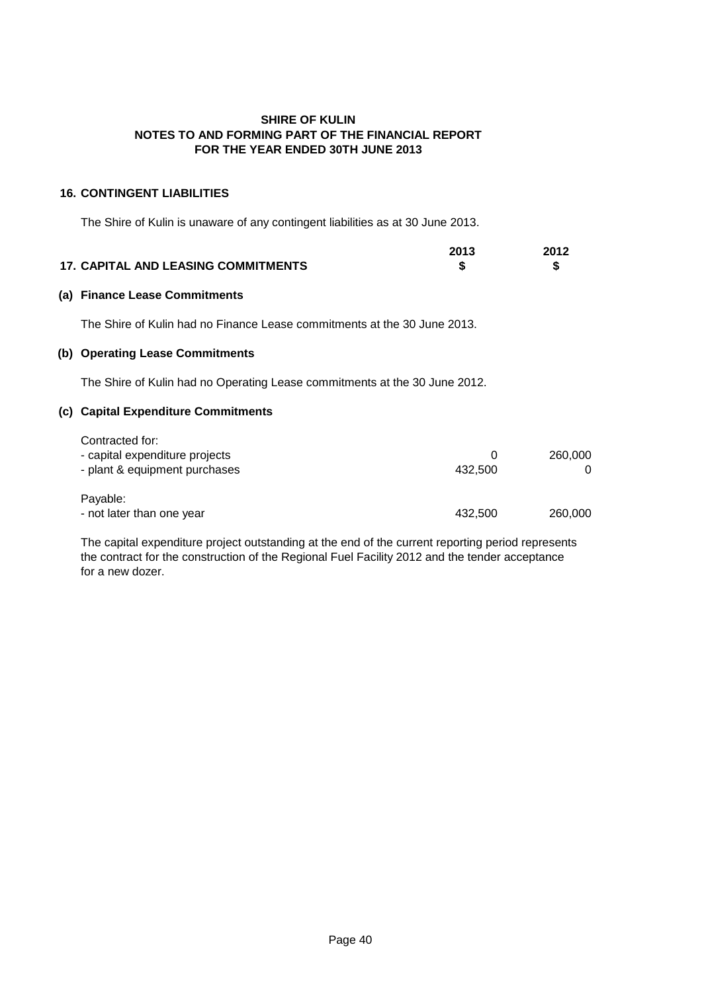# **16. CONTINGENT LIABILITIES**

The Shire of Kulin is unaware of any contingent liabilities as at 30 June 2013.

|                                            | 2013 | 2012 |
|--------------------------------------------|------|------|
| <b>17. CAPITAL AND LEASING COMMITMENTS</b> |      |      |

#### **(a) Finance Lease Commitments**

The Shire of Kulin had no Finance Lease commitments at the 30 June 2013.

# **(b) Operating Lease Commitments**

The Shire of Kulin had no Operating Lease commitments at the 30 June 2012.

# **(c) Capital Expenditure Commitments**

| Contracted for:                       |         |         |
|---------------------------------------|---------|---------|
| - capital expenditure projects        |         | 260,000 |
| - plant & equipment purchases         | 432.500 |         |
| Payable:<br>- not later than one year | 432.500 | 260,000 |

The capital expenditure project outstanding at the end of the current reporting period represents the contract for the construction of the Regional Fuel Facility 2012 and the tender acceptance for a new dozer.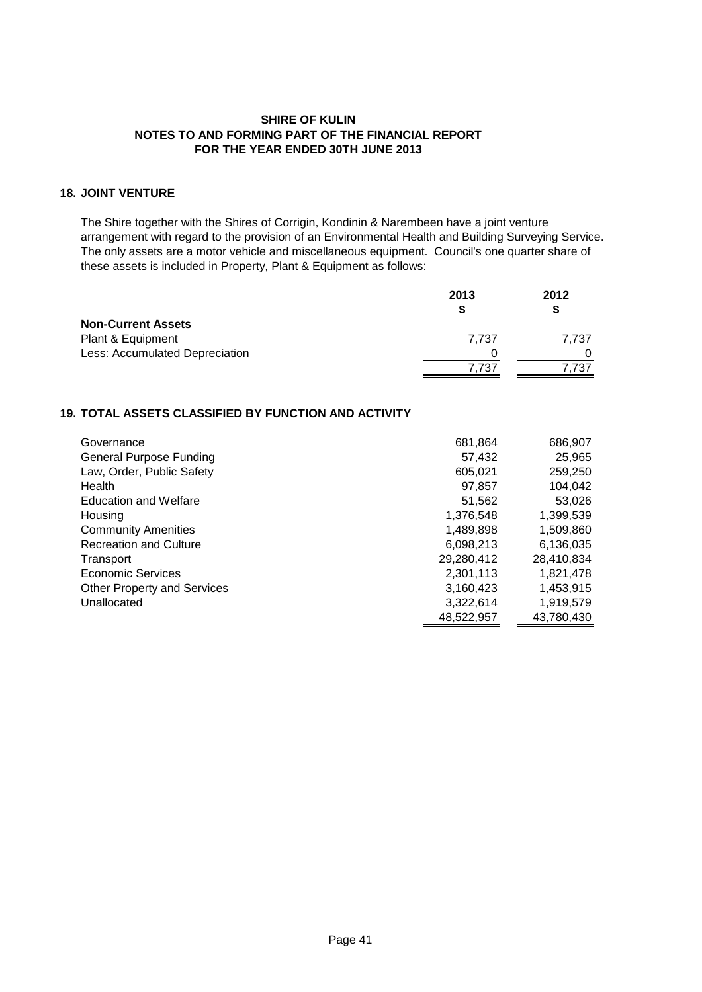# **18. JOINT VENTURE**

The Shire together with the Shires of Corrigin, Kondinin & Narembeen have a joint venture arrangement with regard to the provision of an Environmental Health and Building Surveying Service. The only assets are a motor vehicle and miscellaneous equipment. Council's one quarter share of these assets is included in Property, Plant & Equipment as follows:

|                                | 2013  | 2012  |
|--------------------------------|-------|-------|
|                                |       |       |
| <b>Non-Current Assets</b>      |       |       |
| Plant & Equipment              | 7.737 | 7.737 |
| Less: Accumulated Depreciation | 0     |       |
|                                | 7.737 | 7.737 |

# **19. TOTAL ASSETS CLASSIFIED BY FUNCTION AND ACTIVITY**

| Governance                         | 681,864    | 686,907    |
|------------------------------------|------------|------------|
| <b>General Purpose Funding</b>     | 57,432     | 25,965     |
| Law, Order, Public Safety          | 605,021    | 259,250    |
| Health                             | 97,857     | 104,042    |
| <b>Education and Welfare</b>       | 51.562     | 53,026     |
| Housing                            | 1,376,548  | 1,399,539  |
| <b>Community Amenities</b>         | 1,489,898  | 1,509,860  |
| <b>Recreation and Culture</b>      | 6,098,213  | 6,136,035  |
| Transport                          | 29,280,412 | 28,410,834 |
| Economic Services                  | 2,301,113  | 1,821,478  |
| <b>Other Property and Services</b> | 3,160,423  | 1,453,915  |
| Unallocated                        | 3,322,614  | 1,919,579  |
|                                    | 48,522,957 | 43,780,430 |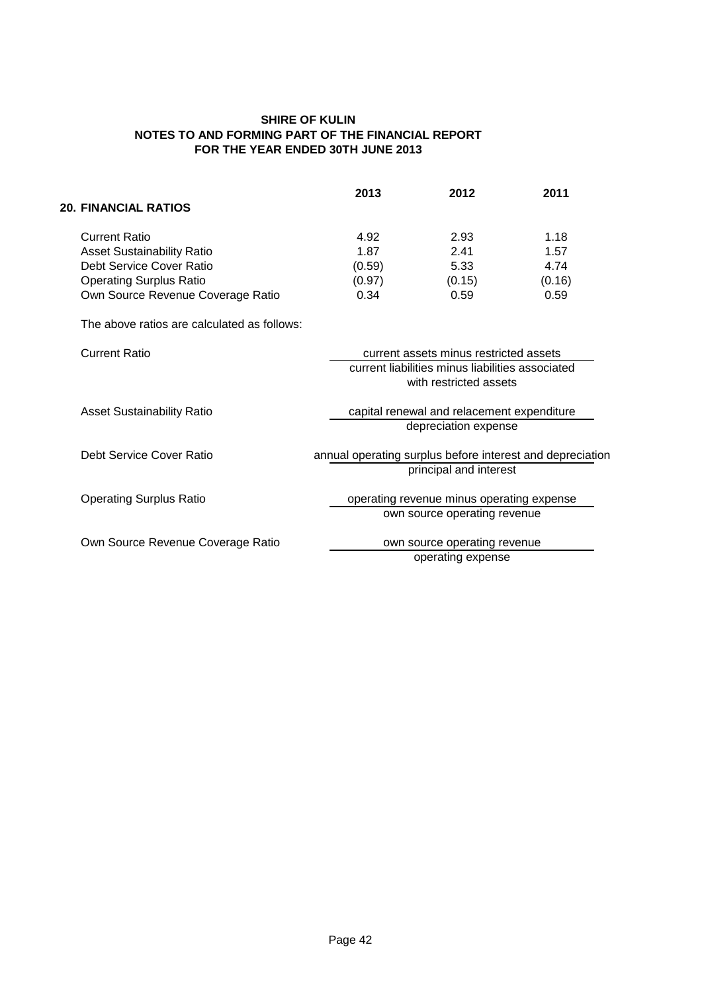|                                   | 2013   | 2012   | 2011   |
|-----------------------------------|--------|--------|--------|
| <b>20. FINANCIAL RATIOS</b>       |        |        |        |
| <b>Current Ratio</b>              | 4.92   | 2.93   | 1.18   |
| <b>Asset Sustainability Ratio</b> | 1.87   | 2.41   | 1.57   |
| Debt Service Cover Ratio          | (0.59) | 5.33   | 4.74   |
| <b>Operating Surplus Ratio</b>    | (0.97) | (0.15) | (0.16) |
| Own Source Revenue Coverage Ratio | 0.34   | 0.59   | 0.59   |

The above ratios are calculated as follows:

| <b>Current Ratio</b>              | current assets minus restricted assets                    |
|-----------------------------------|-----------------------------------------------------------|
|                                   | current liabilities minus liabilities associated          |
|                                   | with restricted assets                                    |
| <b>Asset Sustainability Ratio</b> | capital renewal and relacement expenditure                |
|                                   | depreciation expense                                      |
| Debt Service Cover Ratio          | annual operating surplus before interest and depreciation |
|                                   | principal and interest                                    |
| <b>Operating Surplus Ratio</b>    | operating revenue minus operating expense                 |
|                                   | own source operating revenue                              |
| Own Source Revenue Coverage Ratio | own source operating revenue                              |
|                                   | operating expense                                         |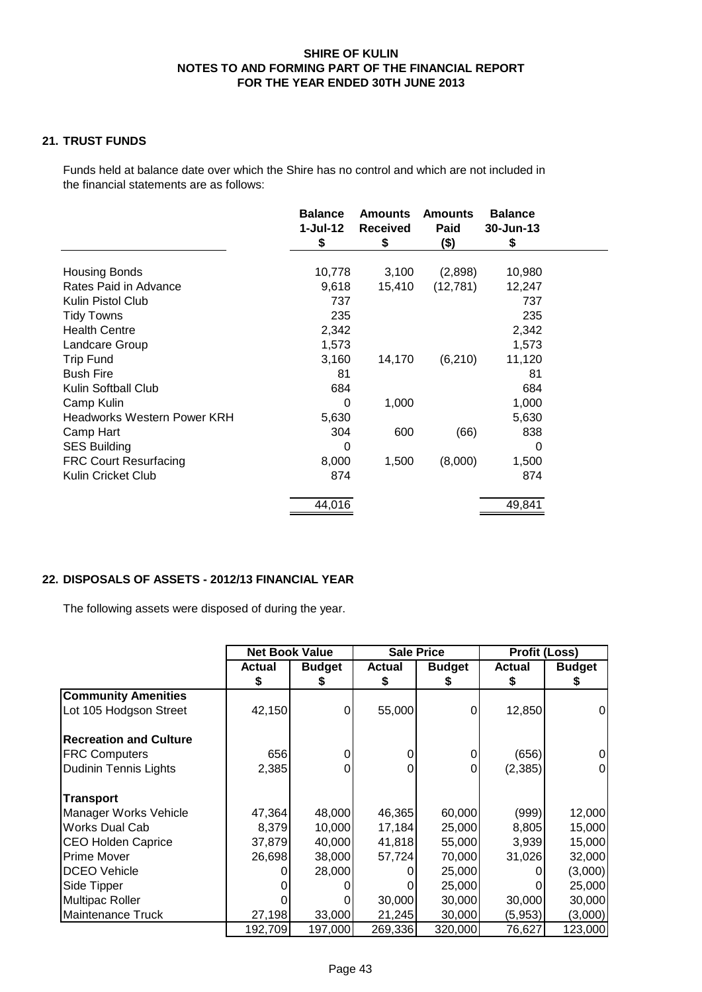# **21. TRUST FUNDS**

Funds held at balance date over which the Shire has no control and which are not included in the financial statements are as follows:

|                                    | <b>Balance</b><br>$1-Jul-12$<br>\$ | <b>Amounts</b><br><b>Received</b><br>\$ | <b>Amounts</b><br>Paid<br>$($ \$) | <b>Balance</b><br>30-Jun-13<br>\$ |  |
|------------------------------------|------------------------------------|-----------------------------------------|-----------------------------------|-----------------------------------|--|
|                                    |                                    |                                         |                                   |                                   |  |
| <b>Housing Bonds</b>               | 10,778                             | 3,100                                   | (2,898)                           | 10,980                            |  |
| Rates Paid in Advance              | 9,618                              | 15,410                                  | (12,781)                          | 12,247                            |  |
| Kulin Pistol Club                  | 737                                |                                         |                                   | 737                               |  |
| Tidy Towns                         | 235                                |                                         |                                   | 235                               |  |
| <b>Health Centre</b>               | 2,342                              |                                         |                                   | 2,342                             |  |
| Landcare Group                     | 1,573                              |                                         |                                   | 1,573                             |  |
| <b>Trip Fund</b>                   | 3,160                              | 14,170                                  | (6, 210)                          | 11,120                            |  |
| <b>Bush Fire</b>                   | 81                                 |                                         |                                   | 81                                |  |
| Kulin Softball Club                | 684                                |                                         |                                   | 684                               |  |
| Camp Kulin                         | 0                                  | 1,000                                   |                                   | 1,000                             |  |
| <b>Headworks Western Power KRH</b> | 5,630                              |                                         |                                   | 5,630                             |  |
| Camp Hart                          | 304                                | 600                                     | (66)                              | 838                               |  |
| <b>SES Building</b>                | 0                                  |                                         |                                   | 0                                 |  |
| <b>FRC Court Resurfacing</b>       | 8,000                              | 1,500                                   | (8,000)                           | 1,500                             |  |
| Kulin Cricket Club                 | 874                                |                                         |                                   | 874                               |  |
|                                    | 44,016                             |                                         |                                   | 49,841                            |  |

# **22. DISPOSALS OF ASSETS - 2012/13 FINANCIAL YEAR**

The following assets were disposed of during the year.

|                               | <b>Net Book Value</b> |               | <b>Sale Price</b> |               | <b>Profit (Loss)</b> |               |  |
|-------------------------------|-----------------------|---------------|-------------------|---------------|----------------------|---------------|--|
|                               | <b>Actual</b>         | <b>Budget</b> | <b>Actual</b>     | <b>Budget</b> | <b>Actual</b>        | <b>Budget</b> |  |
|                               | S                     |               | S                 | S             | S                    | S.            |  |
| <b>Community Amenities</b>    |                       |               |                   |               |                      |               |  |
| Lot 105 Hodgson Street        | 42,150                | 0             | 55,000            | 0             | 12,850               | 0             |  |
| <b>Recreation and Culture</b> |                       |               |                   |               |                      |               |  |
| <b>FRC Computers</b>          | 656                   | 0             | 0                 | 0             | (656)                |               |  |
| <b>Dudinin Tennis Lights</b>  | 2,385                 |               |                   | 0             | (2,385)              |               |  |
| <b>Transport</b>              |                       |               |                   |               |                      |               |  |
| Manager Works Vehicle         | 47,364                | 48,000        | 46,365            | 60,000        | (999)                | 12,000        |  |
| <b>Works Dual Cab</b>         | 8,379                 | 10,000        | 17,184            | 25,000        | 8,805                | 15,000        |  |
| <b>CEO Holden Caprice</b>     | 37,879                | 40,000        | 41,818            | 55,000        | 3,939                | 15,000        |  |
| Prime Mover                   | 26,698                | 38,000        | 57,724            | 70,000        | 31,026               | 32,000        |  |
| <b>DCEO Vehicle</b>           |                       | 28,000        |                   | 25,000        |                      | (3,000)       |  |
| Side Tipper                   |                       |               |                   | 25,000        |                      | 25,000        |  |
| Multipac Roller               |                       |               | 30,000            | 30,000        | 30,000               | 30,000        |  |
| Maintenance Truck             | 27,198                | 33,000        | 21,245            | 30,000        | (5,953)              | (3,000)       |  |
|                               | 192,709               | 197,000       | 269,336           | 320,000       | 76,627               | 123,000       |  |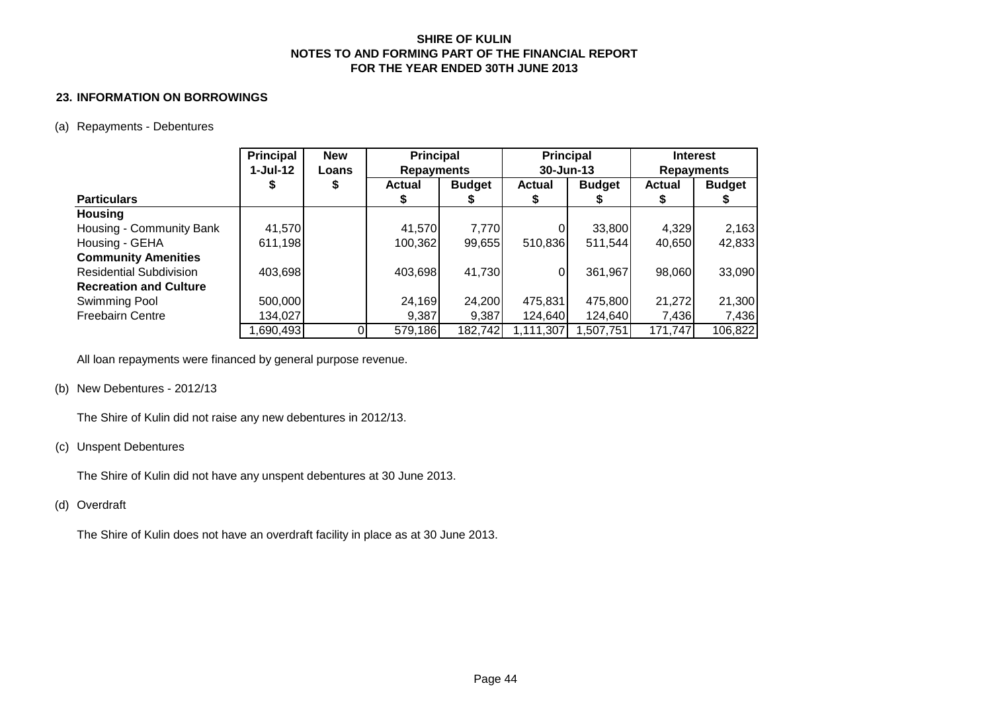#### **23. INFORMATION ON BORROWINGS**

#### (a) Repayments - Debentures

|                                | <b>Principal</b> | <b>New</b> | <b>Principal</b>  |               | <b>Principal</b> |               | <b>Interest</b>   |               |
|--------------------------------|------------------|------------|-------------------|---------------|------------------|---------------|-------------------|---------------|
|                                | $1-Jul-12$       | Loans      | <b>Repayments</b> |               | 30-Jun-13        |               | <b>Repayments</b> |               |
|                                |                  | \$         | <b>Actual</b>     | <b>Budget</b> | <b>Actual</b>    | <b>Budget</b> | <b>Actual</b>     | <b>Budget</b> |
| <b>Particulars</b>             |                  |            |                   |               |                  |               |                   |               |
| <b>Housing</b>                 |                  |            |                   |               |                  |               |                   |               |
| Housing - Community Bank       | 41,570           |            | 41,570            | 7,770         |                  | 33,800        | 4,329             | 2,163         |
| Housing - GEHA                 | 611,198          |            | 100,362           | 99,655        | 510,836          | 511,544       | 40,650            | 42,833        |
| <b>Community Amenities</b>     |                  |            |                   |               |                  |               |                   |               |
| <b>Residential Subdivision</b> | 403,698          |            | 403,698           | 41,730        | 0                | 361,967       | 98,060            | 33,090        |
| <b>Recreation and Culture</b>  |                  |            |                   |               |                  |               |                   |               |
| Swimming Pool                  | 500,000          |            | 24,169            | 24,200        | 475,831          | 475,800       | 21,272            | 21,300        |
| <b>Freebairn Centre</b>        | 134,027          |            | 9,387             | 9,387         | 124,640          | 124,640       | 7,436             | 7,436         |
|                                | 1,690,493        |            | 579,186           | 182,742       | 1,111,307        | ,507,751      | 171,747           | 106,822       |

All loan repayments were financed by general purpose revenue.

#### (b) New Debentures - 2012/13

The Shire of Kulin did not raise any new debentures in 2012/13.

### (c) Unspent Debentures

The Shire of Kulin did not have any unspent debentures at 30 June 2013.

#### (d) Overdraft

The Shire of Kulin does not have an overdraft facility in place as at 30 June 2013.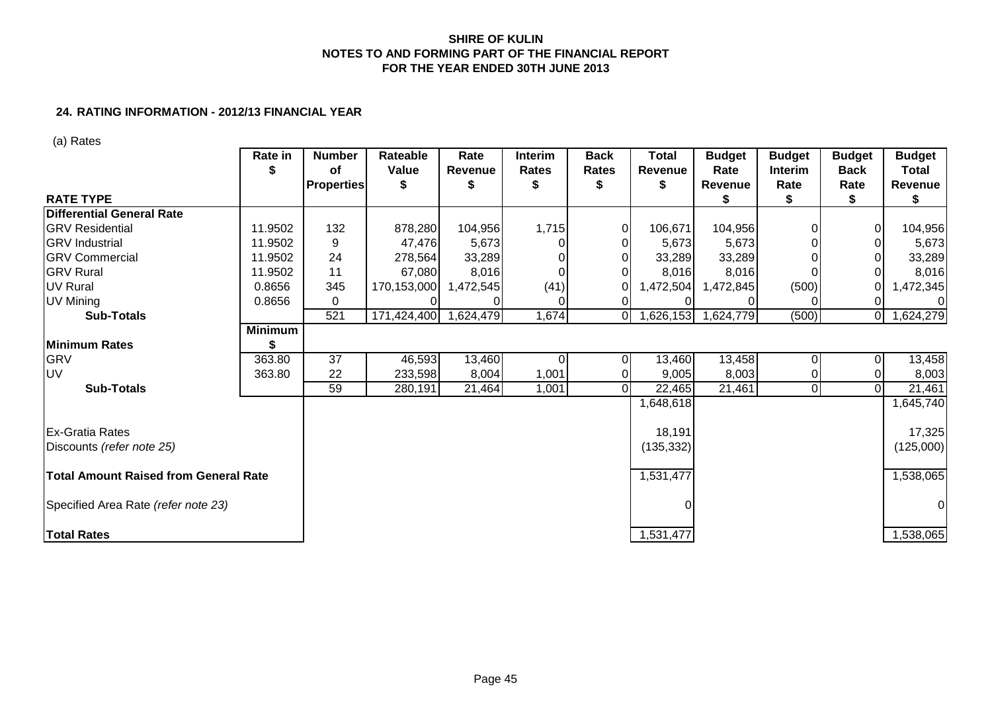# **24. RATING INFORMATION - 2012/13 FINANCIAL YEAR**

(a) Rates

|                                       | <b>Rate in</b> | <b>Number</b><br>оf | Rateable<br>Value | Rate<br><b>Revenue</b> | <b>Interim</b><br><b>Rates</b> | <b>Back</b><br><b>Rates</b> | <b>Total</b><br><b>Revenue</b> | <b>Budget</b><br>Rate | <b>Budget</b><br><b>Interim</b> | <b>Budget</b><br><b>Back</b> | <b>Budget</b><br>Total |
|---------------------------------------|----------------|---------------------|-------------------|------------------------|--------------------------------|-----------------------------|--------------------------------|-----------------------|---------------------------------|------------------------------|------------------------|
|                                       |                | <b>Properties</b>   |                   |                        |                                |                             | S                              | Revenue               | Rate                            | Rate                         | Revenue                |
| <b>RATE TYPE</b>                      |                |                     |                   |                        |                                |                             |                                | S                     |                                 |                              | S                      |
| <b>Differential General Rate</b>      |                |                     |                   |                        |                                |                             |                                |                       |                                 |                              |                        |
| <b>GRV Residential</b>                | 11.9502        | 132                 | 878,280           | 104,956                | 1,715                          | $\overline{0}$              | 106,671                        | 104,956               |                                 |                              | 104,956                |
| <b>GRV</b> Industrial                 | 11.9502        | 9                   | 47,476            | 5,673                  |                                | $\Omega$                    | 5,673                          | 5,673                 |                                 |                              | 5,673                  |
| <b>GRV Commercial</b>                 | 11.9502        | 24                  | 278,564           | 33,289                 |                                | $\Omega$                    | 33,289                         | 33,289                |                                 |                              | 33,289                 |
| <b>GRV</b> Rural                      | 11.9502        | 11                  | 67,080            | 8,016                  |                                | 01                          | 8,016                          | 8,016                 |                                 |                              | 8,016                  |
| <b>UV Rural</b>                       | 0.8656         | 345                 | 170,153,000       | 1,472,545              | (41)                           | 01                          | 1,472,504                      | 1,472,845             | (500)                           |                              | ,472,345               |
| UV Mining                             | 0.8656         | 0                   |                   |                        |                                |                             |                                |                       |                                 |                              | <sup>0</sup>           |
| <b>Sub-Totals</b>                     |                | 521                 | 171,424,400       | 1,624,479              | 1,674                          | ΟI                          | 1,626,153                      | 1,624,779             | (500)                           | 01                           | ,624,279               |
|                                       | <b>Minimum</b> |                     |                   |                        |                                |                             |                                |                       |                                 |                              |                        |
| <b>Minimum Rates</b>                  |                |                     |                   |                        |                                |                             |                                |                       |                                 |                              |                        |
| <b>GRV</b>                            | 363.80         | 37                  | 46,593            | 13,460                 | $\Omega$                       | $\overline{0}$              | 13,460                         | 13,458                |                                 |                              | 13,458                 |
| UV                                    | 363.80         | 22                  | 233,598           | 8,004                  | 1,001                          |                             | 9,005                          | 8,003                 |                                 |                              | 8,003                  |
| <b>Sub-Totals</b>                     |                | 59                  | 280,191           | 21,464                 | 1,001                          | $\overline{0}$              | 22,465                         | 21,461                | $\overline{0}$                  |                              | $\overline{2}1,461$    |
|                                       |                |                     |                   |                        |                                |                             | 1,648,618                      |                       |                                 |                              | 1,645,740              |
| <b>Ex-Gratia Rates</b>                |                |                     |                   |                        |                                |                             | 18,191                         |                       |                                 |                              | 17,325                 |
| Discounts (refer note 25)             |                |                     |                   |                        |                                |                             | (135, 332)                     |                       |                                 |                              | (125,000)              |
| Total Amount Raised from General Rate |                |                     |                   |                        |                                |                             | 1,531,477                      |                       |                                 |                              | 1,538,065              |
| Specified Area Rate (refer note 23)   |                |                     |                   |                        |                                |                             |                                |                       |                                 |                              | $\overline{0}$         |
| <b>Total Rates</b>                    |                |                     |                   |                        |                                |                             | 1,531,477                      |                       |                                 |                              | 1,538,065              |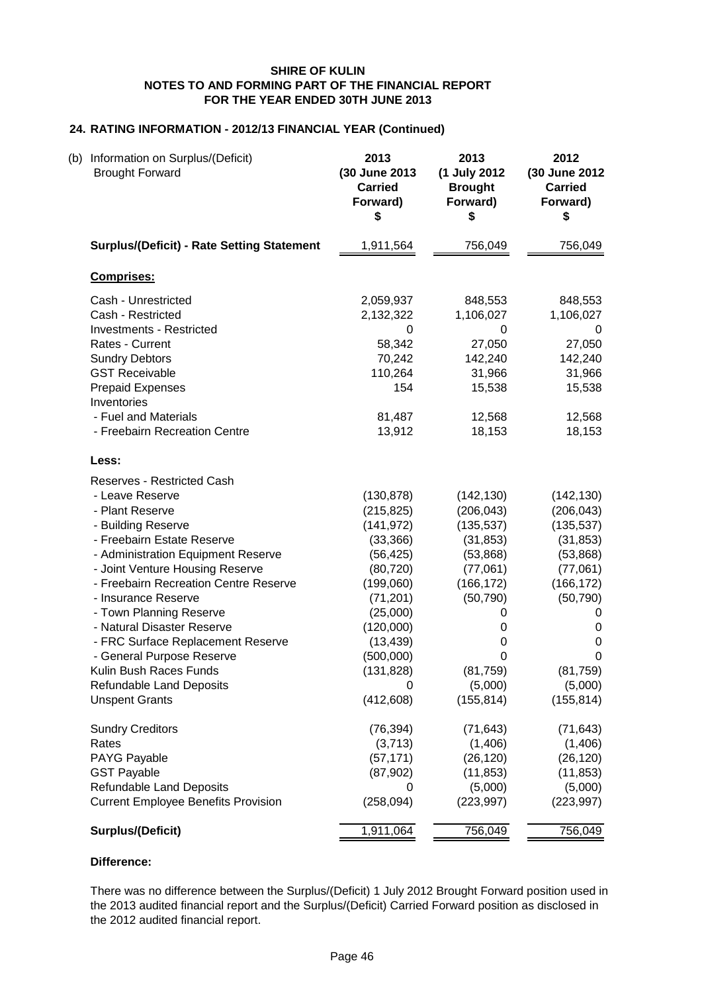# **24. RATING INFORMATION - 2012/13 FINANCIAL YEAR (Continued)**

| (b) Information on Surplus/(Deficit)<br><b>Brought Forward</b>                                                                                                                                                                                                                                                                                                                                                                                                                        | 2013<br>(30 June 2013<br><b>Carried</b><br>Forward)<br>\$                                                                                                                                  | 2013<br>(1 July 2012<br><b>Brought</b><br>Forward)<br>\$                                                                                                         | 2012<br>(30 June 2012<br><b>Carried</b><br>Forward)<br>\$                                                                                                         |
|---------------------------------------------------------------------------------------------------------------------------------------------------------------------------------------------------------------------------------------------------------------------------------------------------------------------------------------------------------------------------------------------------------------------------------------------------------------------------------------|--------------------------------------------------------------------------------------------------------------------------------------------------------------------------------------------|------------------------------------------------------------------------------------------------------------------------------------------------------------------|-------------------------------------------------------------------------------------------------------------------------------------------------------------------|
| <b>Surplus/(Deficit) - Rate Setting Statement</b>                                                                                                                                                                                                                                                                                                                                                                                                                                     | 1,911,564                                                                                                                                                                                  | 756,049                                                                                                                                                          | 756,049                                                                                                                                                           |
| <b>Comprises:</b>                                                                                                                                                                                                                                                                                                                                                                                                                                                                     |                                                                                                                                                                                            |                                                                                                                                                                  |                                                                                                                                                                   |
| Cash - Unrestricted<br>Cash - Restricted<br><b>Investments - Restricted</b><br>Rates - Current<br><b>Sundry Debtors</b><br><b>GST Receivable</b><br><b>Prepaid Expenses</b><br>Inventories<br>- Fuel and Materials                                                                                                                                                                                                                                                                    | 2,059,937<br>2,132,322<br>0<br>58,342<br>70,242<br>110,264<br>154<br>81,487                                                                                                                | 848,553<br>1,106,027<br>0<br>27,050<br>142,240<br>31,966<br>15,538<br>12,568                                                                                     | 848,553<br>1,106,027<br>0<br>27,050<br>142,240<br>31,966<br>15,538<br>12,568                                                                                      |
| - Freebairn Recreation Centre                                                                                                                                                                                                                                                                                                                                                                                                                                                         | 13,912                                                                                                                                                                                     | 18,153                                                                                                                                                           | 18,153                                                                                                                                                            |
| Less:                                                                                                                                                                                                                                                                                                                                                                                                                                                                                 |                                                                                                                                                                                            |                                                                                                                                                                  |                                                                                                                                                                   |
| <b>Reserves - Restricted Cash</b><br>- Leave Reserve<br>- Plant Reserve<br>- Building Reserve<br>- Freebairn Estate Reserve<br>- Administration Equipment Reserve<br>- Joint Venture Housing Reserve<br>- Freebairn Recreation Centre Reserve<br>- Insurance Reserve<br>- Town Planning Reserve<br>- Natural Disaster Reserve<br>- FRC Surface Replacement Reserve<br>- General Purpose Reserve<br>Kulin Bush Races Funds<br><b>Refundable Land Deposits</b><br><b>Unspent Grants</b> | (130, 878)<br>(215, 825)<br>(141, 972)<br>(33, 366)<br>(56, 425)<br>(80, 720)<br>(199,060)<br>(71, 201)<br>(25,000)<br>(120,000)<br>(13, 439)<br>(500,000)<br>(131, 828)<br>0<br>(412,608) | (142, 130)<br>(206, 043)<br>(135, 537)<br>(31, 853)<br>(53,868)<br>(77,061)<br>(166, 172)<br>(50, 790)<br>0<br>0<br>0<br>0<br>(81, 759)<br>(5,000)<br>(155, 814) | (142, 130)<br>(206, 043)<br>(135, 537)<br>(31, 853)<br>(53, 868)<br>(77,061)<br>(166, 172)<br>(50, 790)<br>0<br>0<br>0<br>0<br>(81, 759)<br>(5,000)<br>(155, 814) |
| <b>Sundry Creditors</b><br>Rates<br>PAYG Payable<br><b>GST Payable</b><br>Refundable Land Deposits<br><b>Current Employee Benefits Provision</b>                                                                                                                                                                                                                                                                                                                                      | (76, 394)<br>(3,713)<br>(57, 171)<br>(87,902)<br>0<br>(258, 094)                                                                                                                           | (71, 643)<br>(1,406)<br>(26, 120)<br>(11, 853)<br>(5,000)<br>(223, 997)                                                                                          | (71, 643)<br>(1,406)<br>(26, 120)<br>(11, 853)<br>(5,000)<br>(223, 997)                                                                                           |
| <b>Surplus/(Deficit)</b>                                                                                                                                                                                                                                                                                                                                                                                                                                                              | 1,911,064                                                                                                                                                                                  | 756,049                                                                                                                                                          | 756,049                                                                                                                                                           |

# **Difference:**

There was no difference between the Surplus/(Deficit) 1 July 2012 Brought Forward position used in the 2013 audited financial report and the Surplus/(Deficit) Carried Forward position as disclosed in the 2012 audited financial report.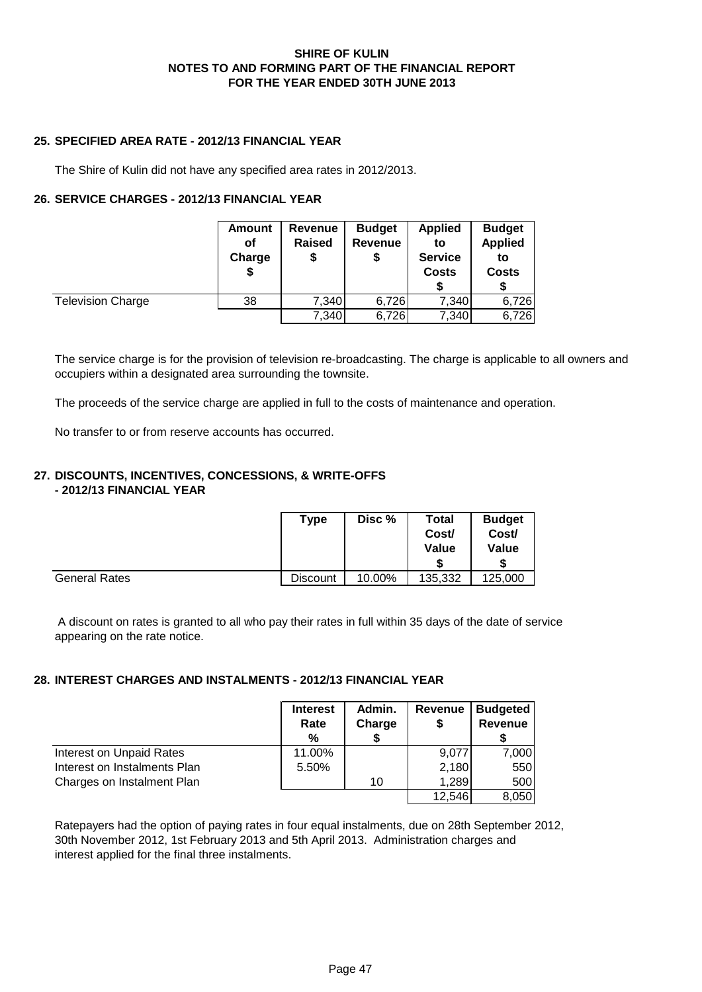# **25. SPECIFIED AREA RATE - 2012/13 FINANCIAL YEAR**

The Shire of Kulin did not have any specified area rates in 2012/2013.

# **26. SERVICE CHARGES - 2012/13 FINANCIAL YEAR**

|                          | Amount<br>οf<br>Charge<br>\$ | Revenue<br><b>Raised</b><br>\$ | <b>Budget</b><br><b>Revenue</b><br>\$ | <b>Applied</b><br>to<br><b>Service</b><br><b>Costs</b> | <b>Budget</b><br><b>Applied</b><br>to<br>Costs |
|--------------------------|------------------------------|--------------------------------|---------------------------------------|--------------------------------------------------------|------------------------------------------------|
| <b>Television Charge</b> | 38                           | 7,340                          | 6,726                                 | 7,340                                                  | 6,726                                          |
|                          |                              | 7,340                          | 6,726                                 | 7,340                                                  | 6,726                                          |

The service charge is for the provision of television re-broadcasting. The charge is applicable to all owners and occupiers within a designated area surrounding the townsite.

The proceeds of the service charge are applied in full to the costs of maintenance and operation.

No transfer to or from reserve accounts has occurred.

# **27. DISCOUNTS, INCENTIVES, CONCESSIONS, & WRITE-OFFS - 2012/13 FINANCIAL YEAR**

|                      | Type            | Disc % | Total<br>Cost/<br><b>Value</b> | <b>Budget</b><br>Cost/<br>Value |
|----------------------|-----------------|--------|--------------------------------|---------------------------------|
| <b>General Rates</b> | <b>Discount</b> | 10.00% | 135,332                        | 125,000                         |

 A discount on rates is granted to all who pay their rates in full within 35 days of the date of service appearing on the rate notice.

# **28. INTEREST CHARGES AND INSTALMENTS - 2012/13 FINANCIAL YEAR**

|                              | <b>Interest</b><br>Rate<br>% | Admin.<br>Charge | Revenue<br>\$ | <b>Budgeted</b><br><b>Revenue</b> |
|------------------------------|------------------------------|------------------|---------------|-----------------------------------|
| Interest on Unpaid Rates     | 11.00%                       |                  | 9,077         | 7,000                             |
| Interest on Instalments Plan | 5.50%                        |                  | 2,180         | 550                               |
| Charges on Instalment Plan   |                              | 10               | 1,289         | 500                               |
|                              |                              |                  | 12,546        | 8,050                             |

Ratepayers had the option of paying rates in four equal instalments, due on 28th September 2012, 30th November 2012, 1st February 2013 and 5th April 2013. Administration charges and interest applied for the final three instalments.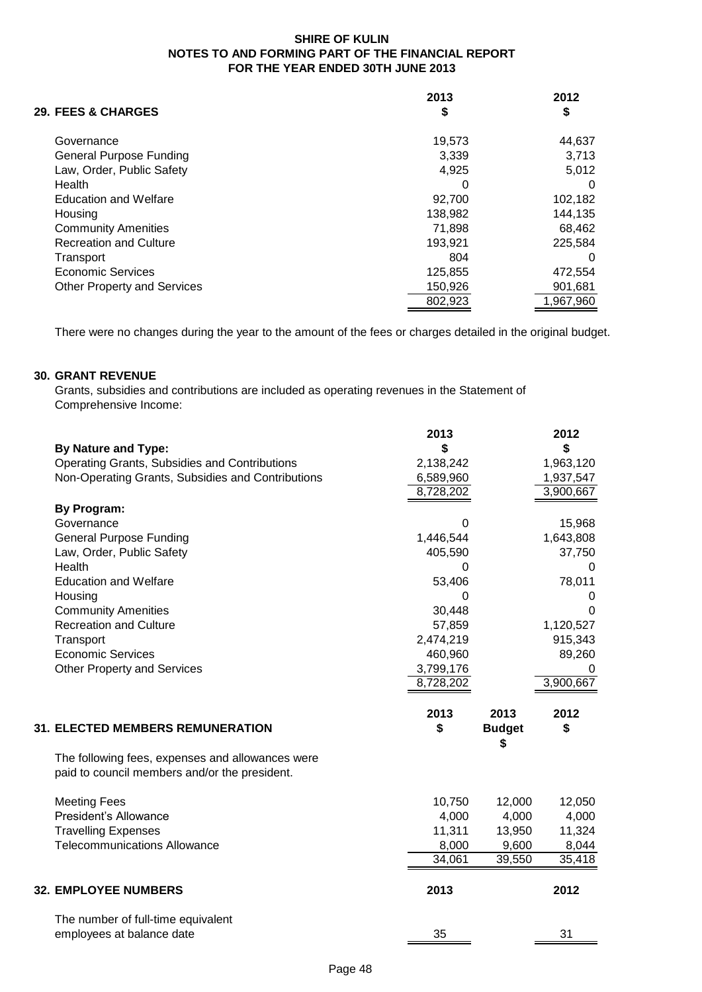| <b>29. FEES &amp; CHARGES</b>      | 2013<br>\$ | 2012<br>\$ |
|------------------------------------|------------|------------|
| Governance                         | 19.573     | 44.637     |
| <b>General Purpose Funding</b>     | 3,339      | 3,713      |
| Law, Order, Public Safety          | 4.925      | 5,012      |
| Health                             | O          | 0          |
| <b>Education and Welfare</b>       | 92.700     | 102,182    |
| Housing                            | 138,982    | 144,135    |
| <b>Community Amenities</b>         | 71.898     | 68,462     |
| <b>Recreation and Culture</b>      | 193,921    | 225,584    |
| Transport                          | 804        | 0          |
| Economic Services                  | 125,855    | 472,554    |
| <b>Other Property and Services</b> | 150,926    | 901,681    |
|                                    | 802,923    | 1,967,960  |

There were no changes during the year to the amount of the fees or charges detailed in the original budget.

# **30. GRANT REVENUE**

Grants, subsidies and contributions are included as operating revenues in the Statement of Comprehensive Income:

|                                                   | 2013      |               | 2012      |
|---------------------------------------------------|-----------|---------------|-----------|
| <b>By Nature and Type:</b>                        | \$        |               | \$        |
| Operating Grants, Subsidies and Contributions     | 2,138,242 |               | 1,963,120 |
| Non-Operating Grants, Subsidies and Contributions | 6,589,960 |               | 1,937,547 |
|                                                   | 8,728,202 |               | 3,900,667 |
| <b>By Program:</b>                                |           |               |           |
| Governance                                        | 0         |               | 15,968    |
| <b>General Purpose Funding</b>                    | 1,446,544 |               | 1,643,808 |
| Law, Order, Public Safety                         | 405,590   |               | 37,750    |
| Health                                            | 0         |               | 0         |
| <b>Education and Welfare</b>                      | 53,406    |               | 78,011    |
| Housing                                           | 0         |               | 0         |
| <b>Community Amenities</b>                        | 30,448    |               | 0         |
| <b>Recreation and Culture</b>                     | 57,859    |               | 1,120,527 |
| Transport                                         | 2,474,219 |               | 915,343   |
| <b>Economic Services</b>                          | 460,960   |               | 89,260    |
| <b>Other Property and Services</b>                | 3,799,176 |               |           |
|                                                   | 8,728,202 |               | 3,900,667 |
|                                                   | 2013      | 2013          | 2012      |
| <b>31. ELECTED MEMBERS REMUNERATION</b>           | \$        | <b>Budget</b> | \$        |
|                                                   |           | S             |           |
| The following fees, expenses and allowances were  |           |               |           |
| paid to council members and/or the president.     |           |               |           |
| <b>Meeting Fees</b>                               | 10,750    | 12,000        | 12,050    |
| President's Allowance                             | 4,000     | 4,000         | 4,000     |
| <b>Travelling Expenses</b>                        | 11,311    | 13,950        | 11,324    |
| <b>Telecommunications Allowance</b>               | 8,000     | 9,600         | 8,044     |
|                                                   | 34,061    | 39,550        | 35,418    |
| <b>32. EMPLOYEE NUMBERS</b>                       | 2013      |               | 2012      |
| The number of full-time equivalent                |           |               |           |
| employees at balance date                         | 35        |               | 31        |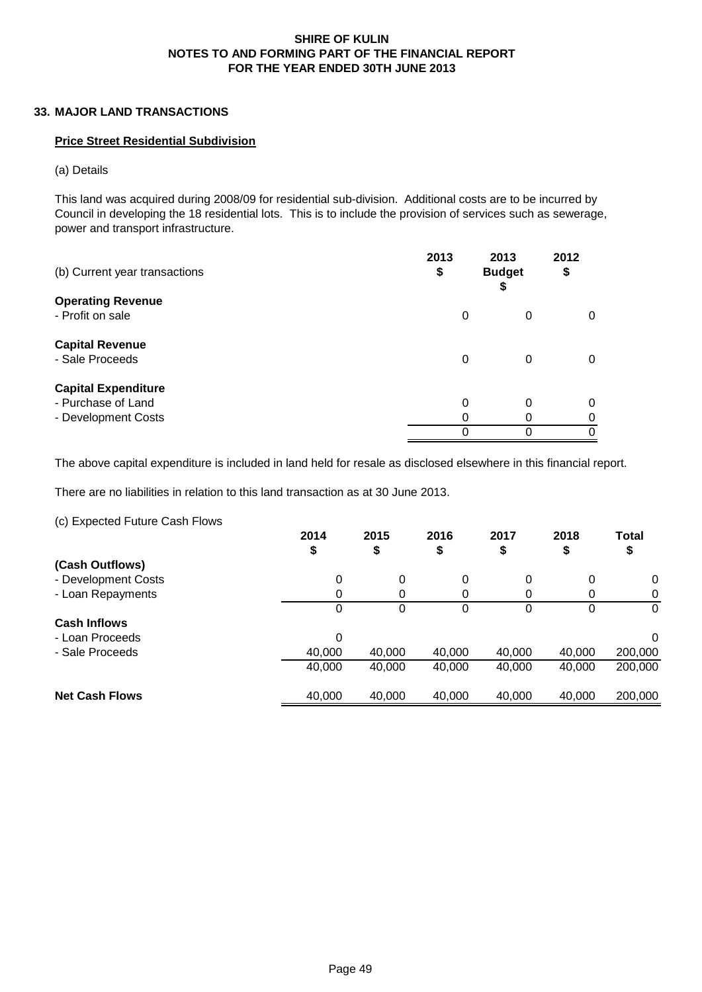# **33. MAJOR LAND TRANSACTIONS**

# **Price Street Residential Subdivision**

(a) Details

This land was acquired during 2008/09 for residential sub-division. Additional costs are to be incurred by Council in developing the 18 residential lots. This is to include the provision of services such as sewerage, power and transport infrastructure.

| (b) Current year transactions                | 2013<br>\$ | 2013<br><b>Budget</b><br>⊕ | 2012<br>\$ |
|----------------------------------------------|------------|----------------------------|------------|
| <b>Operating Revenue</b><br>- Profit on sale | 0          | 0                          | 0          |
| <b>Capital Revenue</b>                       |            |                            |            |
| - Sale Proceeds                              | 0          | $\Omega$                   | 0          |
| <b>Capital Expenditure</b>                   |            |                            |            |
| - Purchase of Land                           | 0          | 0                          | 0          |
| - Development Costs                          |            |                            |            |
|                                              |            |                            |            |

The above capital expenditure is included in land held for resale as disclosed elsewhere in this financial report.

There are no liabilities in relation to this land transaction as at 30 June 2013.

(c) Expected Future Cash Flows

|                       | 2014<br>\$ | 2015<br>\$ | 2016<br>\$ | 2017<br>⊕ | 2018   | <b>Total</b><br>\$ |
|-----------------------|------------|------------|------------|-----------|--------|--------------------|
| (Cash Outflows)       |            |            |            |           |        |                    |
| - Development Costs   | 0          | 0          | 0          | 0         | 0      | $\Omega$           |
| - Loan Repayments     | 0          |            |            | 0         | 0      | 0                  |
|                       | 0          | 0          | 0          | 0         | 0      | 0                  |
| <b>Cash Inflows</b>   |            |            |            |           |        |                    |
| - Loan Proceeds       | 0          |            |            |           |        | $\Omega$           |
| - Sale Proceeds       | 40,000     | 40,000     | 40,000     | 40,000    | 40,000 | 200,000            |
|                       | 40,000     | 40,000     | 40,000     | 40,000    | 40,000 | 200,000            |
| <b>Net Cash Flows</b> | 40,000     | 40,000     | 40,000     | 40,000    | 40,000 | 200,000            |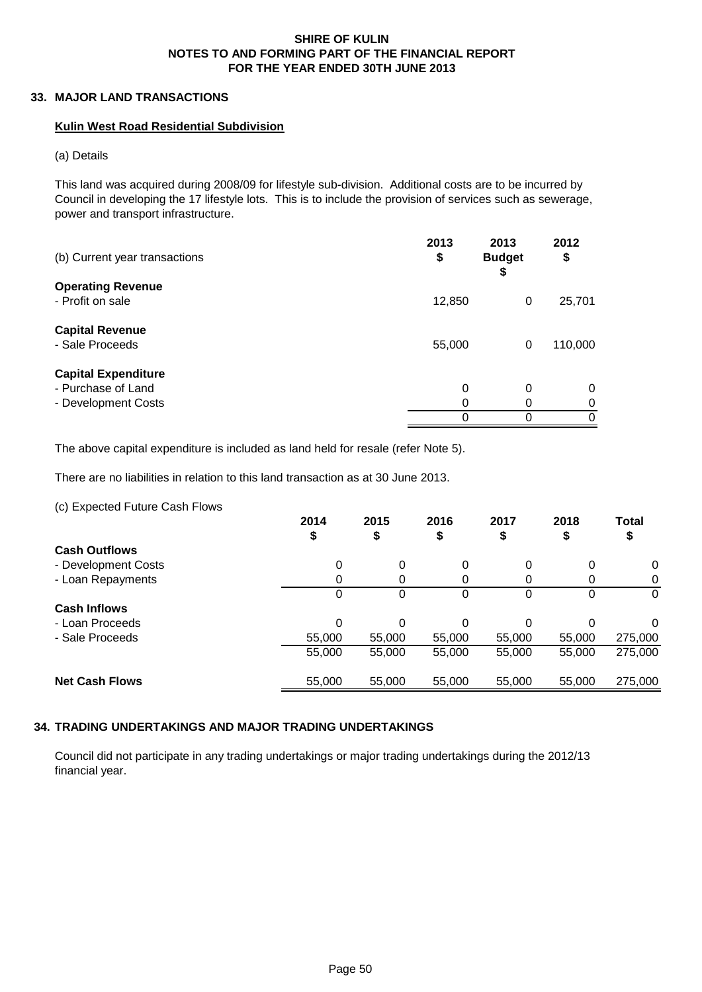# **33. MAJOR LAND TRANSACTIONS**

# **Kulin West Road Residential Subdivision**

(a) Details

This land was acquired during 2008/09 for lifestyle sub-division. Additional costs are to be incurred by Council in developing the 17 lifestyle lots. This is to include the provision of services such as sewerage, power and transport infrastructure.

| (b) Current year transactions | 2013<br>\$ | 2013<br><b>Budget</b><br>\$ | 2012<br>\$ |
|-------------------------------|------------|-----------------------------|------------|
| <b>Operating Revenue</b>      |            |                             |            |
| - Profit on sale              | 12,850     | 0                           | 25,701     |
| <b>Capital Revenue</b>        |            |                             |            |
| - Sale Proceeds               | 55,000     | 0                           | 110,000    |
| <b>Capital Expenditure</b>    |            |                             |            |
| - Purchase of Land            | 0          | 0                           | 0          |
| - Development Costs           | 0          | 0                           | 0          |
|                               | 0          | 0                           | 0          |

The above capital expenditure is included as land held for resale (refer Note 5).

There are no liabilities in relation to this land transaction as at 30 June 2013.

(c) Expected Future Cash Flows

|                       | 2014<br>\$ | 2015<br>\$ | 2016<br>\$ | 2017   | 2018<br>₽ | <b>Total</b><br>\$ |
|-----------------------|------------|------------|------------|--------|-----------|--------------------|
| <b>Cash Outflows</b>  |            |            |            |        |           |                    |
| - Development Costs   | 0          | $\Omega$   | $\Omega$   | 0      | $\Omega$  | 0                  |
| - Loan Repayments     |            |            | 0          |        | 0         |                    |
|                       | O          |            | 0          | 0      | 0         | $\Omega$           |
| <b>Cash Inflows</b>   |            |            |            |        |           |                    |
| - Loan Proceeds       | 0          |            | 0          | 0      | 0         | $\Omega$           |
| - Sale Proceeds       | 55,000     | 55,000     | 55,000     | 55,000 | 55,000    | 275,000            |
|                       | 55,000     | 55,000     | 55,000     | 55,000 | 55,000    | 275,000            |
| <b>Net Cash Flows</b> | 55,000     | 55,000     | 55,000     | 55,000 | 55,000    | 275,000            |

# **34. TRADING UNDERTAKINGS AND MAJOR TRADING UNDERTAKINGS**

Council did not participate in any trading undertakings or major trading undertakings during the 2012/13 financial year.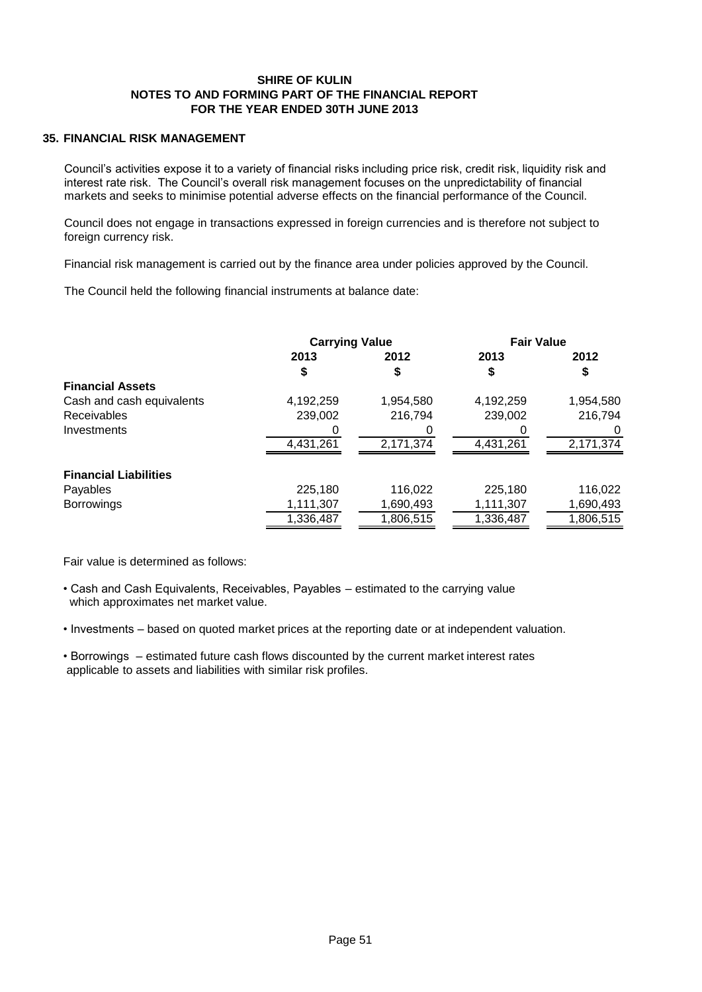# **35. FINANCIAL RISK MANAGEMENT**

Council's activities expose it to a variety of financial risks including price risk, credit risk, liquidity risk and interest rate risk. The Council's overall risk management focuses on the unpredictability of financial markets and seeks to minimise potential adverse effects on the financial performance of the Council.

Council does not engage in transactions expressed in foreign currencies and is therefore not subject to foreign currency risk.

Financial risk management is carried out by the finance area under policies approved by the Council.

The Council held the following financial instruments at balance date:

|                              | <b>Carrying Value</b> |           | <b>Fair Value</b> |           |
|------------------------------|-----------------------|-----------|-------------------|-----------|
|                              | 2013                  | 2012      | 2013              | 2012      |
|                              | \$                    | \$        |                   |           |
| <b>Financial Assets</b>      |                       |           |                   |           |
| Cash and cash equivalents    | 4,192,259             | 1,954,580 | 4,192,259         | 1,954,580 |
| <b>Receivables</b>           | 239,002               | 216,794   | 239,002           | 216,794   |
| Investments                  |                       |           |                   |           |
|                              | 4,431,261             | 2,171,374 | 4,431,261         | 2,171,374 |
| <b>Financial Liabilities</b> |                       |           |                   |           |
| Payables                     | 225,180               | 116,022   | 225,180           | 116,022   |
| <b>Borrowings</b>            | 1,111,307             | 1,690,493 | 1,111,307         | 1,690,493 |
|                              | 1,336,487             | 1,806,515 | 1,336,487         | 1,806,515 |

Fair value is determined as follows:

• Cash and Cash Equivalents, Receivables, Payables – estimated to the carrying value which approximates net market value.

• Investments – based on quoted market prices at the reporting date or at independent valuation.

• Borrowings – estimated future cash flows discounted by the current market interest rates applicable to assets and liabilities with similar risk profiles.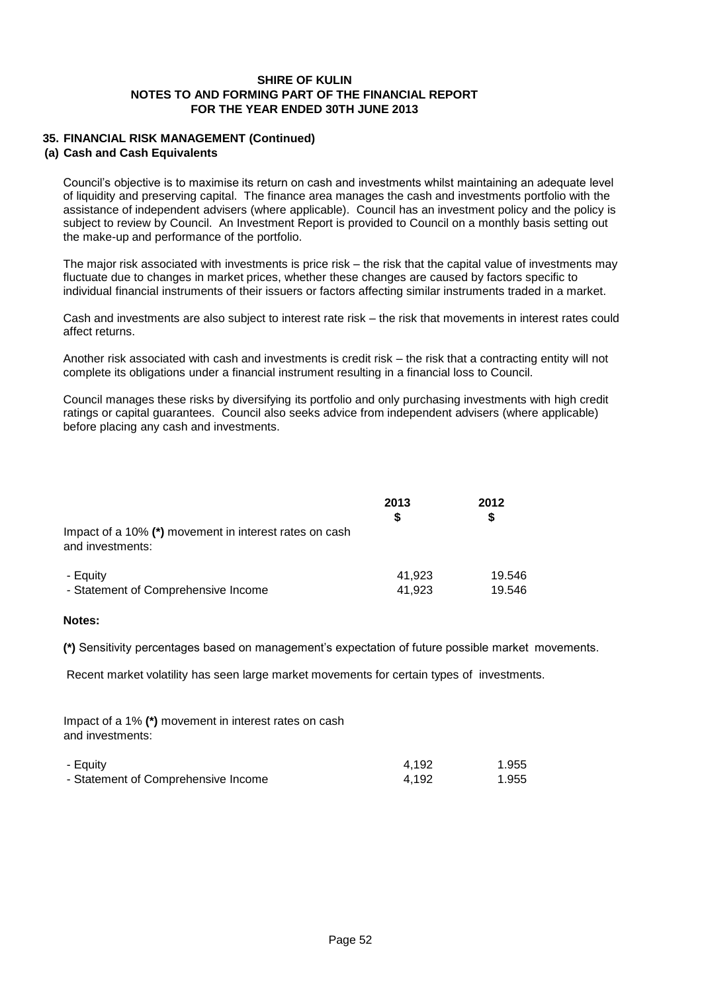# **35. FINANCIAL RISK MANAGEMENT (Continued)**

#### **(a) Cash and Cash Equivalents**

Council's objective is to maximise its return on cash and investments whilst maintaining an adequate level of liquidity and preserving capital. The finance area manages the cash and investments portfolio with the assistance of independent advisers (where applicable). Council has an investment policy and the policy is subject to review by Council. An Investment Report is provided to Council on a monthly basis setting out the make-up and performance of the portfolio.

The major risk associated with investments is price risk – the risk that the capital value of investments may fluctuate due to changes in market prices, whether these changes are caused by factors specific to individual financial instruments of their issuers or factors affecting similar instruments traded in a market.

Cash and investments are also subject to interest rate risk – the risk that movements in interest rates could affect returns.

Another risk associated with cash and investments is credit risk – the risk that a contracting entity will not complete its obligations under a financial instrument resulting in a financial loss to Council.

Council manages these risks by diversifying its portfolio and only purchasing investments with high credit ratings or capital guarantees. Council also seeks advice from independent advisers (where applicable) before placing any cash and investments.

|                                                                            | 2013<br>S | 2012   |
|----------------------------------------------------------------------------|-----------|--------|
| Impact of a 10% (*) movement in interest rates on cash<br>and investments: |           |        |
| - Equity                                                                   | 41.923    | 19.546 |
| - Statement of Comprehensive Income                                        | 41.923    | 19.546 |

#### **Notes:**

**(\*)** Sensitivity percentages based on management's expectation of future possible market movements.

Recent market volatility has seen large market movements for certain types of investments.

Impact of a 1% **(\*)** movement in interest rates on cash and investments:

| - Equity                            | 4.192 | 1.955 |
|-------------------------------------|-------|-------|
| - Statement of Comprehensive Income | 4.192 | 1.955 |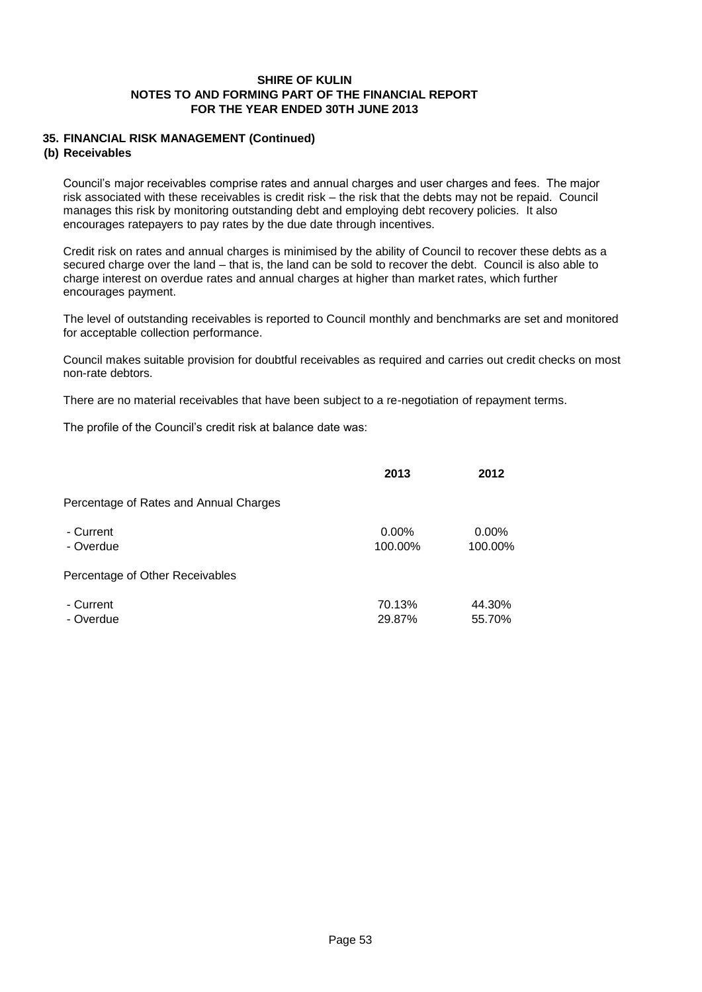# **35. FINANCIAL RISK MANAGEMENT (Continued)**

# **(b) Receivables**

Council's major receivables comprise rates and annual charges and user charges and fees. The major risk associated with these receivables is credit risk – the risk that the debts may not be repaid. Council manages this risk by monitoring outstanding debt and employing debt recovery policies. It also encourages ratepayers to pay rates by the due date through incentives.

Credit risk on rates and annual charges is minimised by the ability of Council to recover these debts as a secured charge over the land – that is, the land can be sold to recover the debt. Council is also able to charge interest on overdue rates and annual charges at higher than market rates, which further encourages payment.

The level of outstanding receivables is reported to Council monthly and benchmarks are set and monitored for acceptable collection performance.

Council makes suitable provision for doubtful receivables as required and carries out credit checks on most non-rate debtors.

There are no material receivables that have been subject to a re-negotiation of repayment terms.

The profile of the Council's credit risk at balance date was:

|                                        | 2013                | 2012                |
|----------------------------------------|---------------------|---------------------|
| Percentage of Rates and Annual Charges |                     |                     |
| - Current<br>- Overdue                 | $0.00\%$<br>100.00% | $0.00\%$<br>100.00% |
| Percentage of Other Receivables        |                     |                     |
| - Current<br>- Overdue                 | 70.13%<br>29.87%    | 44.30%<br>55.70%    |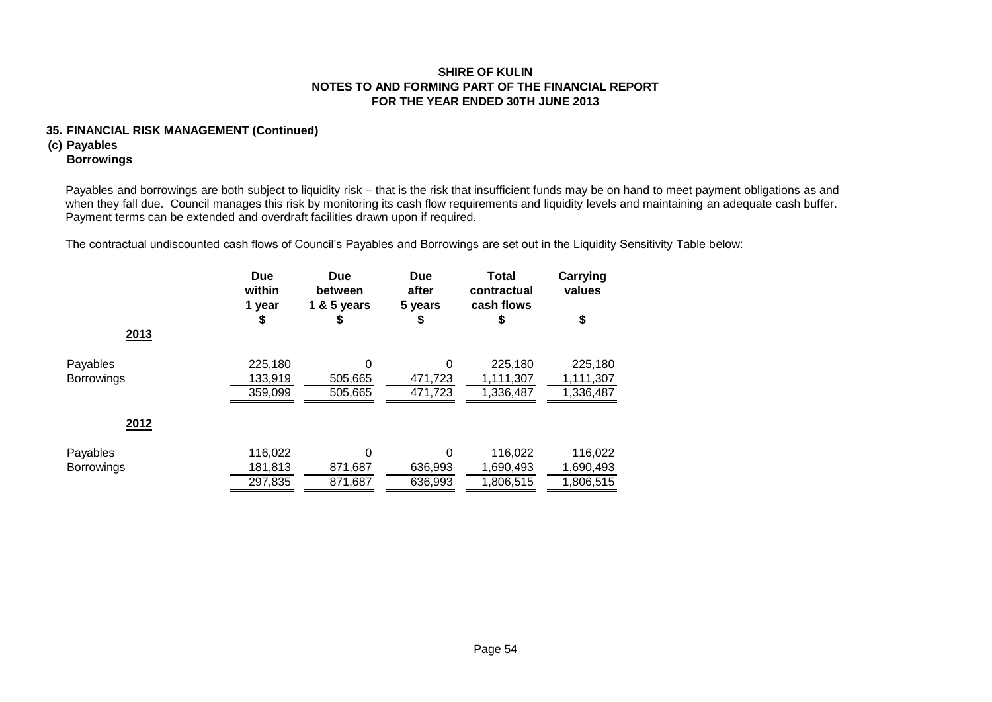# **35. FINANCIAL RISK MANAGEMENT (Continued)**

# **(c) Payables**

# **Borrowings**

Payables and borrowings are both subject to liquidity risk – that is the risk that insufficient funds may be on hand to meet payment obligations as and when they fall due. Council manages this risk by monitoring its cash flow requirements and liquidity levels and maintaining an adequate cash buffer. Payment terms can be extended and overdraft facilities drawn upon if required.

The contractual undiscounted cash flows of Council's Payables and Borrowings are set out in the Liquidity Sensitivity Table below:

|                   | <b>Due</b><br>within<br>1 year | <b>Due</b><br>between<br>1 & 5 years | <b>Due</b><br>after<br>5 years | <b>Total</b><br>contractual<br>cash flows | Carrying<br>values |
|-------------------|--------------------------------|--------------------------------------|--------------------------------|-------------------------------------------|--------------------|
|                   | \$                             | ¢                                    | \$                             | 5                                         | \$                 |
| 2013              |                                |                                      |                                |                                           |                    |
| Payables          | 225,180                        | 0                                    | 0                              | 225,180                                   | 225,180            |
| <b>Borrowings</b> | 133,919                        | 505,665                              | 471,723                        | 1,111,307                                 | 1,111,307          |
|                   | 359,099                        | 505,665                              | 471,723                        | 1,336,487                                 | 1,336,487          |
| 2012              |                                |                                      |                                |                                           |                    |
| Payables          | 116,022                        | $\Omega$                             | 0                              | 116,022                                   | 116,022            |
| Borrowings        | 181,813                        | 871,687                              | 636,993                        | 1,690,493                                 | 1,690,493          |
|                   | 297,835                        | 871.687                              | 636,993                        | 1,806,515                                 | 1,806,515          |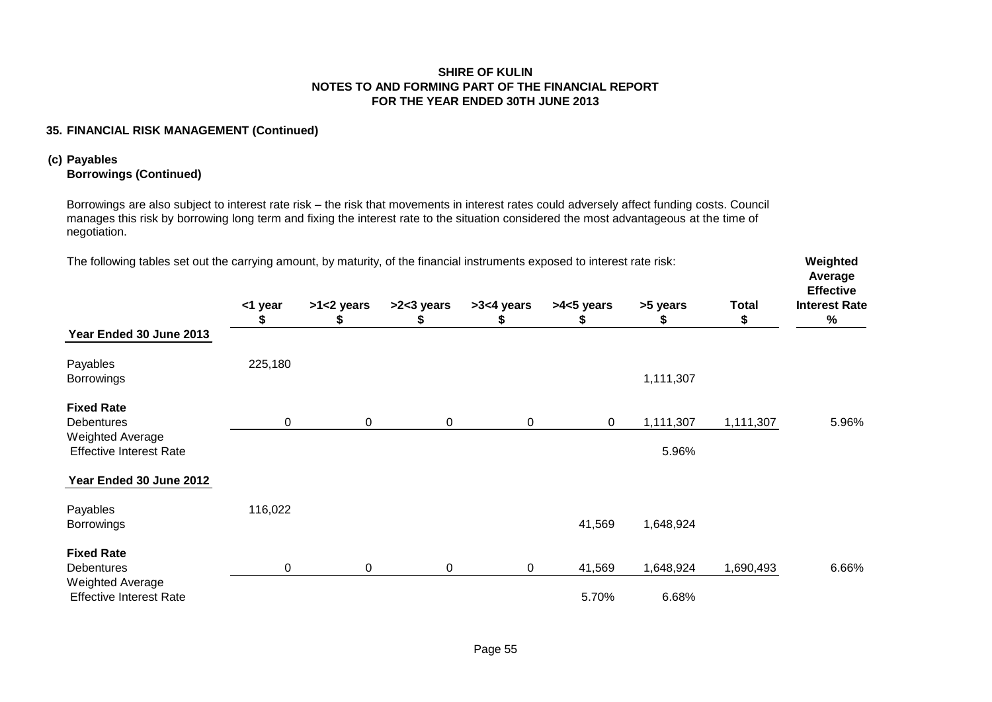# **35. FINANCIAL RISK MANAGEMENT (Continued)**

# **(c) Payables**

# **Borrowings (Continued)**

Borrowings are also subject to interest rate risk – the risk that movements in interest rates could adversely affect funding costs. Council manages this risk by borrowing long term and fixing the interest rate to the situation considered the most advantageous at the time of negotiation.

| The following tables set out the carrying amount, by maturity, of the financial instruments exposed to interest rate risk: |             |             |             |             |             |           |              | Weighted<br>Average<br><b>Effective</b> |
|----------------------------------------------------------------------------------------------------------------------------|-------------|-------------|-------------|-------------|-------------|-----------|--------------|-----------------------------------------|
|                                                                                                                            | <1 year     | >1<2 years  | >2<3 years  | >3<4 years  | >4<5 years  | >5 years  | <b>Total</b> | <b>Interest Rate</b>                    |
| Year Ended 30 June 2013                                                                                                    |             |             |             |             |             | P         | Ъ            | $\%$                                    |
| Payables                                                                                                                   | 225,180     |             |             |             |             |           |              |                                         |
| <b>Borrowings</b>                                                                                                          |             |             |             |             |             | 1,111,307 |              |                                         |
| <b>Fixed Rate</b>                                                                                                          |             |             |             |             |             |           |              |                                         |
| <b>Debentures</b>                                                                                                          | $\mathbf 0$ | $\mathbf 0$ | $\mathbf 0$ | $\mathbf 0$ | $\mathbf 0$ | 1,111,307 | 1,111,307    | 5.96%                                   |
| <b>Weighted Average</b><br><b>Effective Interest Rate</b>                                                                  |             |             |             |             |             | 5.96%     |              |                                         |
| Year Ended 30 June 2012                                                                                                    |             |             |             |             |             |           |              |                                         |
| Payables                                                                                                                   | 116,022     |             |             |             |             |           |              |                                         |
| <b>Borrowings</b>                                                                                                          |             |             |             |             | 41,569      | 1,648,924 |              |                                         |
| <b>Fixed Rate</b>                                                                                                          |             |             |             |             |             |           |              |                                         |
| <b>Debentures</b>                                                                                                          | 0           | $\mathbf 0$ | $\mathbf 0$ | $\mathbf 0$ | 41,569      | 1,648,924 | 1,690,493    | 6.66%                                   |
| <b>Weighted Average</b><br><b>Effective Interest Rate</b>                                                                  |             |             |             |             | 5.70%       | 6.68%     |              |                                         |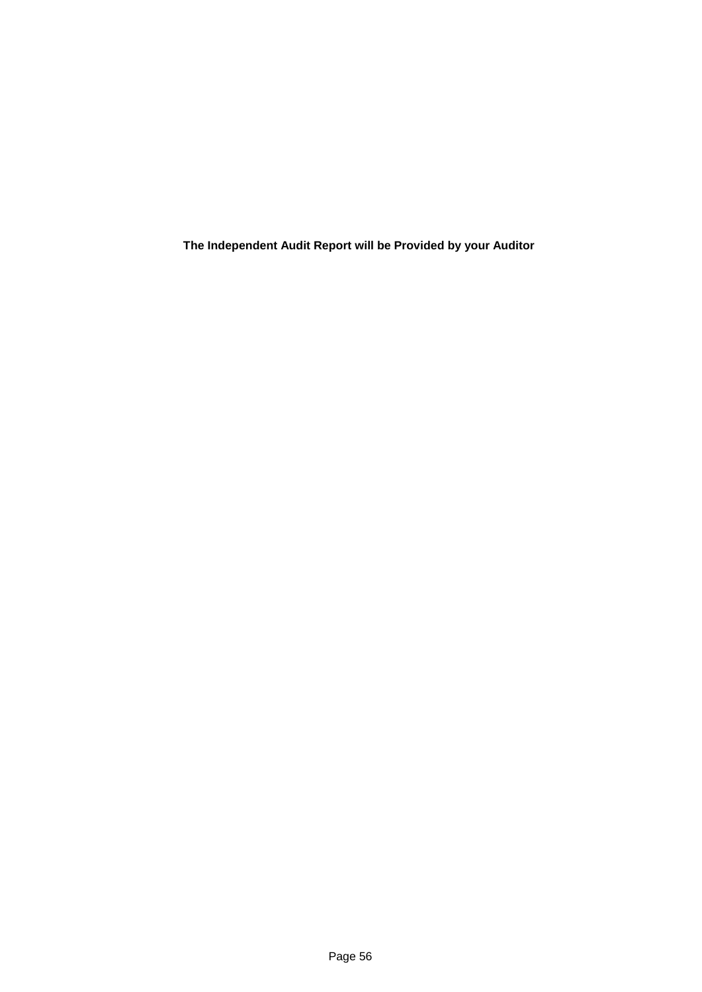**The Independent Audit Report will be Provided by your Auditor**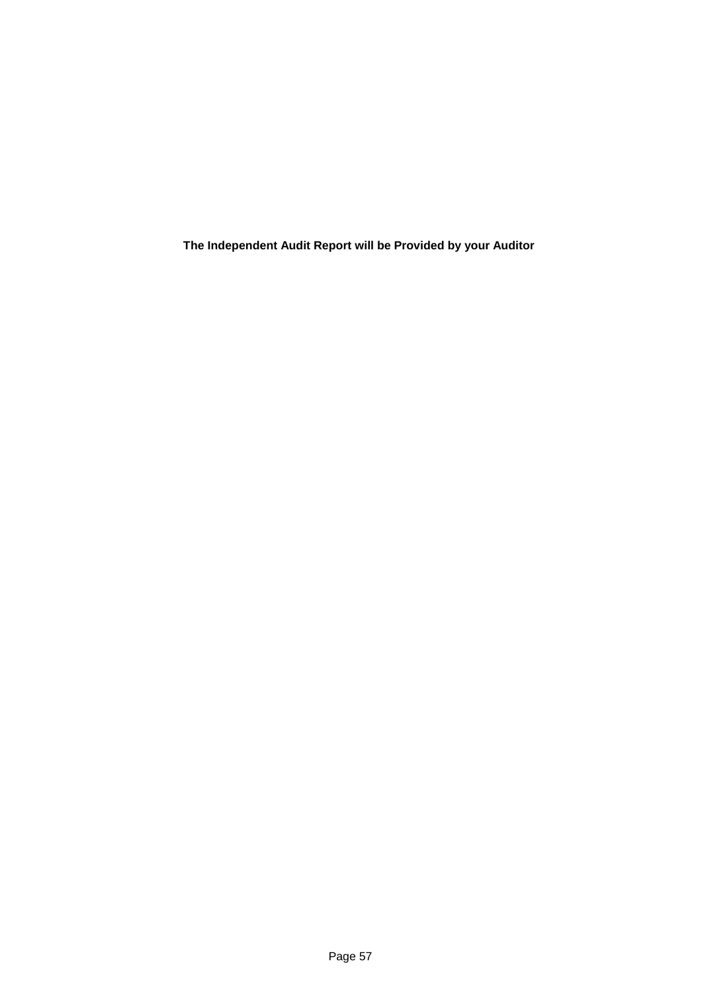**The Independent Audit Report will be Provided by your Auditor**